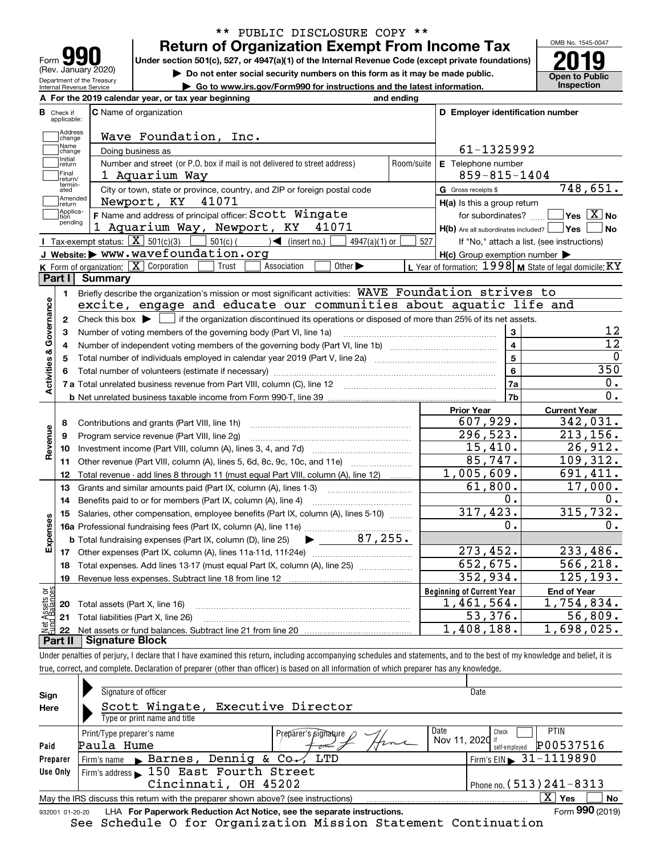| <u>loin</u><br>Form                                    |
|--------------------------------------------------------|
| (Rev. January 2020)                                    |
| Department of the Treasury<br>Internal Revenue Service |

## **Return of Organization Exempt From Income Tax** \*\* PUBLIC DISCLOSURE COPY \*\*

Under section 501(c), 527, or 4947(a)(1) of the Internal Revenue Code (except private foundations) **2019** 

**| Do not enter social security numbers on this form as it may be made public.**

**| Go to www.irs.gov/Form990 for instructions and the latest information. Inspection**



|                         |                             | A For the 2019 calendar year, or tax year beginning                                                                                                      | and ending |                                                                              |                                                           |
|-------------------------|-----------------------------|----------------------------------------------------------------------------------------------------------------------------------------------------------|------------|------------------------------------------------------------------------------|-----------------------------------------------------------|
| в                       | Check if<br>applicable:     | <b>C</b> Name of organization                                                                                                                            |            | D Employer identification number                                             |                                                           |
|                         | Address<br>change           | Wave Foundation, Inc.                                                                                                                                    |            |                                                                              |                                                           |
|                         | Name<br>change              | Doing business as                                                                                                                                        |            | 61-1325992                                                                   |                                                           |
|                         | ,<br> Initial<br> return    | Number and street (or P.O. box if mail is not delivered to street address)                                                                               | Room/suite | E Telephone number                                                           |                                                           |
|                         | Final<br>return/            | 1 Aquarium Way                                                                                                                                           |            | $859 - 815 - 1404$                                                           |                                                           |
|                         | termin-<br>ated             | City or town, state or province, country, and ZIP or foreign postal code                                                                                 |            | G Gross receipts \$                                                          | 748,651.                                                  |
|                         | Amended<br>İreturn          | 41071<br>Newport, KY                                                                                                                                     |            | $H(a)$ is this a group return                                                |                                                           |
|                         | Applica-<br>tion<br>pending | F Name and address of principal officer: Scott Wingate<br>1 Aquarium Way, Newport, KY<br>41071                                                           |            | for subordinates?<br>$H(b)$ Are all subordinates included? $\Box$ Yes $\Box$ | $\sqrt{}$ Yes $\sqrt{}$ X $\sqrt{}$ No<br>  No            |
|                         |                             | Tax-exempt status: $\boxed{\mathbf{X}}$ 501(c)(3) [<br>$\boxed{\phantom{0}}$ 501(c) ( ) (insert no.)<br>4947(a)(1) or                                    | 527        |                                                                              | If "No," attach a list. (see instructions)                |
|                         |                             | J Website: > www.wavefoundation.org                                                                                                                      |            | $H(c)$ Group exemption number $\blacktriangleright$                          |                                                           |
|                         |                             | K Form of organization: $\boxed{\mathbf{X}}$ Corporation<br>Association<br>Other $\blacktriangleright$<br>Trust                                          |            |                                                                              | L Year of formation: $1998$ M State of legal domicile: KY |
|                         | Part I                      | Summary                                                                                                                                                  |            |                                                                              |                                                           |
|                         | 1.                          | Briefly describe the organization's mission or most significant activities: WAVE Foundation strives to                                                   |            |                                                                              |                                                           |
|                         |                             | excite, engage and educate our communities about aquatic life and                                                                                        |            |                                                                              |                                                           |
| Activities & Governance | $\mathbf{2}$                | Check this box $\blacktriangleright$ $\Box$ if the organization discontinued its operations or disposed of more than 25% of its net assets.              |            |                                                                              |                                                           |
|                         | 3                           | Number of voting members of the governing body (Part VI, line 1a)                                                                                        |            | 3                                                                            | 12                                                        |
|                         | 4                           |                                                                                                                                                          |            | $\overline{\mathbf{4}}$                                                      | $\overline{12}$                                           |
|                         | 5                           | Total number of individuals employed in calendar year 2019 (Part V, line 2a) manufacture of individuals employed in calendar year 2019 (Part V, line 2a) |            | $\overline{5}$                                                               | $\mathbf 0$                                               |
|                         | 6                           |                                                                                                                                                          |            | 6                                                                            | 350                                                       |
|                         |                             |                                                                                                                                                          |            | 7a                                                                           | 0.                                                        |
|                         |                             |                                                                                                                                                          |            | 7b                                                                           | $\overline{0}$ .                                          |
|                         |                             |                                                                                                                                                          |            | <b>Prior Year</b>                                                            | <b>Current Year</b>                                       |
|                         | 8                           | Contributions and grants (Part VIII, line 1h)                                                                                                            |            | 607,929.                                                                     | 342,031.                                                  |
|                         | 9                           | Program service revenue (Part VIII, line 2g)                                                                                                             |            | 296, 523.                                                                    | 213, 156.                                                 |
| Revenue                 | 10                          |                                                                                                                                                          |            | 15,410.                                                                      | 26,912.                                                   |
|                         | 11                          | Other revenue (Part VIII, column (A), lines 5, 6d, 8c, 9c, 10c, and 11e)                                                                                 |            | 85,747.                                                                      | 109,312.                                                  |
|                         | 12                          | Total revenue - add lines 8 through 11 (must equal Part VIII, column (A), line 12)                                                                       |            | 1,005,609.                                                                   | 691,411.                                                  |
|                         | 13                          | Grants and similar amounts paid (Part IX, column (A), lines 1-3)                                                                                         |            | 61,800.                                                                      | 17,000.                                                   |
|                         | 14                          | Benefits paid to or for members (Part IX, column (A), line 4)                                                                                            |            | 0.                                                                           | 0.                                                        |
|                         | 15                          | Salaries, other compensation, employee benefits (Part IX, column (A), lines 5-10)                                                                        |            | 317,423.                                                                     | 315, 732.                                                 |
| Expenses                |                             |                                                                                                                                                          |            | 0.                                                                           | 0.                                                        |
|                         |                             | 87,255.<br><b>b</b> Total fundraising expenses (Part IX, column (D), line 25)                                                                            |            |                                                                              |                                                           |
|                         |                             |                                                                                                                                                          |            | 273,452.                                                                     | 233,486.                                                  |
|                         | 18                          | Total expenses. Add lines 13-17 (must equal Part IX, column (A), line 25)                                                                                |            | 652,675.                                                                     | 566, 218.                                                 |
|                         | 19                          |                                                                                                                                                          |            | 352,934.                                                                     | $\overline{1}25, 193.$                                    |
| äğ                      |                             |                                                                                                                                                          |            | <b>Beginning of Current Year</b>                                             | <b>End of Year</b>                                        |
| Assets<br>Balanc        |                             | <b>20</b> Total assets (Part X, line 16)                                                                                                                 |            | 1,461,564.                                                                   | 1,754,834.                                                |
|                         |                             | 21 Total liabilities (Part X, line 26)                                                                                                                   |            | 53,376.                                                                      | 56,809.                                                   |
|                         |                             | <u> Dianatura Diaal</u>                                                                                                                                  |            | 1,408,188.                                                                   | 1,698,025.                                                |

**Part II Signature Block**

Under penalties of perjury, I declare that I have examined this return, including accompanying schedules and statements, and to the best of my knowledge and belief, it is true, correct, and complete. Declaration of preparer (other than officer) is based on all information of which preparer has any knowledge.

| Sign            | Signature of officer                                                              | Date                                               |
|-----------------|-----------------------------------------------------------------------------------|----------------------------------------------------|
| Here            | Scott Wingate, Executive Director                                                 |                                                    |
|                 | Type or print name and title                                                      |                                                    |
|                 | Date<br>Print/Type preparer's name<br>Preparer's signature                        | <b>PTIN</b><br>Check                               |
| Paid            | Paula Hume                                                                        | Nov 11, 2020 if<br>P00537516<br>self-employed      |
| Preparer        | Firm's name Barnes, Dennig & $Co\rightarrow$ , LTD                                | $^{\prime}$ Firm's EIN $\triangleright$ 31-1119890 |
| Use Only        | Firm's address 150 East Fourth Street                                             |                                                    |
|                 | Cincinnati, OH 45202                                                              | Phone no. $(513)$ $241 - 8313$                     |
|                 | May the IRS discuss this return with the preparer shown above? (see instructions) | $X \mid Y$ es<br>No                                |
| 932001 01-20-20 | LHA For Paperwork Reduction Act Notice, see the separate instructions.            | Form 990 (2019)                                    |

See Schedule O for Organization Mission Statement Continuation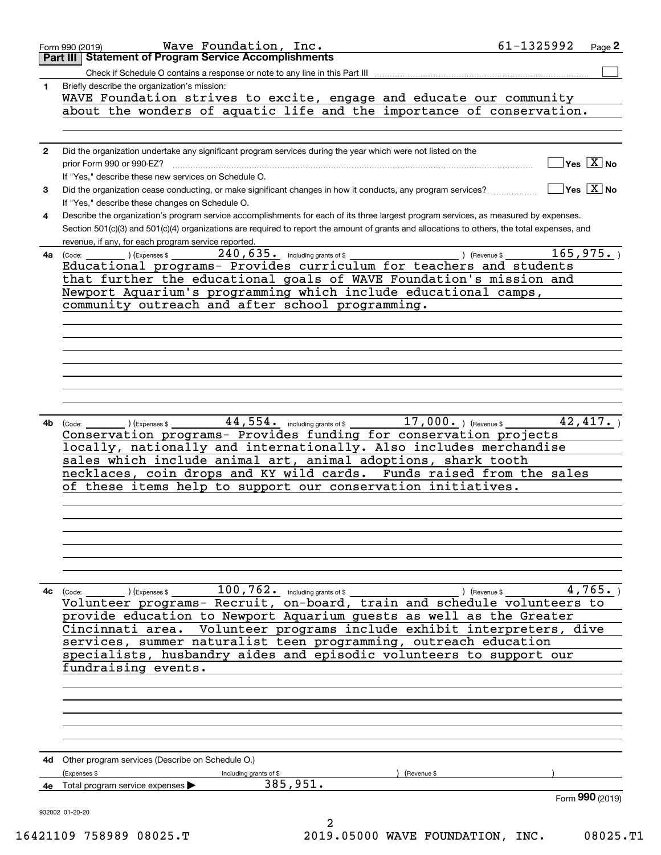|              | 61-1325992<br>Wave Foundation, Inc.<br>Form 990 (2019)<br>Part III   Statement of Program Service Accomplishments                                                                                            | Page 2 |
|--------------|--------------------------------------------------------------------------------------------------------------------------------------------------------------------------------------------------------------|--------|
|              | Check if Schedule O contains a response or note to any line in this Part III                                                                                                                                 |        |
| 1.           | Briefly describe the organization's mission:                                                                                                                                                                 |        |
|              | WAVE Foundation strives to excite, engage and educate our community                                                                                                                                          |        |
|              | about the wonders of aquatic life and the importance of conservation.                                                                                                                                        |        |
|              |                                                                                                                                                                                                              |        |
|              |                                                                                                                                                                                                              |        |
| $\mathbf{2}$ | Did the organization undertake any significant program services during the year which were not listed on the                                                                                                 |        |
|              | $\sqrt{}$ Yes $\sqrt{X}$ No<br>prior Form 990 or 990-EZ?                                                                                                                                                     |        |
|              | If "Yes," describe these new services on Schedule O.                                                                                                                                                         |        |
| 3            | $\overline{\ }$ Yes $\overline{\ \ X}$ No<br>Did the organization cease conducting, or make significant changes in how it conducts, any program services?<br>If "Yes," describe these changes on Schedule O. |        |
| 4            | Describe the organization's program service accomplishments for each of its three largest program services, as measured by expenses.                                                                         |        |
|              | Section 501(c)(3) and 501(c)(4) organizations are required to report the amount of grants and allocations to others, the total expenses, and                                                                 |        |
|              | revenue, if any, for each program service reported.                                                                                                                                                          |        |
| 4a l         | $240$ , $635$ . including grants of \$<br>165,975.<br>(Code: ) (Expenses \$<br>) (Revenue \$                                                                                                                 |        |
|              | Educational programs- Provides curriculum for teachers and students                                                                                                                                          |        |
|              | that further the educational goals of WAVE Foundation's mission and                                                                                                                                          |        |
|              | Newport Aquarium's programming which include educational camps,                                                                                                                                              |        |
|              | community outreach and after school programming.                                                                                                                                                             |        |
|              |                                                                                                                                                                                                              |        |
|              |                                                                                                                                                                                                              |        |
|              |                                                                                                                                                                                                              |        |
|              |                                                                                                                                                                                                              |        |
|              |                                                                                                                                                                                                              |        |
|              |                                                                                                                                                                                                              |        |
|              |                                                                                                                                                                                                              |        |
|              |                                                                                                                                                                                                              |        |
|              |                                                                                                                                                                                                              |        |
|              | $\overline{42}$ , 417.<br>$17$ , $000$ $\cdot$ ) (Revenue \$<br>$44$ , $554$ . including grants of \$                                                                                                        |        |
| 4b l         | $(\text{Express } $$<br>(Code:                                                                                                                                                                               |        |
|              | Conservation programs- Provides funding for conservation projects                                                                                                                                            |        |
|              | locally, nationally and internationally. Also includes merchandise                                                                                                                                           |        |
|              | sales which include animal art, animal adoptions, shark tooth                                                                                                                                                |        |
|              | necklaces, coin drops and KY wild cards. Funds raised from the sales                                                                                                                                         |        |
|              | of these items help to support our conservation initiatives.                                                                                                                                                 |        |
|              |                                                                                                                                                                                                              |        |
|              |                                                                                                                                                                                                              |        |
|              |                                                                                                                                                                                                              |        |
|              |                                                                                                                                                                                                              |        |
|              |                                                                                                                                                                                                              |        |
|              |                                                                                                                                                                                                              |        |
|              |                                                                                                                                                                                                              |        |
|              |                                                                                                                                                                                                              |        |
| 4с           | $100, 762$ . including grants of \$<br>4,765.<br>(Code:<br>(Expenses \$<br>) (Revenue \$                                                                                                                     |        |
|              | Volunteer programs- Recruit, on-board, train and schedule volunteers to                                                                                                                                      |        |
|              |                                                                                                                                                                                                              |        |
|              | provide education to Newport Aquarium guests as well as the Greater                                                                                                                                          |        |
|              | Cincinnati area. Volunteer programs include exhibit interpreters, dive                                                                                                                                       |        |
|              | services, summer naturalist teen programming, outreach education                                                                                                                                             |        |
|              | specialists, husbandry aides and episodic volunteers to support our                                                                                                                                          |        |
|              | fundraising events.                                                                                                                                                                                          |        |
|              |                                                                                                                                                                                                              |        |
|              |                                                                                                                                                                                                              |        |
|              |                                                                                                                                                                                                              |        |
|              |                                                                                                                                                                                                              |        |
|              |                                                                                                                                                                                                              |        |
|              |                                                                                                                                                                                                              |        |
|              |                                                                                                                                                                                                              |        |
| 4d -         | Other program services (Describe on Schedule O.)                                                                                                                                                             |        |
|              |                                                                                                                                                                                                              |        |
|              | (Expenses \$<br>Revenue \$<br>including grants of \$                                                                                                                                                         |        |
| 4e           | 385,951.<br>Total program service expenses                                                                                                                                                                   |        |
|              | Form 990 (2019)                                                                                                                                                                                              |        |
|              | 932002 01-20-20                                                                                                                                                                                              |        |
|              | 2                                                                                                                                                                                                            |        |
|              | 2019.05000 WAVE FOUNDATION, INC.<br>08025.T1<br>16421109 758989 08025.T                                                                                                                                      |        |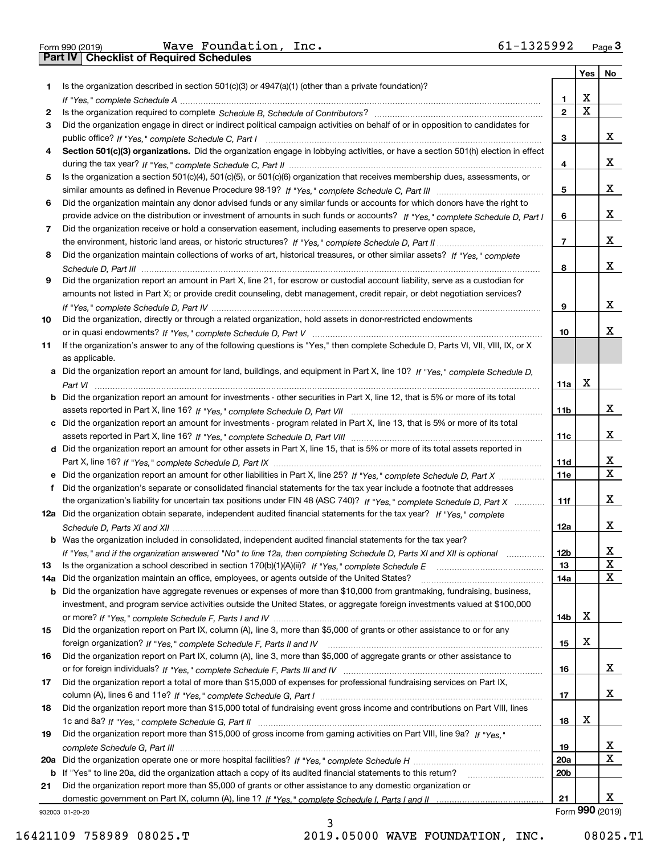|  | Form 990 (2019) |  |
|--|-----------------|--|

Form 990 (2019) Wave Foundation, Inc. 61-1325992 <sub>Page</sub> 3<br>**Part IV | Checklist of Required Schedules** 

|     |                                                                                                                                       |                 | Yes | No              |
|-----|---------------------------------------------------------------------------------------------------------------------------------------|-----------------|-----|-----------------|
| 1   | Is the organization described in section $501(c)(3)$ or $4947(a)(1)$ (other than a private foundation)?                               |                 |     |                 |
|     |                                                                                                                                       | 1.              | х   |                 |
| 2   |                                                                                                                                       | $\mathbf{2}$    | X   |                 |
| 3   | Did the organization engage in direct or indirect political campaign activities on behalf of or in opposition to candidates for       |                 |     |                 |
|     |                                                                                                                                       | 3               |     | x               |
| 4   | Section 501(c)(3) organizations. Did the organization engage in lobbying activities, or have a section 501(h) election in effect      |                 |     |                 |
|     |                                                                                                                                       | 4               |     | x               |
| 5   | Is the organization a section 501(c)(4), 501(c)(5), or 501(c)(6) organization that receives membership dues, assessments, or          |                 |     |                 |
|     |                                                                                                                                       | 5               |     | х               |
| 6   | Did the organization maintain any donor advised funds or any similar funds or accounts for which donors have the right to             |                 |     |                 |
|     | provide advice on the distribution or investment of amounts in such funds or accounts? If "Yes," complete Schedule D, Part I          | 6               |     | x               |
| 7   | Did the organization receive or hold a conservation easement, including easements to preserve open space,                             |                 |     |                 |
|     |                                                                                                                                       | $\overline{7}$  |     | x               |
| 8   | Did the organization maintain collections of works of art, historical treasures, or other similar assets? If "Yes," complete          |                 |     |                 |
|     |                                                                                                                                       | 8               |     | х               |
| 9   | Did the organization report an amount in Part X, line 21, for escrow or custodial account liability, serve as a custodian for         |                 |     |                 |
|     | amounts not listed in Part X; or provide credit counseling, debt management, credit repair, or debt negotiation services?             |                 |     |                 |
|     |                                                                                                                                       | 9               |     | х               |
| 10  | Did the organization, directly or through a related organization, hold assets in donor-restricted endowments                          |                 |     |                 |
|     |                                                                                                                                       | 10              |     | х               |
| 11  | If the organization's answer to any of the following questions is "Yes," then complete Schedule D, Parts VI, VII, VIII, IX, or X      |                 |     |                 |
|     | as applicable.                                                                                                                        |                 |     |                 |
|     | a Did the organization report an amount for land, buildings, and equipment in Part X, line 10? If "Yes," complete Schedule D.         |                 | х   |                 |
|     |                                                                                                                                       | 11a             |     |                 |
|     | <b>b</b> Did the organization report an amount for investments - other securities in Part X, line 12, that is 5% or more of its total |                 |     | x               |
|     |                                                                                                                                       | 11 <sub>b</sub> |     |                 |
|     | c Did the organization report an amount for investments - program related in Part X, line 13, that is 5% or more of its total         | 11c             |     | х               |
|     | d Did the organization report an amount for other assets in Part X, line 15, that is 5% or more of its total assets reported in       |                 |     |                 |
|     |                                                                                                                                       | 11d             |     | x               |
|     |                                                                                                                                       | <b>11e</b>      |     | $\mathbf X$     |
| f   | Did the organization's separate or consolidated financial statements for the tax year include a footnote that addresses               |                 |     |                 |
|     | the organization's liability for uncertain tax positions under FIN 48 (ASC 740)? If "Yes," complete Schedule D, Part X                | 11f             |     | х               |
|     | 12a Did the organization obtain separate, independent audited financial statements for the tax year? If "Yes," complete               |                 |     |                 |
|     |                                                                                                                                       | 12a             |     | x               |
|     | <b>b</b> Was the organization included in consolidated, independent audited financial statements for the tax year?                    |                 |     |                 |
|     | If "Yes," and if the organization answered "No" to line 12a, then completing Schedule D, Parts XI and XII is optional                 | 12 <sub>b</sub> |     | х               |
| 13  |                                                                                                                                       | 13              |     | X               |
| 14a | Did the organization maintain an office, employees, or agents outside of the United States?                                           | 14a             |     | X               |
|     | <b>b</b> Did the organization have aggregate revenues or expenses of more than \$10,000 from grantmaking, fundraising, business,      |                 |     |                 |
|     | investment, and program service activities outside the United States, or aggregate foreign investments valued at \$100,000            |                 |     |                 |
|     |                                                                                                                                       | 14b             | х   |                 |
| 15  | Did the organization report on Part IX, column (A), line 3, more than \$5,000 of grants or other assistance to or for any             |                 |     |                 |
|     |                                                                                                                                       | 15              | х   |                 |
| 16  | Did the organization report on Part IX, column (A), line 3, more than \$5,000 of aggregate grants or other assistance to              |                 |     |                 |
|     |                                                                                                                                       | 16              |     | x               |
| 17  | Did the organization report a total of more than \$15,000 of expenses for professional fundraising services on Part IX,               |                 |     |                 |
|     |                                                                                                                                       | 17              |     | x               |
| 18  | Did the organization report more than \$15,000 total of fundraising event gross income and contributions on Part VIII, lines          |                 |     |                 |
|     |                                                                                                                                       | 18              | х   |                 |
| 19  | Did the organization report more than \$15,000 of gross income from gaming activities on Part VIII, line 9a? If "Yes."                |                 |     |                 |
|     |                                                                                                                                       | 19              |     | X               |
|     |                                                                                                                                       | 20a             |     | X               |
|     | b If "Yes" to line 20a, did the organization attach a copy of its audited financial statements to this return?                        | 20 <sub>b</sub> |     |                 |
| 21  | Did the organization report more than \$5,000 of grants or other assistance to any domestic organization or                           |                 |     |                 |
|     |                                                                                                                                       | 21              |     | x               |
|     | 932003 01-20-20                                                                                                                       |                 |     | Form 990 (2019) |

932003 01-20-20

3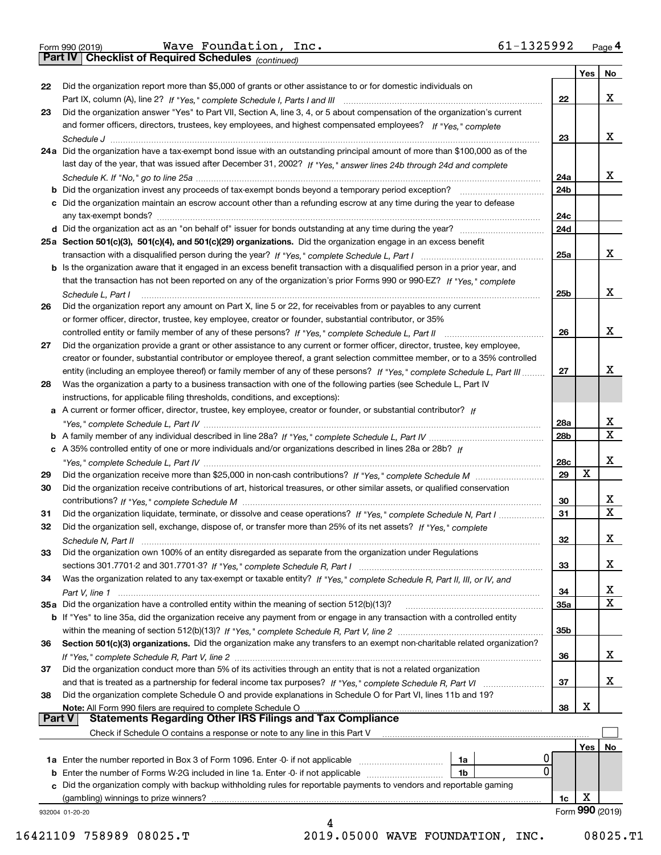*(continued)*

|               |                                                                                                                                                     |            | Yes | No              |
|---------------|-----------------------------------------------------------------------------------------------------------------------------------------------------|------------|-----|-----------------|
| 22            | Did the organization report more than \$5,000 of grants or other assistance to or for domestic individuals on                                       |            |     |                 |
|               |                                                                                                                                                     | 22         |     | x               |
| 23            | Did the organization answer "Yes" to Part VII, Section A, line 3, 4, or 5 about compensation of the organization's current                          |            |     |                 |
|               | and former officers, directors, trustees, key employees, and highest compensated employees? If "Yes," complete                                      |            |     |                 |
|               |                                                                                                                                                     | 23         |     | х               |
|               | 24a Did the organization have a tax-exempt bond issue with an outstanding principal amount of more than \$100,000 as of the                         |            |     |                 |
|               | last day of the year, that was issued after December 31, 2002? If "Yes," answer lines 24b through 24d and complete                                  |            |     |                 |
|               |                                                                                                                                                     | 24a        |     | х               |
|               | <b>b</b> Did the organization invest any proceeds of tax-exempt bonds beyond a temporary period exception?<br><u> 1986 - Jan Barbarat, martin a</u> | 24b        |     |                 |
|               | c Did the organization maintain an escrow account other than a refunding escrow at any time during the year to defease                              |            |     |                 |
|               | any tax-exempt bonds?                                                                                                                               | 24c        |     |                 |
|               |                                                                                                                                                     | 24d        |     |                 |
|               | 25a Section 501(c)(3), 501(c)(4), and 501(c)(29) organizations. Did the organization engage in an excess benefit                                    |            |     | x               |
|               |                                                                                                                                                     | 25a        |     |                 |
|               | b Is the organization aware that it engaged in an excess benefit transaction with a disqualified person in a prior year, and                        |            |     |                 |
|               | that the transaction has not been reported on any of the organization's prior Forms 990 or 990-EZ? If "Yes," complete                               | 25b        |     | х               |
| 26            | Schedule L. Part I<br>Did the organization report any amount on Part X, line 5 or 22, for receivables from or payables to any current               |            |     |                 |
|               | or former officer, director, trustee, key employee, creator or founder, substantial contributor, or 35%                                             |            |     |                 |
|               |                                                                                                                                                     | 26         |     | x               |
| 27            | Did the organization provide a grant or other assistance to any current or former officer, director, trustee, key employee,                         |            |     |                 |
|               | creator or founder, substantial contributor or employee thereof, a grant selection committee member, or to a 35% controlled                         |            |     |                 |
|               | entity (including an employee thereof) or family member of any of these persons? If "Yes," complete Schedule L, Part III                            | 27         |     | x               |
| 28            | Was the organization a party to a business transaction with one of the following parties (see Schedule L, Part IV                                   |            |     |                 |
|               | instructions, for applicable filing thresholds, conditions, and exceptions):                                                                        |            |     |                 |
|               | a A current or former officer, director, trustee, key employee, creator or founder, or substantial contributor? If                                  |            |     |                 |
|               |                                                                                                                                                     | 28a        |     | x               |
|               |                                                                                                                                                     | 28b        |     | $\mathbf X$     |
|               | c A 35% controlled entity of one or more individuals and/or organizations described in lines 28a or 28b? If                                         |            |     |                 |
|               |                                                                                                                                                     | 28c        |     | х               |
| 29            |                                                                                                                                                     | 29         | х   |                 |
| 30            | Did the organization receive contributions of art, historical treasures, or other similar assets, or qualified conservation                         |            |     |                 |
|               |                                                                                                                                                     | 30         |     | x               |
| 31            | Did the organization liquidate, terminate, or dissolve and cease operations? If "Yes," complete Schedule N, Part I                                  | 31         |     | $\mathbf X$     |
| 32            | Did the organization sell, exchange, dispose of, or transfer more than 25% of its net assets? If "Yes," complete                                    |            |     |                 |
|               | Schedule N, Part II                                                                                                                                 | 32         |     | х               |
| 33            | Did the organization own 100% of an entity disregarded as separate from the organization under Regulations                                          |            |     | х               |
| 34            | Was the organization related to any tax-exempt or taxable entity? If "Yes," complete Schedule R, Part II, III, or IV, and                           | 33         |     |                 |
|               |                                                                                                                                                     | 34         |     | х               |
|               | 35a Did the organization have a controlled entity within the meaning of section 512(b)(13)?                                                         | <b>35a</b> |     | X               |
|               | <b>b</b> If "Yes" to line 35a, did the organization receive any payment from or engage in any transaction with a controlled entity                  |            |     |                 |
|               |                                                                                                                                                     | 35b        |     |                 |
| 36            | Section 501(c)(3) organizations. Did the organization make any transfers to an exempt non-charitable related organization?                          |            |     |                 |
|               |                                                                                                                                                     | 36         |     | х               |
| 37            | Did the organization conduct more than 5% of its activities through an entity that is not a related organization                                    |            |     |                 |
|               | and that is treated as a partnership for federal income tax purposes? If "Yes," complete Schedule R, Part VI                                        | 37         |     | х               |
| 38            | Did the organization complete Schedule O and provide explanations in Schedule O for Part VI, lines 11b and 19?                                      |            |     |                 |
|               | Note: All Form 990 filers are required to complete Schedule O                                                                                       | 38         | X   |                 |
| <b>Part V</b> | <b>Statements Regarding Other IRS Filings and Tax Compliance</b>                                                                                    |            |     |                 |
|               | Check if Schedule O contains a response or note to any line in this Part V                                                                          |            |     |                 |
|               |                                                                                                                                                     |            | Yes | No              |
|               | 1a Enter the number reported in Box 3 of Form 1096. Enter -0- if not applicable<br>1a                                                               |            |     |                 |
|               | 0<br><b>b</b> Enter the number of Forms W-2G included in line 1a. Enter -0- if not applicable<br>1b                                                 |            |     |                 |
|               | c Did the organization comply with backup withholding rules for reportable payments to vendors and reportable gaming                                |            | X   |                 |
|               | (gambling) winnings to prize winners?                                                                                                               | 1c         |     | Form 990 (2019) |
|               | 932004 01-20-20<br>4                                                                                                                                |            |     |                 |
|               |                                                                                                                                                     |            |     |                 |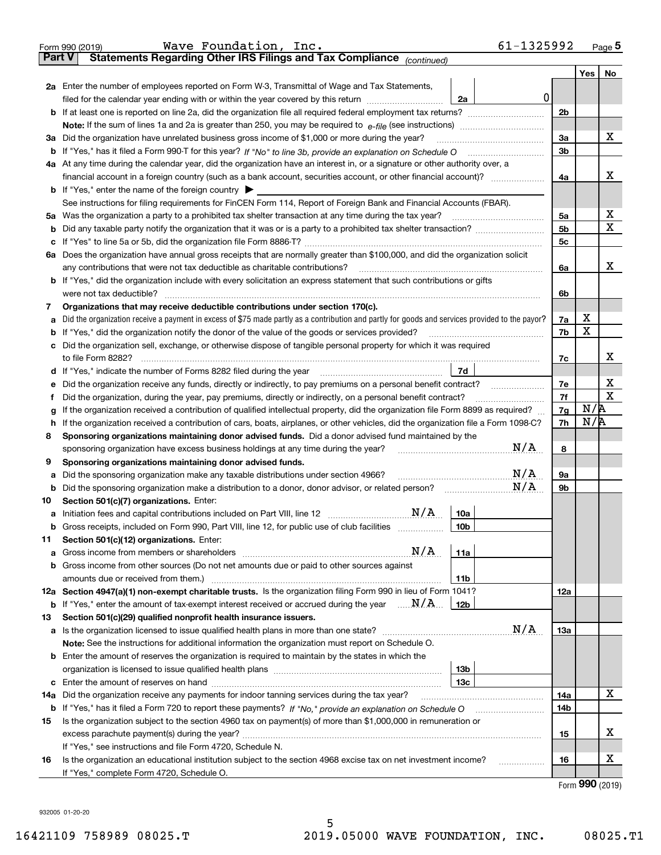| <b>Part V</b><br>2a Enter the number of employees reported on Form W-3, Transmittal of Wage and Tax Statements,<br>$\mathbf 0$<br>filed for the calendar year ending with or within the year covered by this return<br>2a<br>3a Did the organization have unrelated business gross income of \$1,000 or more during the year?<br>4a At any time during the calendar year, did the organization have an interest in, or a signature or other authority over, a<br>financial account in a foreign country (such as a bank account, securities account, or other financial account)?<br><b>b</b> If "Yes," enter the name of the foreign country $\blacktriangleright$<br>See instructions for filing requirements for FinCEN Form 114, Report of Foreign Bank and Financial Accounts (FBAR).<br>Was the organization a party to a prohibited tax shelter transaction at any time during the tax year?<br>5а<br>b<br>с<br>6a Does the organization have annual gross receipts that are normally greater than \$100,000, and did the organization solicit<br><b>b</b> If "Yes," did the organization include with every solicitation an express statement that such contributions or gifts<br>were not tax deductible?<br>Organizations that may receive deductible contributions under section 170(c).<br>7<br>Did the organization receive a payment in excess of \$75 made partly as a contribution and partly for goods and services provided to the payor?<br>a<br>If "Yes," did the organization notify the donor of the value of the goods or services provided?<br>b<br>c Did the organization sell, exchange, or otherwise dispose of tangible personal property for which it was required<br>7d<br>Did the organization receive any funds, directly or indirectly, to pay premiums on a personal benefit contract?<br>е<br>Did the organization, during the year, pay premiums, directly or indirectly, on a personal benefit contract?<br>f<br>If the organization received a contribution of qualified intellectual property, did the organization file Form 8899 as required?<br>g<br>If the organization received a contribution of cars, boats, airplanes, or other vehicles, did the organization file a Form 1098-C?<br>h<br>Sponsoring organizations maintaining donor advised funds. Did a donor advised fund maintained by the<br>8<br>N/A<br>sponsoring organization have excess business holdings at any time during the year?<br>Sponsoring organizations maintaining donor advised funds.<br>9<br>N/A<br>Did the sponsoring organization make any taxable distributions under section 4966?<br>а<br>N/A<br>b<br>Section 501(c)(7) organizations. Enter:<br>10<br>N/A<br>10a<br>Gross receipts, included on Form 990, Part VIII, line 12, for public use of club facilities<br> 10b <br>Section 501(c)(12) organizations. Enter:<br>11<br>N/A<br>11a<br>a<br>b Gross income from other sources (Do not net amounts due or paid to other sources against<br>11b<br>12a Section 4947(a)(1) non-exempt charitable trusts. Is the organization filing Form 990 in lieu of Form 1041?<br><b>b</b> If "Yes," enter the amount of tax-exempt interest received or accrued during the year $\ldots \mathbf{N}/\mathbf{A}$<br>12b<br>Section 501(c)(29) qualified nonprofit health insurance issuers.<br>13<br>N/A<br><b>a</b> Is the organization licensed to issue qualified health plans in more than one state?<br>Note: See the instructions for additional information the organization must report on Schedule O.<br>Enter the amount of reserves the organization is required to maintain by the states in which the<br>b<br>13b<br>13 <sub>c</sub><br>Did the organization receive any payments for indoor tanning services during the tax year?<br>14a<br><b>b</b> If "Yes," has it filed a Form 720 to report these payments? If "No," provide an explanation on Schedule O<br>Is the organization subject to the section 4960 tax on payment(s) of more than \$1,000,000 in remuneration or<br>15<br>If "Yes," see instructions and file Form 4720, Schedule N.<br>Is the organization an educational institution subject to the section 4968 excise tax on net investment income?<br>16<br>If "Yes," complete Form 4720, Schedule O. | 61-1325992<br>Wave Foundation, Inc.<br>Form 990 (2019)                |                |     | $_{\text{Page}}$ 5                       |
|-------------------------------------------------------------------------------------------------------------------------------------------------------------------------------------------------------------------------------------------------------------------------------------------------------------------------------------------------------------------------------------------------------------------------------------------------------------------------------------------------------------------------------------------------------------------------------------------------------------------------------------------------------------------------------------------------------------------------------------------------------------------------------------------------------------------------------------------------------------------------------------------------------------------------------------------------------------------------------------------------------------------------------------------------------------------------------------------------------------------------------------------------------------------------------------------------------------------------------------------------------------------------------------------------------------------------------------------------------------------------------------------------------------------------------------------------------------------------------------------------------------------------------------------------------------------------------------------------------------------------------------------------------------------------------------------------------------------------------------------------------------------------------------------------------------------------------------------------------------------------------------------------------------------------------------------------------------------------------------------------------------------------------------------------------------------------------------------------------------------------------------------------------------------------------------------------------------------------------------------------------------------------------------------------------------------------------------------------------------------------------------------------------------------------------------------------------------------------------------------------------------------------------------------------------------------------------------------------------------------------------------------------------------------------------------------------------------------------------------------------------------------------------------------------------------------------------------------------------------------------------------------------------------------------------------------------------------------------------------------------------------------------------------------------------------------------------------------------------------------------------------------------------------------------------------------------------------------------------------------------------------------------------------------------------------------------------------------------------------------------------------------------------------------------------------------------------------------------------------------------------------------------------------------------------------------------------------------------------------------------------------------------------------------------------------------------------------------------------------------------------------------------------------------------------------------------------------------------------------------------------------------------------------------------------------------------------------------------------------------------------------------------------------------------------------------------------------------------------------------------------------------------------------------------------------------------------------------------------------------------------------|-----------------------------------------------------------------------|----------------|-----|------------------------------------------|
|                                                                                                                                                                                                                                                                                                                                                                                                                                                                                                                                                                                                                                                                                                                                                                                                                                                                                                                                                                                                                                                                                                                                                                                                                                                                                                                                                                                                                                                                                                                                                                                                                                                                                                                                                                                                                                                                                                                                                                                                                                                                                                                                                                                                                                                                                                                                                                                                                                                                                                                                                                                                                                                                                                                                                                                                                                                                                                                                                                                                                                                                                                                                                                                                                                                                                                                                                                                                                                                                                                                                                                                                                                                                                                                                                                                                                                                                                                                                                                                                                                                                                                                                                                                                                                                             | Statements Regarding Other IRS Filings and Tax Compliance (continued) |                |     |                                          |
|                                                                                                                                                                                                                                                                                                                                                                                                                                                                                                                                                                                                                                                                                                                                                                                                                                                                                                                                                                                                                                                                                                                                                                                                                                                                                                                                                                                                                                                                                                                                                                                                                                                                                                                                                                                                                                                                                                                                                                                                                                                                                                                                                                                                                                                                                                                                                                                                                                                                                                                                                                                                                                                                                                                                                                                                                                                                                                                                                                                                                                                                                                                                                                                                                                                                                                                                                                                                                                                                                                                                                                                                                                                                                                                                                                                                                                                                                                                                                                                                                                                                                                                                                                                                                                                             |                                                                       |                | Yes | No                                       |
|                                                                                                                                                                                                                                                                                                                                                                                                                                                                                                                                                                                                                                                                                                                                                                                                                                                                                                                                                                                                                                                                                                                                                                                                                                                                                                                                                                                                                                                                                                                                                                                                                                                                                                                                                                                                                                                                                                                                                                                                                                                                                                                                                                                                                                                                                                                                                                                                                                                                                                                                                                                                                                                                                                                                                                                                                                                                                                                                                                                                                                                                                                                                                                                                                                                                                                                                                                                                                                                                                                                                                                                                                                                                                                                                                                                                                                                                                                                                                                                                                                                                                                                                                                                                                                                             |                                                                       |                |     |                                          |
|                                                                                                                                                                                                                                                                                                                                                                                                                                                                                                                                                                                                                                                                                                                                                                                                                                                                                                                                                                                                                                                                                                                                                                                                                                                                                                                                                                                                                                                                                                                                                                                                                                                                                                                                                                                                                                                                                                                                                                                                                                                                                                                                                                                                                                                                                                                                                                                                                                                                                                                                                                                                                                                                                                                                                                                                                                                                                                                                                                                                                                                                                                                                                                                                                                                                                                                                                                                                                                                                                                                                                                                                                                                                                                                                                                                                                                                                                                                                                                                                                                                                                                                                                                                                                                                             |                                                                       |                |     |                                          |
|                                                                                                                                                                                                                                                                                                                                                                                                                                                                                                                                                                                                                                                                                                                                                                                                                                                                                                                                                                                                                                                                                                                                                                                                                                                                                                                                                                                                                                                                                                                                                                                                                                                                                                                                                                                                                                                                                                                                                                                                                                                                                                                                                                                                                                                                                                                                                                                                                                                                                                                                                                                                                                                                                                                                                                                                                                                                                                                                                                                                                                                                                                                                                                                                                                                                                                                                                                                                                                                                                                                                                                                                                                                                                                                                                                                                                                                                                                                                                                                                                                                                                                                                                                                                                                                             |                                                                       | 2 <sub>b</sub> |     |                                          |
|                                                                                                                                                                                                                                                                                                                                                                                                                                                                                                                                                                                                                                                                                                                                                                                                                                                                                                                                                                                                                                                                                                                                                                                                                                                                                                                                                                                                                                                                                                                                                                                                                                                                                                                                                                                                                                                                                                                                                                                                                                                                                                                                                                                                                                                                                                                                                                                                                                                                                                                                                                                                                                                                                                                                                                                                                                                                                                                                                                                                                                                                                                                                                                                                                                                                                                                                                                                                                                                                                                                                                                                                                                                                                                                                                                                                                                                                                                                                                                                                                                                                                                                                                                                                                                                             |                                                                       |                |     |                                          |
|                                                                                                                                                                                                                                                                                                                                                                                                                                                                                                                                                                                                                                                                                                                                                                                                                                                                                                                                                                                                                                                                                                                                                                                                                                                                                                                                                                                                                                                                                                                                                                                                                                                                                                                                                                                                                                                                                                                                                                                                                                                                                                                                                                                                                                                                                                                                                                                                                                                                                                                                                                                                                                                                                                                                                                                                                                                                                                                                                                                                                                                                                                                                                                                                                                                                                                                                                                                                                                                                                                                                                                                                                                                                                                                                                                                                                                                                                                                                                                                                                                                                                                                                                                                                                                                             |                                                                       | 3a             |     | х                                        |
|                                                                                                                                                                                                                                                                                                                                                                                                                                                                                                                                                                                                                                                                                                                                                                                                                                                                                                                                                                                                                                                                                                                                                                                                                                                                                                                                                                                                                                                                                                                                                                                                                                                                                                                                                                                                                                                                                                                                                                                                                                                                                                                                                                                                                                                                                                                                                                                                                                                                                                                                                                                                                                                                                                                                                                                                                                                                                                                                                                                                                                                                                                                                                                                                                                                                                                                                                                                                                                                                                                                                                                                                                                                                                                                                                                                                                                                                                                                                                                                                                                                                                                                                                                                                                                                             |                                                                       | 3 <sub>b</sub> |     |                                          |
|                                                                                                                                                                                                                                                                                                                                                                                                                                                                                                                                                                                                                                                                                                                                                                                                                                                                                                                                                                                                                                                                                                                                                                                                                                                                                                                                                                                                                                                                                                                                                                                                                                                                                                                                                                                                                                                                                                                                                                                                                                                                                                                                                                                                                                                                                                                                                                                                                                                                                                                                                                                                                                                                                                                                                                                                                                                                                                                                                                                                                                                                                                                                                                                                                                                                                                                                                                                                                                                                                                                                                                                                                                                                                                                                                                                                                                                                                                                                                                                                                                                                                                                                                                                                                                                             |                                                                       |                |     |                                          |
|                                                                                                                                                                                                                                                                                                                                                                                                                                                                                                                                                                                                                                                                                                                                                                                                                                                                                                                                                                                                                                                                                                                                                                                                                                                                                                                                                                                                                                                                                                                                                                                                                                                                                                                                                                                                                                                                                                                                                                                                                                                                                                                                                                                                                                                                                                                                                                                                                                                                                                                                                                                                                                                                                                                                                                                                                                                                                                                                                                                                                                                                                                                                                                                                                                                                                                                                                                                                                                                                                                                                                                                                                                                                                                                                                                                                                                                                                                                                                                                                                                                                                                                                                                                                                                                             |                                                                       | 4a             |     | X                                        |
|                                                                                                                                                                                                                                                                                                                                                                                                                                                                                                                                                                                                                                                                                                                                                                                                                                                                                                                                                                                                                                                                                                                                                                                                                                                                                                                                                                                                                                                                                                                                                                                                                                                                                                                                                                                                                                                                                                                                                                                                                                                                                                                                                                                                                                                                                                                                                                                                                                                                                                                                                                                                                                                                                                                                                                                                                                                                                                                                                                                                                                                                                                                                                                                                                                                                                                                                                                                                                                                                                                                                                                                                                                                                                                                                                                                                                                                                                                                                                                                                                                                                                                                                                                                                                                                             |                                                                       |                |     |                                          |
|                                                                                                                                                                                                                                                                                                                                                                                                                                                                                                                                                                                                                                                                                                                                                                                                                                                                                                                                                                                                                                                                                                                                                                                                                                                                                                                                                                                                                                                                                                                                                                                                                                                                                                                                                                                                                                                                                                                                                                                                                                                                                                                                                                                                                                                                                                                                                                                                                                                                                                                                                                                                                                                                                                                                                                                                                                                                                                                                                                                                                                                                                                                                                                                                                                                                                                                                                                                                                                                                                                                                                                                                                                                                                                                                                                                                                                                                                                                                                                                                                                                                                                                                                                                                                                                             |                                                                       |                |     |                                          |
|                                                                                                                                                                                                                                                                                                                                                                                                                                                                                                                                                                                                                                                                                                                                                                                                                                                                                                                                                                                                                                                                                                                                                                                                                                                                                                                                                                                                                                                                                                                                                                                                                                                                                                                                                                                                                                                                                                                                                                                                                                                                                                                                                                                                                                                                                                                                                                                                                                                                                                                                                                                                                                                                                                                                                                                                                                                                                                                                                                                                                                                                                                                                                                                                                                                                                                                                                                                                                                                                                                                                                                                                                                                                                                                                                                                                                                                                                                                                                                                                                                                                                                                                                                                                                                                             |                                                                       | 5a             |     | X                                        |
|                                                                                                                                                                                                                                                                                                                                                                                                                                                                                                                                                                                                                                                                                                                                                                                                                                                                                                                                                                                                                                                                                                                                                                                                                                                                                                                                                                                                                                                                                                                                                                                                                                                                                                                                                                                                                                                                                                                                                                                                                                                                                                                                                                                                                                                                                                                                                                                                                                                                                                                                                                                                                                                                                                                                                                                                                                                                                                                                                                                                                                                                                                                                                                                                                                                                                                                                                                                                                                                                                                                                                                                                                                                                                                                                                                                                                                                                                                                                                                                                                                                                                                                                                                                                                                                             |                                                                       | 5 <sub>b</sub> |     | х                                        |
|                                                                                                                                                                                                                                                                                                                                                                                                                                                                                                                                                                                                                                                                                                                                                                                                                                                                                                                                                                                                                                                                                                                                                                                                                                                                                                                                                                                                                                                                                                                                                                                                                                                                                                                                                                                                                                                                                                                                                                                                                                                                                                                                                                                                                                                                                                                                                                                                                                                                                                                                                                                                                                                                                                                                                                                                                                                                                                                                                                                                                                                                                                                                                                                                                                                                                                                                                                                                                                                                                                                                                                                                                                                                                                                                                                                                                                                                                                                                                                                                                                                                                                                                                                                                                                                             |                                                                       | 5c             |     |                                          |
|                                                                                                                                                                                                                                                                                                                                                                                                                                                                                                                                                                                                                                                                                                                                                                                                                                                                                                                                                                                                                                                                                                                                                                                                                                                                                                                                                                                                                                                                                                                                                                                                                                                                                                                                                                                                                                                                                                                                                                                                                                                                                                                                                                                                                                                                                                                                                                                                                                                                                                                                                                                                                                                                                                                                                                                                                                                                                                                                                                                                                                                                                                                                                                                                                                                                                                                                                                                                                                                                                                                                                                                                                                                                                                                                                                                                                                                                                                                                                                                                                                                                                                                                                                                                                                                             |                                                                       |                |     |                                          |
|                                                                                                                                                                                                                                                                                                                                                                                                                                                                                                                                                                                                                                                                                                                                                                                                                                                                                                                                                                                                                                                                                                                                                                                                                                                                                                                                                                                                                                                                                                                                                                                                                                                                                                                                                                                                                                                                                                                                                                                                                                                                                                                                                                                                                                                                                                                                                                                                                                                                                                                                                                                                                                                                                                                                                                                                                                                                                                                                                                                                                                                                                                                                                                                                                                                                                                                                                                                                                                                                                                                                                                                                                                                                                                                                                                                                                                                                                                                                                                                                                                                                                                                                                                                                                                                             |                                                                       | 6a             |     | X                                        |
|                                                                                                                                                                                                                                                                                                                                                                                                                                                                                                                                                                                                                                                                                                                                                                                                                                                                                                                                                                                                                                                                                                                                                                                                                                                                                                                                                                                                                                                                                                                                                                                                                                                                                                                                                                                                                                                                                                                                                                                                                                                                                                                                                                                                                                                                                                                                                                                                                                                                                                                                                                                                                                                                                                                                                                                                                                                                                                                                                                                                                                                                                                                                                                                                                                                                                                                                                                                                                                                                                                                                                                                                                                                                                                                                                                                                                                                                                                                                                                                                                                                                                                                                                                                                                                                             |                                                                       |                |     |                                          |
|                                                                                                                                                                                                                                                                                                                                                                                                                                                                                                                                                                                                                                                                                                                                                                                                                                                                                                                                                                                                                                                                                                                                                                                                                                                                                                                                                                                                                                                                                                                                                                                                                                                                                                                                                                                                                                                                                                                                                                                                                                                                                                                                                                                                                                                                                                                                                                                                                                                                                                                                                                                                                                                                                                                                                                                                                                                                                                                                                                                                                                                                                                                                                                                                                                                                                                                                                                                                                                                                                                                                                                                                                                                                                                                                                                                                                                                                                                                                                                                                                                                                                                                                                                                                                                                             |                                                                       | 6b             |     |                                          |
|                                                                                                                                                                                                                                                                                                                                                                                                                                                                                                                                                                                                                                                                                                                                                                                                                                                                                                                                                                                                                                                                                                                                                                                                                                                                                                                                                                                                                                                                                                                                                                                                                                                                                                                                                                                                                                                                                                                                                                                                                                                                                                                                                                                                                                                                                                                                                                                                                                                                                                                                                                                                                                                                                                                                                                                                                                                                                                                                                                                                                                                                                                                                                                                                                                                                                                                                                                                                                                                                                                                                                                                                                                                                                                                                                                                                                                                                                                                                                                                                                                                                                                                                                                                                                                                             |                                                                       |                |     |                                          |
|                                                                                                                                                                                                                                                                                                                                                                                                                                                                                                                                                                                                                                                                                                                                                                                                                                                                                                                                                                                                                                                                                                                                                                                                                                                                                                                                                                                                                                                                                                                                                                                                                                                                                                                                                                                                                                                                                                                                                                                                                                                                                                                                                                                                                                                                                                                                                                                                                                                                                                                                                                                                                                                                                                                                                                                                                                                                                                                                                                                                                                                                                                                                                                                                                                                                                                                                                                                                                                                                                                                                                                                                                                                                                                                                                                                                                                                                                                                                                                                                                                                                                                                                                                                                                                                             |                                                                       | 7a             | X   |                                          |
|                                                                                                                                                                                                                                                                                                                                                                                                                                                                                                                                                                                                                                                                                                                                                                                                                                                                                                                                                                                                                                                                                                                                                                                                                                                                                                                                                                                                                                                                                                                                                                                                                                                                                                                                                                                                                                                                                                                                                                                                                                                                                                                                                                                                                                                                                                                                                                                                                                                                                                                                                                                                                                                                                                                                                                                                                                                                                                                                                                                                                                                                                                                                                                                                                                                                                                                                                                                                                                                                                                                                                                                                                                                                                                                                                                                                                                                                                                                                                                                                                                                                                                                                                                                                                                                             |                                                                       | 7b             | X   |                                          |
|                                                                                                                                                                                                                                                                                                                                                                                                                                                                                                                                                                                                                                                                                                                                                                                                                                                                                                                                                                                                                                                                                                                                                                                                                                                                                                                                                                                                                                                                                                                                                                                                                                                                                                                                                                                                                                                                                                                                                                                                                                                                                                                                                                                                                                                                                                                                                                                                                                                                                                                                                                                                                                                                                                                                                                                                                                                                                                                                                                                                                                                                                                                                                                                                                                                                                                                                                                                                                                                                                                                                                                                                                                                                                                                                                                                                                                                                                                                                                                                                                                                                                                                                                                                                                                                             |                                                                       |                |     |                                          |
|                                                                                                                                                                                                                                                                                                                                                                                                                                                                                                                                                                                                                                                                                                                                                                                                                                                                                                                                                                                                                                                                                                                                                                                                                                                                                                                                                                                                                                                                                                                                                                                                                                                                                                                                                                                                                                                                                                                                                                                                                                                                                                                                                                                                                                                                                                                                                                                                                                                                                                                                                                                                                                                                                                                                                                                                                                                                                                                                                                                                                                                                                                                                                                                                                                                                                                                                                                                                                                                                                                                                                                                                                                                                                                                                                                                                                                                                                                                                                                                                                                                                                                                                                                                                                                                             |                                                                       | 7c             |     | х                                        |
|                                                                                                                                                                                                                                                                                                                                                                                                                                                                                                                                                                                                                                                                                                                                                                                                                                                                                                                                                                                                                                                                                                                                                                                                                                                                                                                                                                                                                                                                                                                                                                                                                                                                                                                                                                                                                                                                                                                                                                                                                                                                                                                                                                                                                                                                                                                                                                                                                                                                                                                                                                                                                                                                                                                                                                                                                                                                                                                                                                                                                                                                                                                                                                                                                                                                                                                                                                                                                                                                                                                                                                                                                                                                                                                                                                                                                                                                                                                                                                                                                                                                                                                                                                                                                                                             |                                                                       |                |     |                                          |
|                                                                                                                                                                                                                                                                                                                                                                                                                                                                                                                                                                                                                                                                                                                                                                                                                                                                                                                                                                                                                                                                                                                                                                                                                                                                                                                                                                                                                                                                                                                                                                                                                                                                                                                                                                                                                                                                                                                                                                                                                                                                                                                                                                                                                                                                                                                                                                                                                                                                                                                                                                                                                                                                                                                                                                                                                                                                                                                                                                                                                                                                                                                                                                                                                                                                                                                                                                                                                                                                                                                                                                                                                                                                                                                                                                                                                                                                                                                                                                                                                                                                                                                                                                                                                                                             |                                                                       | 7e             |     | X                                        |
|                                                                                                                                                                                                                                                                                                                                                                                                                                                                                                                                                                                                                                                                                                                                                                                                                                                                                                                                                                                                                                                                                                                                                                                                                                                                                                                                                                                                                                                                                                                                                                                                                                                                                                                                                                                                                                                                                                                                                                                                                                                                                                                                                                                                                                                                                                                                                                                                                                                                                                                                                                                                                                                                                                                                                                                                                                                                                                                                                                                                                                                                                                                                                                                                                                                                                                                                                                                                                                                                                                                                                                                                                                                                                                                                                                                                                                                                                                                                                                                                                                                                                                                                                                                                                                                             |                                                                       | 7f             |     | X                                        |
|                                                                                                                                                                                                                                                                                                                                                                                                                                                                                                                                                                                                                                                                                                                                                                                                                                                                                                                                                                                                                                                                                                                                                                                                                                                                                                                                                                                                                                                                                                                                                                                                                                                                                                                                                                                                                                                                                                                                                                                                                                                                                                                                                                                                                                                                                                                                                                                                                                                                                                                                                                                                                                                                                                                                                                                                                                                                                                                                                                                                                                                                                                                                                                                                                                                                                                                                                                                                                                                                                                                                                                                                                                                                                                                                                                                                                                                                                                                                                                                                                                                                                                                                                                                                                                                             |                                                                       | 7g             | N/R |                                          |
|                                                                                                                                                                                                                                                                                                                                                                                                                                                                                                                                                                                                                                                                                                                                                                                                                                                                                                                                                                                                                                                                                                                                                                                                                                                                                                                                                                                                                                                                                                                                                                                                                                                                                                                                                                                                                                                                                                                                                                                                                                                                                                                                                                                                                                                                                                                                                                                                                                                                                                                                                                                                                                                                                                                                                                                                                                                                                                                                                                                                                                                                                                                                                                                                                                                                                                                                                                                                                                                                                                                                                                                                                                                                                                                                                                                                                                                                                                                                                                                                                                                                                                                                                                                                                                                             |                                                                       | 7h             | N/R |                                          |
|                                                                                                                                                                                                                                                                                                                                                                                                                                                                                                                                                                                                                                                                                                                                                                                                                                                                                                                                                                                                                                                                                                                                                                                                                                                                                                                                                                                                                                                                                                                                                                                                                                                                                                                                                                                                                                                                                                                                                                                                                                                                                                                                                                                                                                                                                                                                                                                                                                                                                                                                                                                                                                                                                                                                                                                                                                                                                                                                                                                                                                                                                                                                                                                                                                                                                                                                                                                                                                                                                                                                                                                                                                                                                                                                                                                                                                                                                                                                                                                                                                                                                                                                                                                                                                                             |                                                                       |                |     |                                          |
|                                                                                                                                                                                                                                                                                                                                                                                                                                                                                                                                                                                                                                                                                                                                                                                                                                                                                                                                                                                                                                                                                                                                                                                                                                                                                                                                                                                                                                                                                                                                                                                                                                                                                                                                                                                                                                                                                                                                                                                                                                                                                                                                                                                                                                                                                                                                                                                                                                                                                                                                                                                                                                                                                                                                                                                                                                                                                                                                                                                                                                                                                                                                                                                                                                                                                                                                                                                                                                                                                                                                                                                                                                                                                                                                                                                                                                                                                                                                                                                                                                                                                                                                                                                                                                                             |                                                                       | 8              |     |                                          |
|                                                                                                                                                                                                                                                                                                                                                                                                                                                                                                                                                                                                                                                                                                                                                                                                                                                                                                                                                                                                                                                                                                                                                                                                                                                                                                                                                                                                                                                                                                                                                                                                                                                                                                                                                                                                                                                                                                                                                                                                                                                                                                                                                                                                                                                                                                                                                                                                                                                                                                                                                                                                                                                                                                                                                                                                                                                                                                                                                                                                                                                                                                                                                                                                                                                                                                                                                                                                                                                                                                                                                                                                                                                                                                                                                                                                                                                                                                                                                                                                                                                                                                                                                                                                                                                             |                                                                       |                |     |                                          |
|                                                                                                                                                                                                                                                                                                                                                                                                                                                                                                                                                                                                                                                                                                                                                                                                                                                                                                                                                                                                                                                                                                                                                                                                                                                                                                                                                                                                                                                                                                                                                                                                                                                                                                                                                                                                                                                                                                                                                                                                                                                                                                                                                                                                                                                                                                                                                                                                                                                                                                                                                                                                                                                                                                                                                                                                                                                                                                                                                                                                                                                                                                                                                                                                                                                                                                                                                                                                                                                                                                                                                                                                                                                                                                                                                                                                                                                                                                                                                                                                                                                                                                                                                                                                                                                             |                                                                       | 9а             |     |                                          |
|                                                                                                                                                                                                                                                                                                                                                                                                                                                                                                                                                                                                                                                                                                                                                                                                                                                                                                                                                                                                                                                                                                                                                                                                                                                                                                                                                                                                                                                                                                                                                                                                                                                                                                                                                                                                                                                                                                                                                                                                                                                                                                                                                                                                                                                                                                                                                                                                                                                                                                                                                                                                                                                                                                                                                                                                                                                                                                                                                                                                                                                                                                                                                                                                                                                                                                                                                                                                                                                                                                                                                                                                                                                                                                                                                                                                                                                                                                                                                                                                                                                                                                                                                                                                                                                             |                                                                       | 9b             |     |                                          |
|                                                                                                                                                                                                                                                                                                                                                                                                                                                                                                                                                                                                                                                                                                                                                                                                                                                                                                                                                                                                                                                                                                                                                                                                                                                                                                                                                                                                                                                                                                                                                                                                                                                                                                                                                                                                                                                                                                                                                                                                                                                                                                                                                                                                                                                                                                                                                                                                                                                                                                                                                                                                                                                                                                                                                                                                                                                                                                                                                                                                                                                                                                                                                                                                                                                                                                                                                                                                                                                                                                                                                                                                                                                                                                                                                                                                                                                                                                                                                                                                                                                                                                                                                                                                                                                             |                                                                       |                |     |                                          |
|                                                                                                                                                                                                                                                                                                                                                                                                                                                                                                                                                                                                                                                                                                                                                                                                                                                                                                                                                                                                                                                                                                                                                                                                                                                                                                                                                                                                                                                                                                                                                                                                                                                                                                                                                                                                                                                                                                                                                                                                                                                                                                                                                                                                                                                                                                                                                                                                                                                                                                                                                                                                                                                                                                                                                                                                                                                                                                                                                                                                                                                                                                                                                                                                                                                                                                                                                                                                                                                                                                                                                                                                                                                                                                                                                                                                                                                                                                                                                                                                                                                                                                                                                                                                                                                             |                                                                       |                |     |                                          |
|                                                                                                                                                                                                                                                                                                                                                                                                                                                                                                                                                                                                                                                                                                                                                                                                                                                                                                                                                                                                                                                                                                                                                                                                                                                                                                                                                                                                                                                                                                                                                                                                                                                                                                                                                                                                                                                                                                                                                                                                                                                                                                                                                                                                                                                                                                                                                                                                                                                                                                                                                                                                                                                                                                                                                                                                                                                                                                                                                                                                                                                                                                                                                                                                                                                                                                                                                                                                                                                                                                                                                                                                                                                                                                                                                                                                                                                                                                                                                                                                                                                                                                                                                                                                                                                             |                                                                       |                |     |                                          |
|                                                                                                                                                                                                                                                                                                                                                                                                                                                                                                                                                                                                                                                                                                                                                                                                                                                                                                                                                                                                                                                                                                                                                                                                                                                                                                                                                                                                                                                                                                                                                                                                                                                                                                                                                                                                                                                                                                                                                                                                                                                                                                                                                                                                                                                                                                                                                                                                                                                                                                                                                                                                                                                                                                                                                                                                                                                                                                                                                                                                                                                                                                                                                                                                                                                                                                                                                                                                                                                                                                                                                                                                                                                                                                                                                                                                                                                                                                                                                                                                                                                                                                                                                                                                                                                             |                                                                       |                |     |                                          |
|                                                                                                                                                                                                                                                                                                                                                                                                                                                                                                                                                                                                                                                                                                                                                                                                                                                                                                                                                                                                                                                                                                                                                                                                                                                                                                                                                                                                                                                                                                                                                                                                                                                                                                                                                                                                                                                                                                                                                                                                                                                                                                                                                                                                                                                                                                                                                                                                                                                                                                                                                                                                                                                                                                                                                                                                                                                                                                                                                                                                                                                                                                                                                                                                                                                                                                                                                                                                                                                                                                                                                                                                                                                                                                                                                                                                                                                                                                                                                                                                                                                                                                                                                                                                                                                             |                                                                       |                |     |                                          |
|                                                                                                                                                                                                                                                                                                                                                                                                                                                                                                                                                                                                                                                                                                                                                                                                                                                                                                                                                                                                                                                                                                                                                                                                                                                                                                                                                                                                                                                                                                                                                                                                                                                                                                                                                                                                                                                                                                                                                                                                                                                                                                                                                                                                                                                                                                                                                                                                                                                                                                                                                                                                                                                                                                                                                                                                                                                                                                                                                                                                                                                                                                                                                                                                                                                                                                                                                                                                                                                                                                                                                                                                                                                                                                                                                                                                                                                                                                                                                                                                                                                                                                                                                                                                                                                             |                                                                       |                |     |                                          |
|                                                                                                                                                                                                                                                                                                                                                                                                                                                                                                                                                                                                                                                                                                                                                                                                                                                                                                                                                                                                                                                                                                                                                                                                                                                                                                                                                                                                                                                                                                                                                                                                                                                                                                                                                                                                                                                                                                                                                                                                                                                                                                                                                                                                                                                                                                                                                                                                                                                                                                                                                                                                                                                                                                                                                                                                                                                                                                                                                                                                                                                                                                                                                                                                                                                                                                                                                                                                                                                                                                                                                                                                                                                                                                                                                                                                                                                                                                                                                                                                                                                                                                                                                                                                                                                             |                                                                       |                |     |                                          |
|                                                                                                                                                                                                                                                                                                                                                                                                                                                                                                                                                                                                                                                                                                                                                                                                                                                                                                                                                                                                                                                                                                                                                                                                                                                                                                                                                                                                                                                                                                                                                                                                                                                                                                                                                                                                                                                                                                                                                                                                                                                                                                                                                                                                                                                                                                                                                                                                                                                                                                                                                                                                                                                                                                                                                                                                                                                                                                                                                                                                                                                                                                                                                                                                                                                                                                                                                                                                                                                                                                                                                                                                                                                                                                                                                                                                                                                                                                                                                                                                                                                                                                                                                                                                                                                             |                                                                       | 12a            |     |                                          |
|                                                                                                                                                                                                                                                                                                                                                                                                                                                                                                                                                                                                                                                                                                                                                                                                                                                                                                                                                                                                                                                                                                                                                                                                                                                                                                                                                                                                                                                                                                                                                                                                                                                                                                                                                                                                                                                                                                                                                                                                                                                                                                                                                                                                                                                                                                                                                                                                                                                                                                                                                                                                                                                                                                                                                                                                                                                                                                                                                                                                                                                                                                                                                                                                                                                                                                                                                                                                                                                                                                                                                                                                                                                                                                                                                                                                                                                                                                                                                                                                                                                                                                                                                                                                                                                             |                                                                       |                |     |                                          |
|                                                                                                                                                                                                                                                                                                                                                                                                                                                                                                                                                                                                                                                                                                                                                                                                                                                                                                                                                                                                                                                                                                                                                                                                                                                                                                                                                                                                                                                                                                                                                                                                                                                                                                                                                                                                                                                                                                                                                                                                                                                                                                                                                                                                                                                                                                                                                                                                                                                                                                                                                                                                                                                                                                                                                                                                                                                                                                                                                                                                                                                                                                                                                                                                                                                                                                                                                                                                                                                                                                                                                                                                                                                                                                                                                                                                                                                                                                                                                                                                                                                                                                                                                                                                                                                             |                                                                       |                |     |                                          |
|                                                                                                                                                                                                                                                                                                                                                                                                                                                                                                                                                                                                                                                                                                                                                                                                                                                                                                                                                                                                                                                                                                                                                                                                                                                                                                                                                                                                                                                                                                                                                                                                                                                                                                                                                                                                                                                                                                                                                                                                                                                                                                                                                                                                                                                                                                                                                                                                                                                                                                                                                                                                                                                                                                                                                                                                                                                                                                                                                                                                                                                                                                                                                                                                                                                                                                                                                                                                                                                                                                                                                                                                                                                                                                                                                                                                                                                                                                                                                                                                                                                                                                                                                                                                                                                             |                                                                       | 13a            |     |                                          |
|                                                                                                                                                                                                                                                                                                                                                                                                                                                                                                                                                                                                                                                                                                                                                                                                                                                                                                                                                                                                                                                                                                                                                                                                                                                                                                                                                                                                                                                                                                                                                                                                                                                                                                                                                                                                                                                                                                                                                                                                                                                                                                                                                                                                                                                                                                                                                                                                                                                                                                                                                                                                                                                                                                                                                                                                                                                                                                                                                                                                                                                                                                                                                                                                                                                                                                                                                                                                                                                                                                                                                                                                                                                                                                                                                                                                                                                                                                                                                                                                                                                                                                                                                                                                                                                             |                                                                       |                |     |                                          |
|                                                                                                                                                                                                                                                                                                                                                                                                                                                                                                                                                                                                                                                                                                                                                                                                                                                                                                                                                                                                                                                                                                                                                                                                                                                                                                                                                                                                                                                                                                                                                                                                                                                                                                                                                                                                                                                                                                                                                                                                                                                                                                                                                                                                                                                                                                                                                                                                                                                                                                                                                                                                                                                                                                                                                                                                                                                                                                                                                                                                                                                                                                                                                                                                                                                                                                                                                                                                                                                                                                                                                                                                                                                                                                                                                                                                                                                                                                                                                                                                                                                                                                                                                                                                                                                             |                                                                       |                |     |                                          |
|                                                                                                                                                                                                                                                                                                                                                                                                                                                                                                                                                                                                                                                                                                                                                                                                                                                                                                                                                                                                                                                                                                                                                                                                                                                                                                                                                                                                                                                                                                                                                                                                                                                                                                                                                                                                                                                                                                                                                                                                                                                                                                                                                                                                                                                                                                                                                                                                                                                                                                                                                                                                                                                                                                                                                                                                                                                                                                                                                                                                                                                                                                                                                                                                                                                                                                                                                                                                                                                                                                                                                                                                                                                                                                                                                                                                                                                                                                                                                                                                                                                                                                                                                                                                                                                             |                                                                       |                |     |                                          |
|                                                                                                                                                                                                                                                                                                                                                                                                                                                                                                                                                                                                                                                                                                                                                                                                                                                                                                                                                                                                                                                                                                                                                                                                                                                                                                                                                                                                                                                                                                                                                                                                                                                                                                                                                                                                                                                                                                                                                                                                                                                                                                                                                                                                                                                                                                                                                                                                                                                                                                                                                                                                                                                                                                                                                                                                                                                                                                                                                                                                                                                                                                                                                                                                                                                                                                                                                                                                                                                                                                                                                                                                                                                                                                                                                                                                                                                                                                                                                                                                                                                                                                                                                                                                                                                             |                                                                       |                |     |                                          |
|                                                                                                                                                                                                                                                                                                                                                                                                                                                                                                                                                                                                                                                                                                                                                                                                                                                                                                                                                                                                                                                                                                                                                                                                                                                                                                                                                                                                                                                                                                                                                                                                                                                                                                                                                                                                                                                                                                                                                                                                                                                                                                                                                                                                                                                                                                                                                                                                                                                                                                                                                                                                                                                                                                                                                                                                                                                                                                                                                                                                                                                                                                                                                                                                                                                                                                                                                                                                                                                                                                                                                                                                                                                                                                                                                                                                                                                                                                                                                                                                                                                                                                                                                                                                                                                             |                                                                       | 14a            |     | x                                        |
|                                                                                                                                                                                                                                                                                                                                                                                                                                                                                                                                                                                                                                                                                                                                                                                                                                                                                                                                                                                                                                                                                                                                                                                                                                                                                                                                                                                                                                                                                                                                                                                                                                                                                                                                                                                                                                                                                                                                                                                                                                                                                                                                                                                                                                                                                                                                                                                                                                                                                                                                                                                                                                                                                                                                                                                                                                                                                                                                                                                                                                                                                                                                                                                                                                                                                                                                                                                                                                                                                                                                                                                                                                                                                                                                                                                                                                                                                                                                                                                                                                                                                                                                                                                                                                                             |                                                                       | 14b            |     |                                          |
|                                                                                                                                                                                                                                                                                                                                                                                                                                                                                                                                                                                                                                                                                                                                                                                                                                                                                                                                                                                                                                                                                                                                                                                                                                                                                                                                                                                                                                                                                                                                                                                                                                                                                                                                                                                                                                                                                                                                                                                                                                                                                                                                                                                                                                                                                                                                                                                                                                                                                                                                                                                                                                                                                                                                                                                                                                                                                                                                                                                                                                                                                                                                                                                                                                                                                                                                                                                                                                                                                                                                                                                                                                                                                                                                                                                                                                                                                                                                                                                                                                                                                                                                                                                                                                                             |                                                                       |                |     |                                          |
|                                                                                                                                                                                                                                                                                                                                                                                                                                                                                                                                                                                                                                                                                                                                                                                                                                                                                                                                                                                                                                                                                                                                                                                                                                                                                                                                                                                                                                                                                                                                                                                                                                                                                                                                                                                                                                                                                                                                                                                                                                                                                                                                                                                                                                                                                                                                                                                                                                                                                                                                                                                                                                                                                                                                                                                                                                                                                                                                                                                                                                                                                                                                                                                                                                                                                                                                                                                                                                                                                                                                                                                                                                                                                                                                                                                                                                                                                                                                                                                                                                                                                                                                                                                                                                                             |                                                                       | 15             |     | x                                        |
|                                                                                                                                                                                                                                                                                                                                                                                                                                                                                                                                                                                                                                                                                                                                                                                                                                                                                                                                                                                                                                                                                                                                                                                                                                                                                                                                                                                                                                                                                                                                                                                                                                                                                                                                                                                                                                                                                                                                                                                                                                                                                                                                                                                                                                                                                                                                                                                                                                                                                                                                                                                                                                                                                                                                                                                                                                                                                                                                                                                                                                                                                                                                                                                                                                                                                                                                                                                                                                                                                                                                                                                                                                                                                                                                                                                                                                                                                                                                                                                                                                                                                                                                                                                                                                                             |                                                                       |                |     |                                          |
|                                                                                                                                                                                                                                                                                                                                                                                                                                                                                                                                                                                                                                                                                                                                                                                                                                                                                                                                                                                                                                                                                                                                                                                                                                                                                                                                                                                                                                                                                                                                                                                                                                                                                                                                                                                                                                                                                                                                                                                                                                                                                                                                                                                                                                                                                                                                                                                                                                                                                                                                                                                                                                                                                                                                                                                                                                                                                                                                                                                                                                                                                                                                                                                                                                                                                                                                                                                                                                                                                                                                                                                                                                                                                                                                                                                                                                                                                                                                                                                                                                                                                                                                                                                                                                                             |                                                                       | 16             |     | x                                        |
|                                                                                                                                                                                                                                                                                                                                                                                                                                                                                                                                                                                                                                                                                                                                                                                                                                                                                                                                                                                                                                                                                                                                                                                                                                                                                                                                                                                                                                                                                                                                                                                                                                                                                                                                                                                                                                                                                                                                                                                                                                                                                                                                                                                                                                                                                                                                                                                                                                                                                                                                                                                                                                                                                                                                                                                                                                                                                                                                                                                                                                                                                                                                                                                                                                                                                                                                                                                                                                                                                                                                                                                                                                                                                                                                                                                                                                                                                                                                                                                                                                                                                                                                                                                                                                                             |                                                                       |                |     | $F_{\alpha\mu\alpha}$ QQ $\Omega$ (2010) |

Form (2019) **990**

932005 01-20-20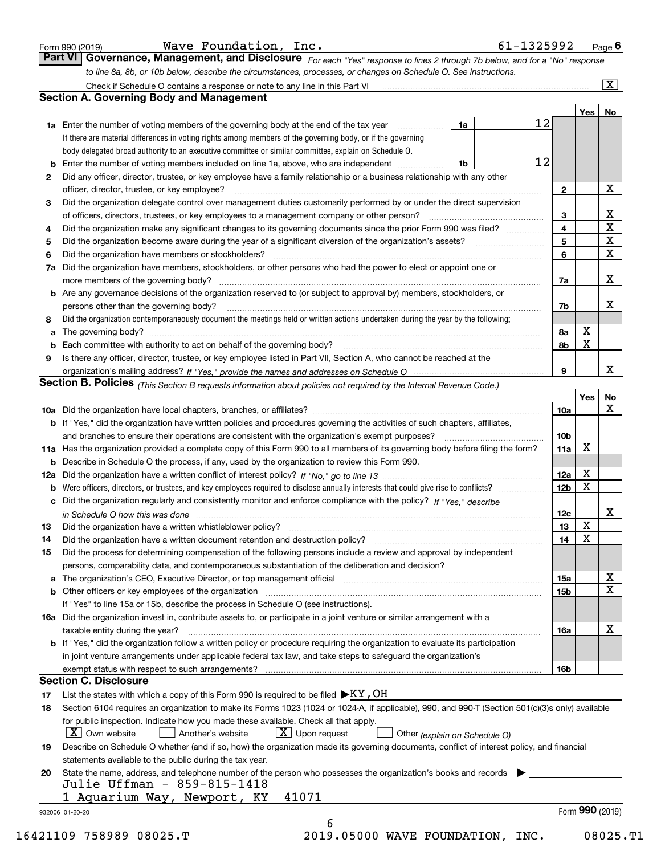| Form 990 (2019 |  |  |
|----------------|--|--|

| Wave Foundation,<br>Inc |  |
|-------------------------|--|
|-------------------------|--|

*For each "Yes" response to lines 2 through 7b below, and for a "No" response to line 8a, 8b, or 10b below, describe the circumstances, processes, or changes on Schedule O. See instructions.* Form 990 (2019) **Mave Foundation, Inc. (2016)** Form 990 (2019) **61–1325992** Page **6**<br>**Part VI Governance, Management, and Disclosure** For each "Yes" response to lines 2 through 7b below, and for a "No" response

|    |                                                                                                                                                                                                                                | 1a | 12 |                 | Yes   No        |                              |
|----|--------------------------------------------------------------------------------------------------------------------------------------------------------------------------------------------------------------------------------|----|----|-----------------|-----------------|------------------------------|
|    | <b>1a</b> Enter the number of voting members of the governing body at the end of the tax year<br>If there are material differences in voting rights among members of the governing body, or if the governing                   |    |    |                 |                 |                              |
|    |                                                                                                                                                                                                                                |    |    |                 |                 |                              |
|    | body delegated broad authority to an executive committee or similar committee, explain on Schedule O.                                                                                                                          |    | 12 |                 |                 |                              |
| b  | Enter the number of voting members included on line 1a, above, who are independent <i>manumum</i>                                                                                                                              | 1b |    |                 |                 |                              |
| 2  | Did any officer, director, trustee, or key employee have a family relationship or a business relationship with any other                                                                                                       |    |    |                 |                 | X                            |
|    | officer, director, trustee, or key employee?                                                                                                                                                                                   |    |    | $\mathbf{2}$    |                 |                              |
| 3  | Did the organization delegate control over management duties customarily performed by or under the direct supervision                                                                                                          |    |    |                 |                 |                              |
|    |                                                                                                                                                                                                                                |    |    | 3               |                 | X<br>$\overline{\texttt{x}}$ |
| 4  | Did the organization make any significant changes to its governing documents since the prior Form 990 was filed?                                                                                                               |    |    | 4               |                 | $\overline{\mathbf{x}}$      |
| 5  |                                                                                                                                                                                                                                |    |    | 5               |                 | $\overline{\mathbf{x}}$      |
| 6  | Did the organization have members or stockholders?                                                                                                                                                                             |    |    | 6               |                 |                              |
| 7a | Did the organization have members, stockholders, or other persons who had the power to elect or appoint one or                                                                                                                 |    |    |                 |                 |                              |
|    |                                                                                                                                                                                                                                |    |    | 7a              |                 | X                            |
|    | <b>b</b> Are any governance decisions of the organization reserved to (or subject to approval by) members, stockholders, or                                                                                                    |    |    |                 |                 |                              |
|    | persons other than the governing body?                                                                                                                                                                                         |    |    | 7b              |                 | X                            |
| 8  | Did the organization contemporaneously document the meetings held or written actions undertaken during the year by the following:                                                                                              |    |    |                 |                 |                              |
| a  |                                                                                                                                                                                                                                |    |    | 8а              | X               |                              |
|    |                                                                                                                                                                                                                                |    |    | 8b              | $\mathbf x$     |                              |
| 9  | Is there any officer, director, trustee, or key employee listed in Part VII, Section A, who cannot be reached at the                                                                                                           |    |    |                 |                 |                              |
|    |                                                                                                                                                                                                                                |    |    | 9               |                 | X                            |
|    | Section B. Policies <sub>(This</sub> Section B requests information about policies not required by the Internal Revenue Code.)                                                                                                 |    |    |                 |                 |                              |
|    |                                                                                                                                                                                                                                |    |    |                 | Yes             | No                           |
|    |                                                                                                                                                                                                                                |    |    | 10a             |                 | X                            |
|    | <b>b</b> If "Yes," did the organization have written policies and procedures governing the activities of such chapters, affiliates,                                                                                            |    |    |                 |                 |                              |
|    |                                                                                                                                                                                                                                |    |    | 10 <sub>b</sub> |                 |                              |
|    | 11a Has the organization provided a complete copy of this Form 990 to all members of its governing body before filing the form?                                                                                                |    |    | 11a             | X               |                              |
|    | <b>b</b> Describe in Schedule O the process, if any, used by the organization to review this Form 990.                                                                                                                         |    |    |                 |                 |                              |
|    |                                                                                                                                                                                                                                |    |    | 12a             | X               |                              |
|    |                                                                                                                                                                                                                                |    |    | 12 <sub>b</sub> | X               |                              |
|    | c Did the organization regularly and consistently monitor and enforce compliance with the policy? If "Yes," describe                                                                                                           |    |    |                 |                 |                              |
|    | in Schedule O how this was done measured and the control of the control of the state of the control of the control of the control of the control of the control of the control of the control of the control of the control of |    |    | 12c             |                 | X                            |
| 13 |                                                                                                                                                                                                                                |    |    | 13              | X               |                              |
| 14 |                                                                                                                                                                                                                                |    |    | 14              | X               |                              |
| 15 | Did the process for determining compensation of the following persons include a review and approval by independent                                                                                                             |    |    |                 |                 |                              |
|    | persons, comparability data, and contemporaneous substantiation of the deliberation and decision?                                                                                                                              |    |    |                 |                 |                              |
|    |                                                                                                                                                                                                                                |    |    | 15a             |                 | X                            |
|    |                                                                                                                                                                                                                                |    |    | 15b             |                 | $\overline{\mathbf{x}}$      |
|    | If "Yes" to line 15a or 15b, describe the process in Schedule O (see instructions).                                                                                                                                            |    |    |                 |                 |                              |
|    | 16a Did the organization invest in, contribute assets to, or participate in a joint venture or similar arrangement with a                                                                                                      |    |    |                 |                 |                              |
|    | taxable entity during the year?                                                                                                                                                                                                |    |    | 16a             |                 | $\mathbf X$                  |
|    | b If "Yes," did the organization follow a written policy or procedure requiring the organization to evaluate its participation                                                                                                 |    |    |                 |                 |                              |
|    | in joint venture arrangements under applicable federal tax law, and take steps to safeguard the organization's                                                                                                                 |    |    |                 |                 |                              |
|    |                                                                                                                                                                                                                                |    |    | 16b             |                 |                              |
|    | <b>Section C. Disclosure</b>                                                                                                                                                                                                   |    |    |                 |                 |                              |
| 17 | List the states with which a copy of this Form 990 is required to be filed $\blacktriangleright$ KY, OH                                                                                                                        |    |    |                 |                 |                              |
| 18 | Section 6104 requires an organization to make its Forms 1023 (1024 or 1024-A, if applicable), 990, and 990-T (Section 501(c)(3)s only) available                                                                               |    |    |                 |                 |                              |
|    | for public inspection. Indicate how you made these available. Check all that apply.                                                                                                                                            |    |    |                 |                 |                              |
|    | $X$ Upon request<br>$X$ Own website<br>Another's website<br>Other (explain on Schedule O)                                                                                                                                      |    |    |                 |                 |                              |
| 19 | Describe on Schedule O whether (and if so, how) the organization made its governing documents, conflict of interest policy, and financial                                                                                      |    |    |                 |                 |                              |
|    | statements available to the public during the tax year.                                                                                                                                                                        |    |    |                 |                 |                              |
| 20 | State the name, address, and telephone number of the person who possesses the organization's books and records                                                                                                                 |    |    |                 |                 |                              |
|    | Julie Uffman - 859-815-1418                                                                                                                                                                                                    |    |    |                 |                 |                              |
|    | 41071<br>1 Aquarium Way, Newport, KY                                                                                                                                                                                           |    |    |                 |                 |                              |
|    |                                                                                                                                                                                                                                |    |    |                 | Form 990 (2019) |                              |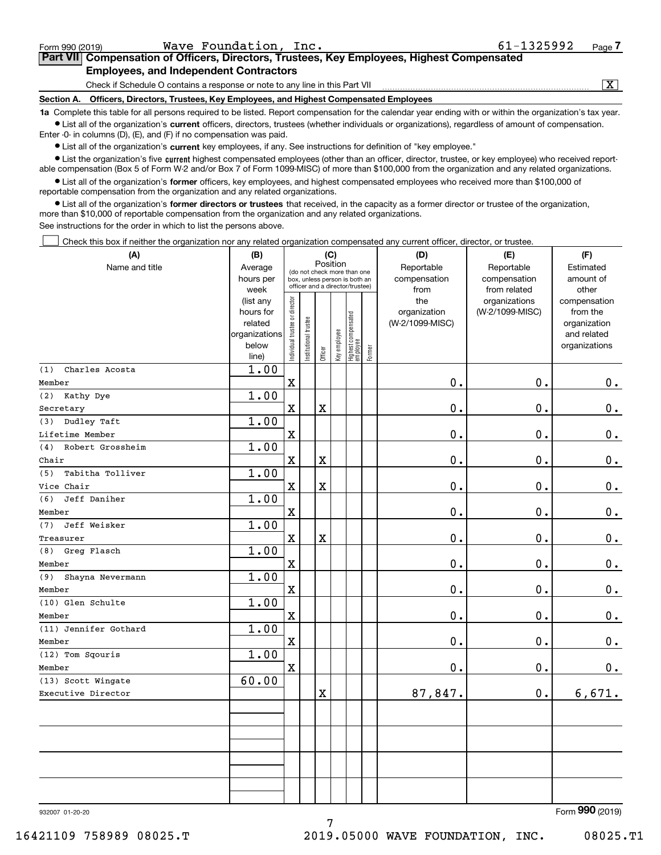| Form 990 (2019) | Wave Foundation, Inc.                                                                                                                                             | 61-1325992 | Page 7 |
|-----------------|-------------------------------------------------------------------------------------------------------------------------------------------------------------------|------------|--------|
|                 | Part VII Compensation of Officers, Directors, Trustees, Key Employees, Highest Compensated                                                                        |            |        |
|                 | <b>Employees, and Independent Contractors</b>                                                                                                                     |            |        |
|                 | Check if Schedule O contains a response or note to any line in this Part VII                                                                                      |            |        |
| Section A.      | Officers, Directors, Trustees, Key Employees, and Highest Compensated Employees                                                                                   |            |        |
|                 | <b>1a</b> Complete this table for all persons required to be listed. Report compensation for the calendar year ending with or within the organization's tax year. |            |        |

**1a •** List all of the organization's current officers, directors, trustees (whether individuals or organizations), regardless of amount of compensation. Complete this table for all persons required to be listed. Report compensation for the calendar year ending with or within the organization's tax year. Enter -0- in columns (D), (E), and (F) if no compensation was paid.

 $\bullet$  List all of the organization's  $\,$ current key employees, if any. See instructions for definition of "key employee."

**•** List the organization's five current highest compensated employees (other than an officer, director, trustee, or key employee) who received reportable compensation (Box 5 of Form W-2 and/or Box 7 of Form 1099-MISC) of more than \$100,000 from the organization and any related organizations.

**•** List all of the organization's former officers, key employees, and highest compensated employees who received more than \$100,000 of reportable compensation from the organization and any related organizations.

**former directors or trustees**  ¥ List all of the organization's that received, in the capacity as a former director or trustee of the organization, more than \$10,000 of reportable compensation from the organization and any related organizations.

See instructions for the order in which to list the persons above.

Check this box if neither the organization nor any related organization compensated any current officer, director, or trustee.  $\mathcal{L}^{\text{max}}$ 

| (A)                     | (B)                    |                               |                                                                  | (C)                     |              |                                   |        | (D)                             | (E)             | (F)                       |
|-------------------------|------------------------|-------------------------------|------------------------------------------------------------------|-------------------------|--------------|-----------------------------------|--------|---------------------------------|-----------------|---------------------------|
| Name and title          | Average                |                               | (do not check more than one                                      |                         | Position     |                                   |        | Reportable                      | Reportable      | Estimated                 |
|                         | hours per              |                               | box, unless person is both an<br>officer and a director/trustee) |                         |              |                                   |        | compensation                    | compensation    | amount of                 |
|                         | week                   |                               |                                                                  |                         |              |                                   |        | from                            | from related    | other                     |
|                         | (list any<br>hours for | ndividual trustee or director |                                                                  |                         |              |                                   |        | the                             | organizations   | compensation<br>from the  |
|                         | related                |                               |                                                                  |                         |              |                                   |        | organization<br>(W-2/1099-MISC) | (W-2/1099-MISC) | organization              |
|                         | organizations          |                               |                                                                  |                         |              |                                   |        |                                 |                 | and related               |
|                         | below                  |                               | nstitutional trustee                                             |                         | Key employee |                                   |        |                                 |                 | organizations             |
|                         | line)                  |                               |                                                                  | Officer                 |              | Highest compensated<br>  employee | Former |                                 |                 |                           |
| Charles Acosta<br>(1)   | 1.00                   |                               |                                                                  |                         |              |                                   |        |                                 |                 |                           |
| Member                  |                        | $\mathbf X$                   |                                                                  |                         |              |                                   |        | 0.                              | 0.              | 0.                        |
| (2)<br>Kathy Dye        | 1.00                   |                               |                                                                  |                         |              |                                   |        |                                 |                 |                           |
| Secretary               |                        | $\mathbf x$                   |                                                                  | $\overline{\text{X}}$   |              |                                   |        | 0.                              | $\mathbf 0$ .   | $0_{.}$                   |
| Dudley Taft<br>(3)      | 1.00                   |                               |                                                                  |                         |              |                                   |        |                                 |                 |                           |
| Lifetime Member         |                        | $\rm X$                       |                                                                  |                         |              |                                   |        | 0.                              | $\mathbf 0$ .   | $0_{.}$                   |
| Robert Grossheim<br>(4) | 1.00                   |                               |                                                                  |                         |              |                                   |        |                                 |                 |                           |
| Chair                   |                        | X                             |                                                                  | $\overline{\textbf{X}}$ |              |                                   |        | 0.                              | $\mathbf 0$ .   | $\mathbf 0$ .             |
| (5)<br>Tabitha Tolliver | 1.00                   |                               |                                                                  |                         |              |                                   |        |                                 |                 |                           |
| Vice Chair              |                        | $\mathbf X$                   |                                                                  | $\overline{\textbf{X}}$ |              |                                   |        | 0.                              | $\mathbf 0$ .   | $\mathbf 0$ .             |
| Jeff Daniher<br>(6)     | 1.00                   |                               |                                                                  |                         |              |                                   |        |                                 |                 |                           |
| Member                  |                        | $\mathbf X$                   |                                                                  |                         |              |                                   |        | 0.                              | $\mathbf 0$ .   | $\mathbf 0$ .             |
| Jeff Weisker<br>(7)     | 1.00                   |                               |                                                                  |                         |              |                                   |        |                                 |                 |                           |
| Treasurer               |                        | $\mathbf X$                   |                                                                  | $\overline{\textbf{X}}$ |              |                                   |        | 0.                              | $\mathbf 0$ .   | $0_{.}$                   |
| (8)<br>Greg Flasch      | 1.00                   |                               |                                                                  |                         |              |                                   |        |                                 |                 |                           |
| Member                  |                        | $\mathbf X$                   |                                                                  |                         |              |                                   |        | 0.                              | 0.              | 0.                        |
| (9)<br>Shayna Nevermann | 1.00                   |                               |                                                                  |                         |              |                                   |        |                                 |                 |                           |
| Member                  |                        | X                             |                                                                  |                         |              |                                   |        | 0.                              | $\mathbf 0$ .   | 0.                        |
| (10) Glen Schulte       | 1.00                   |                               |                                                                  |                         |              |                                   |        |                                 |                 |                           |
| Member                  |                        | $\rm X$                       |                                                                  |                         |              |                                   |        | 0.                              | $\mathbf 0$ .   | $0_{.}$                   |
| (11) Jennifer Gothard   | 1.00                   |                               |                                                                  |                         |              |                                   |        |                                 |                 |                           |
| Member                  |                        | X                             |                                                                  |                         |              |                                   |        | 0.                              | $\mathbf 0$ .   | $\mathbf 0$ .             |
| (12) Tom Sqouris        | 1.00                   |                               |                                                                  |                         |              |                                   |        |                                 |                 |                           |
| Member                  |                        | $\mathbf x$                   |                                                                  |                         |              |                                   |        | 0.                              | $\mathbf 0$ .   | 0.                        |
| (13) Scott Wingate      | 60.00                  |                               |                                                                  |                         |              |                                   |        |                                 |                 |                           |
| Executive Director      |                        |                               |                                                                  | $\overline{\textbf{X}}$ |              |                                   |        | 87,847.                         | $\mathbf 0$ .   | 6,671.                    |
|                         |                        |                               |                                                                  |                         |              |                                   |        |                                 |                 |                           |
|                         |                        |                               |                                                                  |                         |              |                                   |        |                                 |                 |                           |
|                         |                        |                               |                                                                  |                         |              |                                   |        |                                 |                 |                           |
|                         |                        |                               |                                                                  |                         |              |                                   |        |                                 |                 |                           |
|                         |                        |                               |                                                                  |                         |              |                                   |        |                                 |                 |                           |
|                         |                        |                               |                                                                  |                         |              |                                   |        |                                 |                 |                           |
|                         |                        |                               |                                                                  |                         |              |                                   |        |                                 |                 |                           |
|                         |                        |                               |                                                                  |                         |              |                                   |        |                                 |                 | $000 \times 10$<br>$\sim$ |

7

932007 01-20-20

Form (2019) **990**

16421109 758989 08025.T 2019.05000 WAVE FOUNDATION, INC. 08025.T1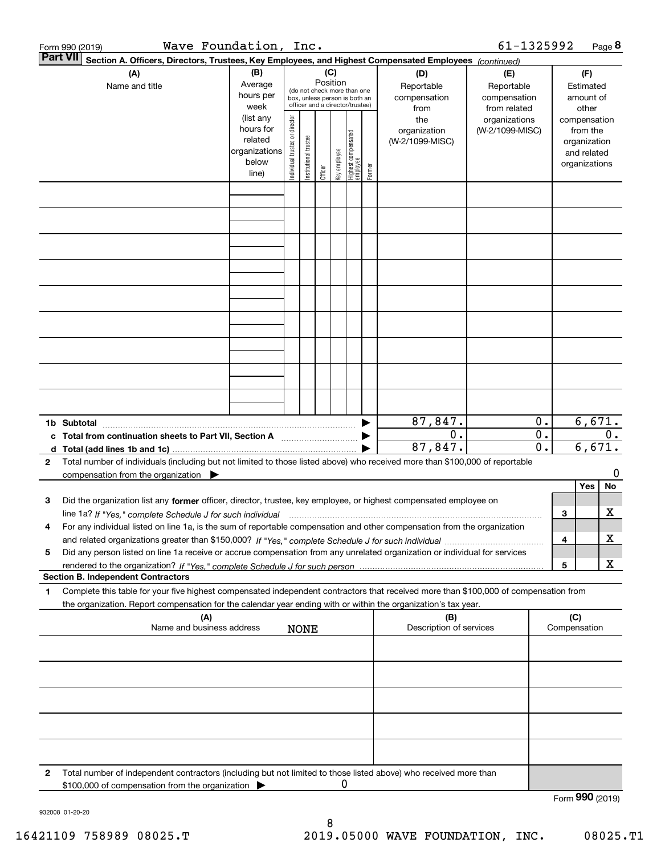|                 | Wave Foundation, Inc.<br>Form 990 (2019)                                                                                             |                          |                                |                       |          |              |                                         |        |                         | 61-1325992      |                  |              |               | Page 8          |
|-----------------|--------------------------------------------------------------------------------------------------------------------------------------|--------------------------|--------------------------------|-----------------------|----------|--------------|-----------------------------------------|--------|-------------------------|-----------------|------------------|--------------|---------------|-----------------|
| <b>Part VII</b> | Section A. Officers, Directors, Trustees, Key Employees, and Highest Compensated Employees (continued)                               |                          |                                |                       |          |              |                                         |        |                         |                 |                  |              |               |                 |
|                 | (A)                                                                                                                                  | (B)                      |                                |                       | (C)      |              |                                         |        | (D)                     | (E)             |                  |              | (F)           |                 |
|                 | Name and title                                                                                                                       | Average                  |                                |                       | Position |              | (do not check more than one             |        | Reportable              | Reportable      |                  |              | Estimated     |                 |
|                 |                                                                                                                                      | hours per                |                                |                       |          |              | box, unless person is both an           |        | compensation            | compensation    |                  |              | amount of     |                 |
|                 |                                                                                                                                      | week                     |                                |                       |          |              | officer and a director/trustee)         |        | from                    | from related    |                  |              | other         |                 |
|                 |                                                                                                                                      | (list any                |                                |                       |          |              |                                         |        | the                     | organizations   |                  |              | compensation  |                 |
|                 |                                                                                                                                      | hours for                |                                |                       |          |              |                                         |        | organization            | (W-2/1099-MISC) |                  |              | from the      |                 |
|                 |                                                                                                                                      | related<br>organizations |                                |                       |          |              |                                         |        | (W-2/1099-MISC)         |                 |                  |              | organization  |                 |
|                 |                                                                                                                                      | below                    |                                |                       |          |              |                                         |        |                         |                 |                  |              | and related   |                 |
|                 |                                                                                                                                      | line)                    | Individual trustee or director | Institutional trustee | Officer  | key employee | <br>  Highest compensated<br>  employee | Former |                         |                 |                  |              | organizations |                 |
|                 |                                                                                                                                      |                          |                                |                       |          |              |                                         |        |                         |                 |                  |              |               |                 |
|                 |                                                                                                                                      |                          |                                |                       |          |              |                                         |        |                         |                 |                  |              |               |                 |
|                 |                                                                                                                                      |                          |                                |                       |          |              |                                         |        |                         |                 |                  |              |               |                 |
|                 |                                                                                                                                      |                          |                                |                       |          |              |                                         |        |                         |                 |                  |              |               |                 |
|                 |                                                                                                                                      |                          |                                |                       |          |              |                                         |        |                         |                 |                  |              |               |                 |
|                 |                                                                                                                                      |                          |                                |                       |          |              |                                         |        |                         |                 |                  |              |               |                 |
|                 |                                                                                                                                      |                          |                                |                       |          |              |                                         |        |                         |                 |                  |              |               |                 |
|                 |                                                                                                                                      |                          |                                |                       |          |              |                                         |        |                         |                 |                  |              |               |                 |
|                 |                                                                                                                                      |                          |                                |                       |          |              |                                         |        |                         |                 |                  |              |               |                 |
|                 |                                                                                                                                      |                          |                                |                       |          |              |                                         |        |                         |                 |                  |              |               |                 |
|                 |                                                                                                                                      |                          |                                |                       |          |              |                                         |        |                         |                 |                  |              |               |                 |
|                 |                                                                                                                                      |                          |                                |                       |          |              |                                         |        |                         |                 |                  |              |               |                 |
|                 |                                                                                                                                      |                          |                                |                       |          |              |                                         |        |                         |                 |                  |              |               |                 |
|                 |                                                                                                                                      |                          |                                |                       |          |              |                                         |        |                         |                 |                  |              |               |                 |
|                 |                                                                                                                                      |                          |                                |                       |          |              |                                         |        |                         |                 |                  |              |               |                 |
|                 |                                                                                                                                      |                          |                                |                       |          |              |                                         |        |                         |                 |                  |              |               |                 |
|                 |                                                                                                                                      |                          |                                |                       |          |              |                                         |        |                         |                 |                  |              |               |                 |
|                 |                                                                                                                                      |                          |                                |                       |          |              |                                         |        |                         |                 |                  |              |               |                 |
|                 |                                                                                                                                      |                          |                                |                       |          |              |                                         |        | 87,847.                 |                 | 0.               |              |               | 6,671.          |
|                 | c Total from continuation sheets to Part VII, Section A                                                                              |                          |                                |                       |          |              |                                         |        | $\overline{0}$ .        |                 | $\overline{0}$ . |              |               | $0$ .           |
|                 |                                                                                                                                      |                          |                                |                       |          |              |                                         |        | 87,847.                 |                 | 0.               |              |               | 6,671.          |
| $\mathbf{2}$    | Total number of individuals (including but not limited to those listed above) who received more than \$100,000 of reportable         |                          |                                |                       |          |              |                                         |        |                         |                 |                  |              |               |                 |
|                 | compensation from the organization                                                                                                   |                          |                                |                       |          |              |                                         |        |                         |                 |                  |              |               | 0               |
|                 |                                                                                                                                      |                          |                                |                       |          |              |                                         |        |                         |                 |                  |              | Yes           | No              |
| 3               | Did the organization list any former officer, director, trustee, key employee, or highest compensated employee on                    |                          |                                |                       |          |              |                                         |        |                         |                 |                  |              |               |                 |
|                 | line 1a? If "Yes," complete Schedule J for such individual manumanamental contents and the numerous manumaname                       |                          |                                |                       |          |              |                                         |        |                         |                 |                  | З            |               | х               |
|                 | For any individual listed on line 1a, is the sum of reportable compensation and other compensation from the organization             |                          |                                |                       |          |              |                                         |        |                         |                 |                  |              |               |                 |
|                 |                                                                                                                                      |                          |                                |                       |          |              |                                         |        |                         |                 |                  | 4            |               | х               |
| 5               | Did any person listed on line 1a receive or accrue compensation from any unrelated organization or individual for services           |                          |                                |                       |          |              |                                         |        |                         |                 |                  |              |               |                 |
|                 |                                                                                                                                      |                          |                                |                       |          |              |                                         |        |                         |                 |                  | 5            |               | х               |
|                 | <b>Section B. Independent Contractors</b>                                                                                            |                          |                                |                       |          |              |                                         |        |                         |                 |                  |              |               |                 |
| 1               | Complete this table for your five highest compensated independent contractors that received more than \$100,000 of compensation from |                          |                                |                       |          |              |                                         |        |                         |                 |                  |              |               |                 |
|                 | the organization. Report compensation for the calendar year ending with or within the organization's tax year.                       |                          |                                |                       |          |              |                                         |        |                         |                 |                  |              |               |                 |
|                 | (A)                                                                                                                                  |                          |                                |                       |          |              |                                         |        | (B)                     |                 |                  | (C)          |               |                 |
|                 | Name and business address                                                                                                            |                          |                                | <b>NONE</b>           |          |              |                                         |        | Description of services |                 |                  | Compensation |               |                 |
|                 |                                                                                                                                      |                          |                                |                       |          |              |                                         |        |                         |                 |                  |              |               |                 |
|                 |                                                                                                                                      |                          |                                |                       |          |              |                                         |        |                         |                 |                  |              |               |                 |
|                 |                                                                                                                                      |                          |                                |                       |          |              |                                         |        |                         |                 |                  |              |               |                 |
|                 |                                                                                                                                      |                          |                                |                       |          |              |                                         |        |                         |                 |                  |              |               |                 |
|                 |                                                                                                                                      |                          |                                |                       |          |              |                                         |        |                         |                 |                  |              |               |                 |
|                 |                                                                                                                                      |                          |                                |                       |          |              |                                         |        |                         |                 |                  |              |               |                 |
|                 |                                                                                                                                      |                          |                                |                       |          |              |                                         |        |                         |                 |                  |              |               |                 |
|                 |                                                                                                                                      |                          |                                |                       |          |              |                                         |        |                         |                 |                  |              |               |                 |
|                 |                                                                                                                                      |                          |                                |                       |          |              |                                         |        |                         |                 |                  |              |               |                 |
|                 |                                                                                                                                      |                          |                                |                       |          |              |                                         |        |                         |                 |                  |              |               |                 |
| 2               | Total number of independent contractors (including but not limited to those listed above) who received more than                     |                          |                                |                       |          |              |                                         |        |                         |                 |                  |              |               |                 |
|                 | \$100,000 of compensation from the organization                                                                                      |                          |                                |                       |          | 0            |                                         |        |                         |                 |                  |              |               |                 |
|                 |                                                                                                                                      |                          |                                |                       |          |              |                                         |        |                         |                 |                  |              |               | Form 990 (2019) |

932008 01-20-20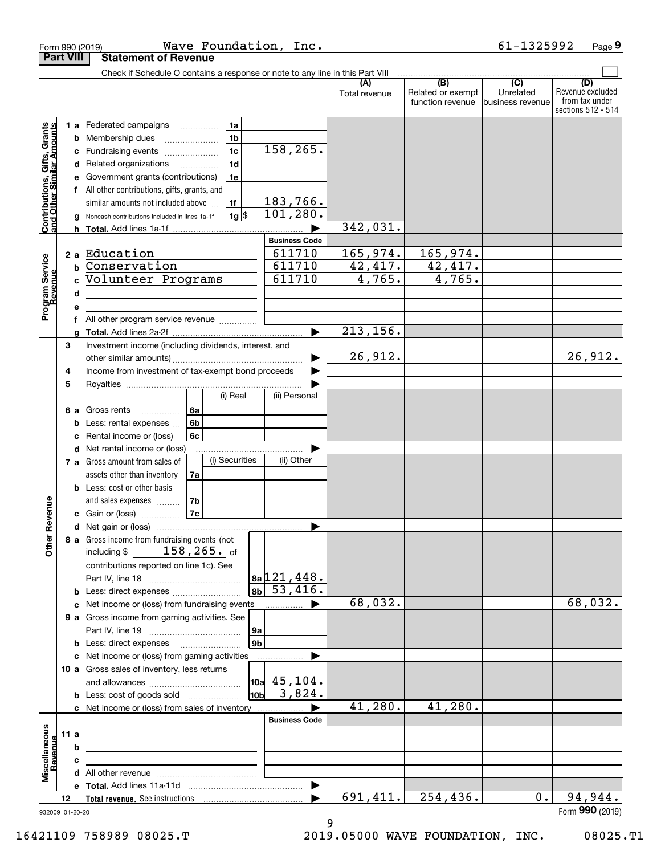|                                                           |                  | Wave Foundation,<br>Inc.<br>Form 990 (2019)                                             |                      |                                              | 61-1325992                                        | Page 9                                                          |
|-----------------------------------------------------------|------------------|-----------------------------------------------------------------------------------------|----------------------|----------------------------------------------|---------------------------------------------------|-----------------------------------------------------------------|
|                                                           | <b>Part VIII</b> | <b>Statement of Revenue</b>                                                             |                      |                                              |                                                   |                                                                 |
|                                                           |                  | Check if Schedule O contains a response or note to any line in this Part VIII           |                      |                                              |                                                   |                                                                 |
|                                                           |                  |                                                                                         | (A)<br>Total revenue | (B)<br>Related or exempt<br>function revenue | $\overline{(C)}$<br>Unrelated<br>business revenue | (D)<br>Revenue excluded<br>from tax under<br>sections 512 - 514 |
|                                                           |                  | 1a<br><b>1 a</b> Federated campaigns                                                    |                      |                                              |                                                   |                                                                 |
| Contributions, Gifts, Grants<br>and Other Similar Amounts |                  | 1 <sub>b</sub><br><b>b</b> Membership dues<br>$\ldots \ldots \ldots \ldots \ldots$      |                      |                                              |                                                   |                                                                 |
|                                                           |                  | 158,265.<br>1 <sub>c</sub><br>c Fundraising events                                      |                      |                                              |                                                   |                                                                 |
|                                                           |                  | 1 <sub>d</sub><br>d Related organizations                                               |                      |                                              |                                                   |                                                                 |
|                                                           | е                | 1e<br>Government grants (contributions)                                                 |                      |                                              |                                                   |                                                                 |
|                                                           |                  | f All other contributions, gifts, grants, and                                           |                      |                                              |                                                   |                                                                 |
|                                                           |                  | 183,766.<br>1f<br>similar amounts not included above                                    |                      |                                              |                                                   |                                                                 |
|                                                           | a                | 101, 280.<br>$1g$ \$<br>Noncash contributions included in lines 1a-1f                   |                      |                                              |                                                   |                                                                 |
|                                                           |                  |                                                                                         | 342,031.             |                                              |                                                   |                                                                 |
|                                                           |                  | <b>Business Code</b>                                                                    |                      |                                              |                                                   |                                                                 |
|                                                           |                  | 611710<br>2 a Education                                                                 | 165,974.             | 165,974.                                     |                                                   |                                                                 |
|                                                           |                  | 611710<br><b>b</b> Conservation                                                         | 42,417.              | 42,417.                                      |                                                   |                                                                 |
|                                                           |                  | 611710<br>c Volunteer Programs                                                          | $\overline{4,765}$ . | 4,765.                                       |                                                   |                                                                 |
| Program Service<br>Revenue                                | d                | <u> 1989 - Johann Barbara, martxa alemaniar a</u>                                       |                      |                                              |                                                   |                                                                 |
|                                                           | е                |                                                                                         |                      |                                              |                                                   |                                                                 |
|                                                           | f                | All other program service revenue                                                       |                      |                                              |                                                   |                                                                 |
|                                                           | g                |                                                                                         | 213, 156.            |                                              |                                                   |                                                                 |
|                                                           | 3                | Investment income (including dividends, interest, and                                   |                      |                                              |                                                   |                                                                 |
|                                                           |                  |                                                                                         | 26,912.              |                                              |                                                   | 26,912.                                                         |
|                                                           | 4                | Income from investment of tax-exempt bond proceeds                                      |                      |                                              |                                                   |                                                                 |
|                                                           | 5                |                                                                                         |                      |                                              |                                                   |                                                                 |
|                                                           |                  | (i) Real<br>(ii) Personal                                                               |                      |                                              |                                                   |                                                                 |
|                                                           |                  | 6a<br><b>6 a</b> Gross rents<br>.                                                       |                      |                                              |                                                   |                                                                 |
|                                                           |                  | 6b<br><b>b</b> Less: rental expenses                                                    |                      |                                              |                                                   |                                                                 |
|                                                           | с                | Rental income or (loss)<br>6c                                                           |                      |                                              |                                                   |                                                                 |
|                                                           |                  | d Net rental income or (loss)                                                           |                      |                                              |                                                   |                                                                 |
|                                                           |                  | (i) Securities<br>(ii) Other<br>7 a Gross amount from sales of                          |                      |                                              |                                                   |                                                                 |
|                                                           |                  | assets other than inventory<br>7a                                                       |                      |                                              |                                                   |                                                                 |
|                                                           |                  | <b>b</b> Less: cost or other basis                                                      |                      |                                              |                                                   |                                                                 |
|                                                           |                  | 7b<br>and sales expenses                                                                |                      |                                              |                                                   |                                                                 |
| evenue                                                    |                  | 7c<br>c Gain or (loss)                                                                  |                      |                                              |                                                   |                                                                 |
|                                                           |                  |                                                                                         |                      |                                              |                                                   |                                                                 |
| Other R                                                   |                  | 8 a Gross income from fundraising events (not                                           |                      |                                              |                                                   |                                                                 |
|                                                           |                  | including $$158, 265$ of                                                                |                      |                                              |                                                   |                                                                 |
|                                                           |                  | contributions reported on line 1c). See                                                 |                      |                                              |                                                   |                                                                 |
|                                                           |                  | $ a_1 $ 21, 448.                                                                        |                      |                                              |                                                   |                                                                 |
|                                                           |                  | $8b \mid 53,416$ .<br><b>b</b> Less: direct expenses                                    |                      |                                              |                                                   |                                                                 |
|                                                           |                  |                                                                                         | 68,032.              |                                              |                                                   | 68,032.                                                         |
|                                                           |                  | 9 a Gross income from gaming activities. See                                            |                      |                                              |                                                   |                                                                 |
|                                                           |                  | 9а                                                                                      |                      |                                              |                                                   |                                                                 |
|                                                           |                  | 9 <sub>b</sub><br><b>b</b> Less: direct expenses <b>manually</b>                        |                      |                                              |                                                   |                                                                 |
|                                                           |                  | c Net income or (loss) from gaming activities<br>.                                      |                      |                                              |                                                   |                                                                 |
|                                                           |                  | 10 a Gross sales of inventory, less returns                                             |                      |                                              |                                                   |                                                                 |
|                                                           |                  | $\vert$ 10a 45,104.                                                                     |                      |                                              |                                                   |                                                                 |
|                                                           |                  | $\begin{vmatrix} 10b & 3 \\ 3 & 824 \end{vmatrix}$<br><b>b</b> Less: cost of goods sold |                      |                                              |                                                   |                                                                 |
|                                                           |                  | c Net income or (loss) from sales of inventory                                          | 41,280.              | 41,280.                                      |                                                   |                                                                 |
|                                                           |                  | <b>Business Code</b>                                                                    |                      |                                              |                                                   |                                                                 |
|                                                           | 11 a             | <u> 1989 - Andrea Stadt Britain, amerikansk politiker (</u>                             |                      |                                              |                                                   |                                                                 |
| anuevel                                                   | b                | <u> 2008 - John Stein, Amerikaansk politiker (</u>                                      |                      |                                              |                                                   |                                                                 |
|                                                           | c                | the contract of the contract of the contract of the contract of the contract of         |                      |                                              |                                                   |                                                                 |
| Miscellaneous                                             |                  |                                                                                         |                      |                                              |                                                   |                                                                 |
|                                                           |                  | ▶                                                                                       |                      |                                              |                                                   |                                                                 |
|                                                           | 12               |                                                                                         | 691,411.             | 254, 436.                                    | 0.                                                | 94,944.                                                         |
|                                                           | 932009 01-20-20  |                                                                                         |                      |                                              |                                                   | Form 990 (2019)                                                 |

9

16421109 758989 08025.T 2019.05000 WAVE FOUNDATION, INC. 08025.T1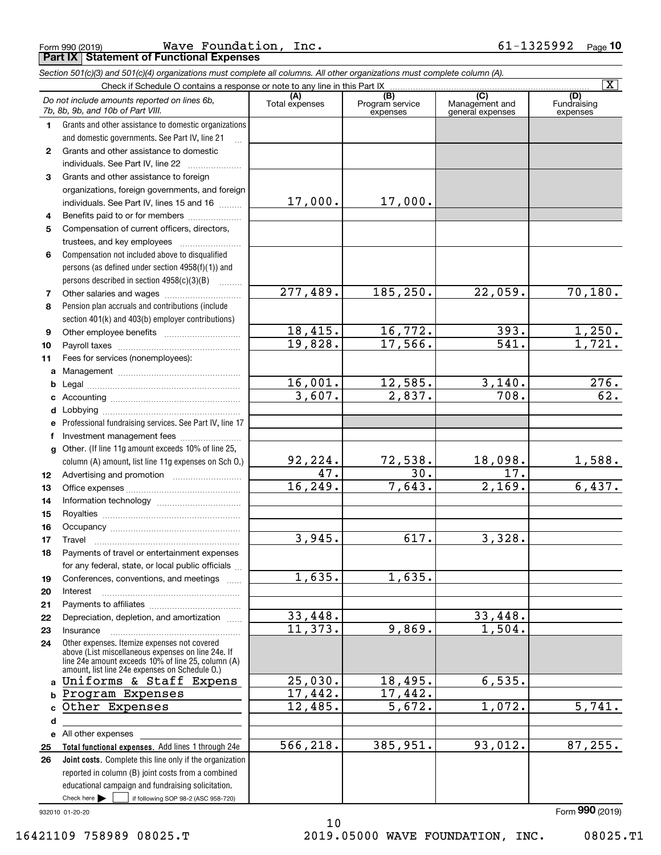Form 990 (2019) Wave Foundation, Inc. 6 $1\text{--}13$ 25992  $\,$   $_{\rm Page}$ **Part IX Statement of Functional Expenses**

|              | Section 501(c)(3) and 501(c)(4) organizations must complete all columns. All other organizations must complete column (A).                                                                                 |                        |                                    |                                                      |                                |
|--------------|------------------------------------------------------------------------------------------------------------------------------------------------------------------------------------------------------------|------------------------|------------------------------------|------------------------------------------------------|--------------------------------|
|              | Check if Schedule O contains a response or note to any line in this Part IX                                                                                                                                |                        |                                    |                                                      | $\overline{\mathbf{x}}$        |
|              | Do not include amounts reported on lines 6b,<br>7b, 8b, 9b, and 10b of Part VIII.                                                                                                                          | (A)<br>Total expenses  | (B)<br>Program service<br>expenses | $\overline{C}$<br>Management and<br>general expenses | (D)<br>Fundraising<br>expenses |
| 1.           | Grants and other assistance to domestic organizations                                                                                                                                                      |                        |                                    |                                                      |                                |
|              | and domestic governments. See Part IV, line 21                                                                                                                                                             |                        |                                    |                                                      |                                |
| $\mathbf{2}$ | Grants and other assistance to domestic                                                                                                                                                                    |                        |                                    |                                                      |                                |
|              | individuals. See Part IV, line 22                                                                                                                                                                          |                        |                                    |                                                      |                                |
| 3            | Grants and other assistance to foreign                                                                                                                                                                     |                        |                                    |                                                      |                                |
|              | organizations, foreign governments, and foreign                                                                                                                                                            |                        |                                    |                                                      |                                |
|              | individuals. See Part IV, lines 15 and 16                                                                                                                                                                  | 17,000.                | 17,000.                            |                                                      |                                |
| 4            | Benefits paid to or for members                                                                                                                                                                            |                        |                                    |                                                      |                                |
| 5            | Compensation of current officers, directors,                                                                                                                                                               |                        |                                    |                                                      |                                |
|              | trustees, and key employees                                                                                                                                                                                |                        |                                    |                                                      |                                |
| 6            | Compensation not included above to disqualified                                                                                                                                                            |                        |                                    |                                                      |                                |
|              | persons (as defined under section 4958(f)(1)) and                                                                                                                                                          |                        |                                    |                                                      |                                |
|              | persons described in section 4958(c)(3)(B)                                                                                                                                                                 |                        |                                    |                                                      |                                |
| 7            | Other salaries and wages                                                                                                                                                                                   | 277,489.               | 185, 250.                          | 22,059.                                              | 70, 180.                       |
| 8            | Pension plan accruals and contributions (include                                                                                                                                                           |                        |                                    |                                                      |                                |
|              | section 401(k) and 403(b) employer contributions)                                                                                                                                                          |                        |                                    |                                                      |                                |
| 9            |                                                                                                                                                                                                            | 18,415.                | 16,772.                            | 393.                                                 | 1,250.                         |
| 10           |                                                                                                                                                                                                            | 19,828.                | 17,566.                            | 541.                                                 | 1,721.                         |
| 11           | Fees for services (nonemployees):                                                                                                                                                                          |                        |                                    |                                                      |                                |
|              |                                                                                                                                                                                                            |                        |                                    |                                                      |                                |
| b            |                                                                                                                                                                                                            | 16,001.                | 12,585.                            | 3,140.                                               | 276.                           |
| c            |                                                                                                                                                                                                            | 3,607.                 | 2,837.                             | 708.                                                 | $\overline{62}$ .              |
| d            |                                                                                                                                                                                                            |                        |                                    |                                                      |                                |
|              | e Professional fundraising services. See Part IV, line 17                                                                                                                                                  |                        |                                    |                                                      |                                |
| f            | Investment management fees                                                                                                                                                                                 |                        |                                    |                                                      |                                |
| q            | Other. (If line 11g amount exceeds 10% of line 25,                                                                                                                                                         |                        |                                    |                                                      |                                |
|              | column (A) amount, list line 11g expenses on Sch 0.)                                                                                                                                                       | 92, 224.               | 72,538.                            | 18,098.                                              | 1,588.                         |
| 12           |                                                                                                                                                                                                            | 47.                    | $\overline{30}$ .                  | 17.                                                  |                                |
| 13           |                                                                                                                                                                                                            | 16, 249.               | 7,643.                             | 2,169.                                               | 6,437.                         |
| 14           |                                                                                                                                                                                                            |                        |                                    |                                                      |                                |
| 15           |                                                                                                                                                                                                            |                        |                                    |                                                      |                                |
| 16           |                                                                                                                                                                                                            |                        |                                    |                                                      |                                |
| 17           |                                                                                                                                                                                                            | 3,945.                 | 617.                               | 3,328.                                               |                                |
| 18           | Payments of travel or entertainment expenses                                                                                                                                                               |                        |                                    |                                                      |                                |
|              | for any federal, state, or local public officials                                                                                                                                                          |                        |                                    |                                                      |                                |
| 19           | Conferences, conventions, and meetings                                                                                                                                                                     | 1,635.                 | 1,635.                             |                                                      |                                |
| 20           | Interest                                                                                                                                                                                                   |                        |                                    |                                                      |                                |
| 21           |                                                                                                                                                                                                            |                        |                                    |                                                      |                                |
| 22           | Depreciation, depletion, and amortization                                                                                                                                                                  | 33,448.                |                                    | 33,448.                                              |                                |
| 23           | Insurance                                                                                                                                                                                                  | 11,373.                | 9,869.                             | 1,504.                                               |                                |
| 24           | Other expenses. Itemize expenses not covered<br>above (List miscellaneous expenses on line 24e. If<br>line 24e amount exceeds 10% of line 25, column (A)<br>amount, list line 24e expenses on Schedule O.) |                        |                                    |                                                      |                                |
|              | a Uniforms & Staff Expens                                                                                                                                                                                  | 25,030.                | 18,495.                            | 6, 535.                                              |                                |
| b            | Program Expenses                                                                                                                                                                                           | 17,442.                | 17,442.                            |                                                      |                                |
| c            | Other Expenses                                                                                                                                                                                             | 12,485.                | 5,672.                             | 1,072.                                               | 5,741.                         |
| d            |                                                                                                                                                                                                            |                        |                                    |                                                      |                                |
|              | e All other expenses                                                                                                                                                                                       |                        |                                    |                                                      |                                |
| 25           | Total functional expenses. Add lines 1 through 24e                                                                                                                                                         | $\overline{566, 218.}$ | 385,951.                           | 93,012.                                              | 87, 255.                       |
| 26           | Joint costs. Complete this line only if the organization                                                                                                                                                   |                        |                                    |                                                      |                                |
|              | reported in column (B) joint costs from a combined                                                                                                                                                         |                        |                                    |                                                      |                                |
|              | educational campaign and fundraising solicitation.                                                                                                                                                         |                        |                                    |                                                      |                                |
|              | Check here         if following SOP 98-2 (ASC 958-720)                                                                                                                                                     |                        |                                    |                                                      |                                |

10

932010 01-20-20

16421109 758989 08025.T 2019.05000 WAVE FOUNDATION, INC. 08025.T1

Form (2019) **990**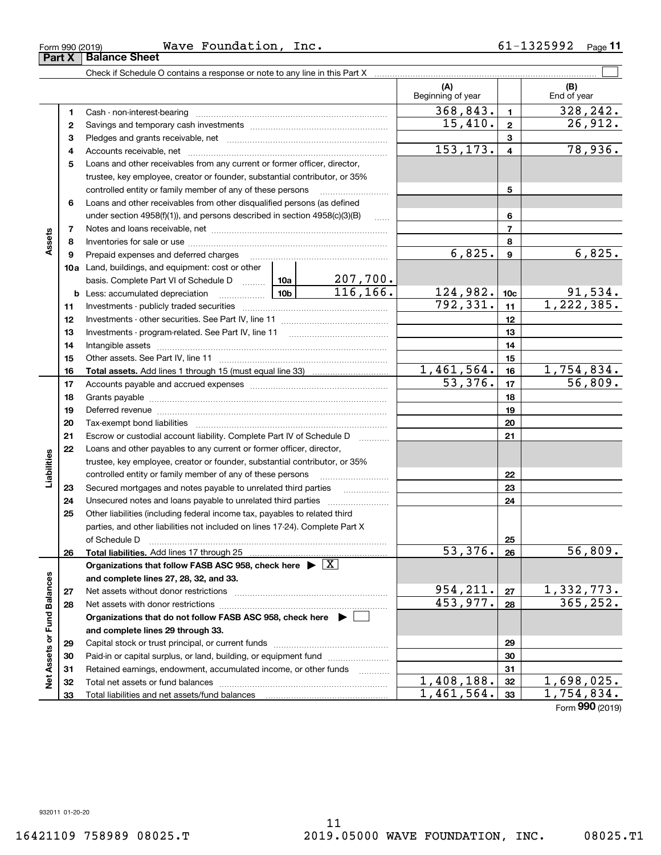Form 990 (2019) Wave Foundation, Inc. 6 $1\text{--}13$ 25992  $\,$   $_{\rm Page}$ 

|                             |    |                                                                                                                                                                                                                                                                                                                                                                                                                                                               |  |                 | (A)<br>Beginning of year |                | (B)<br>End of year                      |
|-----------------------------|----|---------------------------------------------------------------------------------------------------------------------------------------------------------------------------------------------------------------------------------------------------------------------------------------------------------------------------------------------------------------------------------------------------------------------------------------------------------------|--|-----------------|--------------------------|----------------|-----------------------------------------|
|                             | 1  | Cash - non-interest-bearing                                                                                                                                                                                                                                                                                                                                                                                                                                   |  |                 | 368,843.                 | $\mathbf 1$    | 328, 242.                               |
|                             | 2  |                                                                                                                                                                                                                                                                                                                                                                                                                                                               |  |                 | 15,410.                  | $\overline{2}$ | 26,912.                                 |
|                             | З  |                                                                                                                                                                                                                                                                                                                                                                                                                                                               |  |                 |                          | 3              |                                         |
|                             | 4  |                                                                                                                                                                                                                                                                                                                                                                                                                                                               |  |                 | 153, 173.                | $\overline{4}$ | 78,936.                                 |
|                             | 5  | Loans and other receivables from any current or former officer, director,                                                                                                                                                                                                                                                                                                                                                                                     |  |                 |                          |                |                                         |
|                             |    | trustee, key employee, creator or founder, substantial contributor, or 35%                                                                                                                                                                                                                                                                                                                                                                                    |  |                 |                          |                |                                         |
|                             |    | controlled entity or family member of any of these persons                                                                                                                                                                                                                                                                                                                                                                                                    |  |                 |                          | 5              |                                         |
|                             | 6  | Loans and other receivables from other disqualified persons (as defined                                                                                                                                                                                                                                                                                                                                                                                       |  |                 |                          |                |                                         |
|                             |    | under section $4958(f)(1)$ , and persons described in section $4958(c)(3)(B)$                                                                                                                                                                                                                                                                                                                                                                                 |  | 1.1.1.1.1       |                          | 6              |                                         |
|                             | 7  |                                                                                                                                                                                                                                                                                                                                                                                                                                                               |  |                 | 7                        |                |                                         |
| Assets                      | 8  |                                                                                                                                                                                                                                                                                                                                                                                                                                                               |  |                 |                          | 8              |                                         |
|                             | 9  | Prepaid expenses and deferred charges                                                                                                                                                                                                                                                                                                                                                                                                                         |  |                 | 6,825.                   | 9              | 6,825.                                  |
|                             |    | <b>10a</b> Land, buildings, and equipment: cost or other                                                                                                                                                                                                                                                                                                                                                                                                      |  |                 |                          |                |                                         |
|                             |    | basis. Complete Part VI of Schedule D  10a                                                                                                                                                                                                                                                                                                                                                                                                                    |  | <u>207,700.</u> |                          |                |                                         |
|                             |    |                                                                                                                                                                                                                                                                                                                                                                                                                                                               |  | 116, 166.       | 124,982.                 | 10c            | 91,534.                                 |
|                             | 11 |                                                                                                                                                                                                                                                                                                                                                                                                                                                               |  | 792, 331.       | 11                       | 1,222,385.     |                                         |
|                             | 12 |                                                                                                                                                                                                                                                                                                                                                                                                                                                               |  |                 | 12                       |                |                                         |
|                             | 13 |                                                                                                                                                                                                                                                                                                                                                                                                                                                               |  | 13              |                          |                |                                         |
|                             | 14 |                                                                                                                                                                                                                                                                                                                                                                                                                                                               |  | 14              |                          |                |                                         |
|                             | 15 |                                                                                                                                                                                                                                                                                                                                                                                                                                                               |  | 15              |                          |                |                                         |
|                             | 16 |                                                                                                                                                                                                                                                                                                                                                                                                                                                               |  |                 | 1,461,564.               | 16             | 1,754,834.                              |
|                             | 17 |                                                                                                                                                                                                                                                                                                                                                                                                                                                               |  |                 | $\overline{53,376}$ .    | 17             | 56,809.                                 |
|                             | 18 |                                                                                                                                                                                                                                                                                                                                                                                                                                                               |  | 18              |                          |                |                                         |
|                             | 19 | Deferred revenue manual contracts and contracts are contracted and contract and contract are contracted and contract are contracted and contract are contracted and contract are contracted and contract are contracted and co                                                                                                                                                                                                                                |  |                 |                          | 19             |                                         |
|                             | 20 |                                                                                                                                                                                                                                                                                                                                                                                                                                                               |  |                 |                          | 20             |                                         |
|                             | 21 | Escrow or custodial account liability. Complete Part IV of Schedule D                                                                                                                                                                                                                                                                                                                                                                                         |  |                 |                          | 21             |                                         |
|                             | 22 | Loans and other payables to any current or former officer, director,                                                                                                                                                                                                                                                                                                                                                                                          |  |                 |                          |                |                                         |
|                             |    | trustee, key employee, creator or founder, substantial contributor, or 35%                                                                                                                                                                                                                                                                                                                                                                                    |  |                 |                          |                |                                         |
| Liabilities                 |    | controlled entity or family member of any of these persons                                                                                                                                                                                                                                                                                                                                                                                                    |  |                 |                          | 22             |                                         |
|                             | 23 | Secured mortgages and notes payable to unrelated third parties                                                                                                                                                                                                                                                                                                                                                                                                |  | .               |                          | 23             |                                         |
|                             | 24 |                                                                                                                                                                                                                                                                                                                                                                                                                                                               |  |                 |                          | 24             |                                         |
|                             | 25 | Other liabilities (including federal income tax, payables to related third                                                                                                                                                                                                                                                                                                                                                                                    |  |                 |                          |                |                                         |
|                             |    | parties, and other liabilities not included on lines 17-24). Complete Part X                                                                                                                                                                                                                                                                                                                                                                                  |  |                 |                          |                |                                         |
|                             |    | of Schedule D<br>$\begin{minipage}[b]{0.9\textwidth} \centering \begin{tabular}{ l l l } \hline & \multicolumn{1}{ l l l } \hline \multicolumn{1}{ l l } \multicolumn{1}{ l } \multicolumn{1}{ l } \multicolumn{1}{ l } \multicolumn{1}{ l } \multicolumn{1}{ l } \multicolumn{1}{ l } \multicolumn{1}{ l } \multicolumn{1}{ l } \multicolumn{1}{ l } \multicolumn{1}{ l } \multicolumn{1}{ l } \multicolumn{1}{ l } \multicolumn{1}{ l } \multicolumn{1}{ l$ |  |                 |                          | 25             |                                         |
|                             | 26 | Total liabilities. Add lines 17 through 25                                                                                                                                                                                                                                                                                                                                                                                                                    |  |                 | 53,376.                  | 26             | 56,809.                                 |
|                             |    | Organizations that follow FASB ASC 958, check here $\blacktriangleright \boxed{X}$                                                                                                                                                                                                                                                                                                                                                                            |  |                 |                          |                |                                         |
|                             |    | and complete lines 27, 28, 32, and 33.                                                                                                                                                                                                                                                                                                                                                                                                                        |  |                 |                          |                |                                         |
|                             | 27 | Net assets without donor restrictions                                                                                                                                                                                                                                                                                                                                                                                                                         |  |                 | 954, 211.                | 27             | 1, 332, 773.                            |
|                             | 28 |                                                                                                                                                                                                                                                                                                                                                                                                                                                               |  |                 | 453,977.                 | 28             | 365,252.                                |
|                             |    | Organizations that do not follow FASB ASC 958, check here $\blacktriangleright$                                                                                                                                                                                                                                                                                                                                                                               |  |                 |                          |                |                                         |
|                             |    | and complete lines 29 through 33.                                                                                                                                                                                                                                                                                                                                                                                                                             |  |                 |                          |                |                                         |
|                             | 29 |                                                                                                                                                                                                                                                                                                                                                                                                                                                               |  |                 |                          | 29             |                                         |
|                             | 30 | Paid-in or capital surplus, or land, building, or equipment fund                                                                                                                                                                                                                                                                                                                                                                                              |  |                 |                          | 30             |                                         |
| Net Assets or Fund Balances | 31 | Retained earnings, endowment, accumulated income, or other funds                                                                                                                                                                                                                                                                                                                                                                                              |  | .               | 1,408,188.               | 31             |                                         |
|                             | 32 |                                                                                                                                                                                                                                                                                                                                                                                                                                                               |  |                 | 1,461,564.               | 32             | 1,698,025.<br>$\overline{1, 754, 834.}$ |
|                             | 33 |                                                                                                                                                                                                                                                                                                                                                                                                                                                               |  |                 |                          | 33             |                                         |

Form (2019) **990**

932011 01-20-20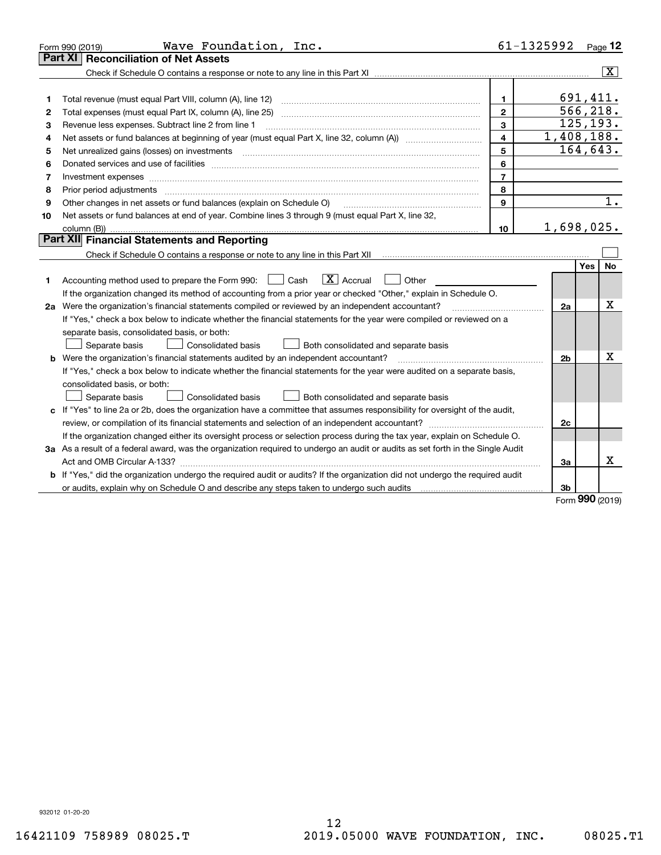|    | Wave Foundation, Inc.<br>Form 990 (2019)                                                                                                                                                                                       |                                       | 61-1325992     |     | Page 12        |
|----|--------------------------------------------------------------------------------------------------------------------------------------------------------------------------------------------------------------------------------|---------------------------------------|----------------|-----|----------------|
|    | <b>Reconciliation of Net Assets</b><br>Part XI                                                                                                                                                                                 |                                       |                |     |                |
|    |                                                                                                                                                                                                                                |                                       |                |     | $ \mathbf{X} $ |
|    |                                                                                                                                                                                                                                |                                       |                |     |                |
| 1  | Total revenue (must equal Part VIII, column (A), line 12)                                                                                                                                                                      | 1.                                    | 691,411.       |     |                |
| 2  | Total expenses (must equal Part IX, column (A), line 25)                                                                                                                                                                       | $\mathbf{2}$                          | 566, 218.      |     |                |
| 3  | Revenue less expenses. Subtract line 2 from line 1                                                                                                                                                                             | $\overline{\mathbf{3}}$               | 125, 193.      |     |                |
| 4  |                                                                                                                                                                                                                                | $\overline{4}$                        | 1,408,188.     |     |                |
| 5  |                                                                                                                                                                                                                                | 5                                     | 164,643.       |     |                |
| 6  | Donated services and use of facilities [111] Donated and the service of facilities [11] Donated services and use of facilities [11] Donated and the service of the service of the service of the service of the service of the | 6                                     |                |     |                |
| 7  | Investment expenses www.communication.com/www.communication.com/www.communication.com/www.communication.com                                                                                                                    | $\overline{7}$                        |                |     |                |
| 8  | Prior period adjustments                                                                                                                                                                                                       | 8                                     |                |     |                |
| 9  | Other changes in net assets or fund balances (explain on Schedule O)                                                                                                                                                           | 9                                     |                |     | $1$ .          |
| 10 | Net assets or fund balances at end of year. Combine lines 3 through 9 (must equal Part X, line 32,                                                                                                                             |                                       |                |     |                |
|    |                                                                                                                                                                                                                                | 10                                    | 1,698,025.     |     |                |
|    | Part XII Financial Statements and Reporting                                                                                                                                                                                    |                                       |                |     |                |
|    |                                                                                                                                                                                                                                |                                       |                |     |                |
|    |                                                                                                                                                                                                                                |                                       |                | Yes | <b>No</b>      |
| 1  | $\boxed{\text{X}}$ Accrual<br>Accounting method used to prepare the Form 990: <u>[</u> Cash<br>Other                                                                                                                           |                                       |                |     |                |
|    | If the organization changed its method of accounting from a prior year or checked "Other," explain in Schedule O.                                                                                                              |                                       |                |     |                |
|    | 2a Were the organization's financial statements compiled or reviewed by an independent accountant?                                                                                                                             | <u> 1986 - Jan Barbarat, martin a</u> | 2a             |     | X              |
|    | If "Yes," check a box below to indicate whether the financial statements for the year were compiled or reviewed on a                                                                                                           |                                       |                |     |                |
|    | separate basis, consolidated basis, or both:                                                                                                                                                                                   |                                       |                |     |                |
|    | Separate basis<br>Consolidated basis<br>Both consolidated and separate basis                                                                                                                                                   |                                       |                |     |                |
|    | <b>b</b> Were the organization's financial statements audited by an independent accountant?                                                                                                                                    |                                       | 2 <sub>b</sub> |     | х              |
|    | If "Yes," check a box below to indicate whether the financial statements for the year were audited on a separate basis,                                                                                                        |                                       |                |     |                |
|    | consolidated basis, or both:                                                                                                                                                                                                   |                                       |                |     |                |
|    | <b>Consolidated basis</b><br>Both consolidated and separate basis<br>Separate basis                                                                                                                                            |                                       |                |     |                |
|    | c If "Yes" to line 2a or 2b, does the organization have a committee that assumes responsibility for oversight of the audit,                                                                                                    |                                       |                |     |                |
|    | review, or compilation of its financial statements and selection of an independent accountant?                                                                                                                                 |                                       | 2c             |     |                |
|    | If the organization changed either its oversight process or selection process during the tax year, explain on Schedule O.                                                                                                      |                                       |                |     |                |
|    | 3a As a result of a federal award, was the organization required to undergo an audit or audits as set forth in the Single Audit                                                                                                |                                       |                |     |                |
|    |                                                                                                                                                                                                                                |                                       | 3a             |     | x              |
|    | b If "Yes," did the organization undergo the required audit or audits? If the organization did not undergo the required audit                                                                                                  |                                       |                |     |                |
|    | or audits, explain why on Schedule O and describe any steps taken to undergo such audits [11] contains the school of audits [11] or audits [11] or audits [11] or audits [11] or audits [11] or audits [11] or audits [11] or  |                                       | 3 <sub>b</sub> | 000 |                |

Form (2019) **990**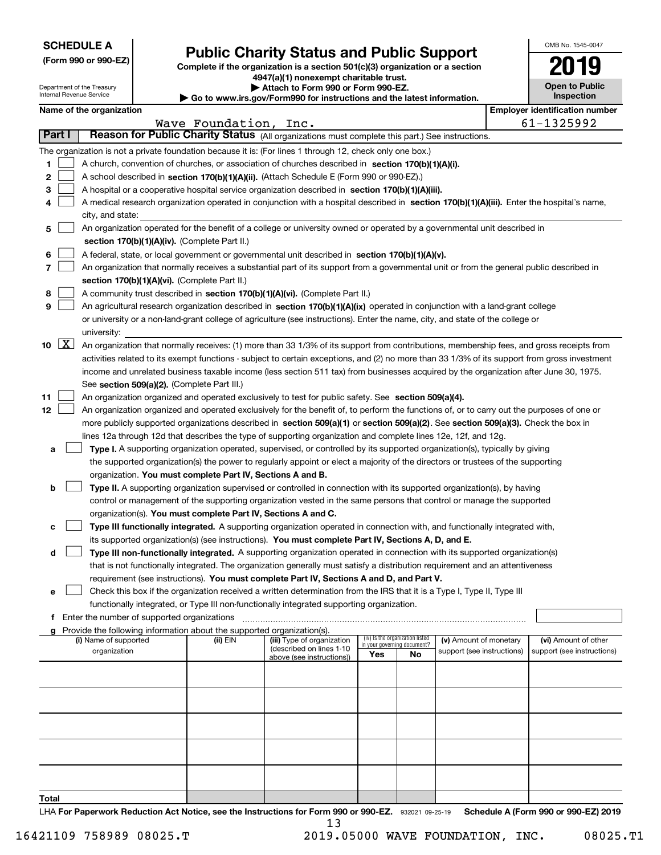| <b>SCHEDULE A</b> |
|-------------------|
|-------------------|

Department of the Treasury Internal Revenue Service

**(Form 990 or 990-EZ)**

# **Public Charity Status and Public Support**

**Complete if the organization is a section 501(c)(3) organization or a section 4947(a)(1) nonexempt charitable trust. | Attach to Form 990 or Form 990-EZ.**   $\blacktriangleright$  Go to w

|  | vww.irs.gov/Form990 for instructions and the latest information. |  |
|--|------------------------------------------------------------------|--|
|  |                                                                  |  |

| OMB No. 1545-0047                   |
|-------------------------------------|
| 2019                                |
| <b>Open to Public</b><br>Inspection |

| Name of the organization |  |
|--------------------------|--|
|--------------------------|--|

|        |                                               | Name of the organization                                                                                                                      |                       |                                                        |                             |                                 |                                                      |  | <b>Employer identification number</b>              |  |  |
|--------|-----------------------------------------------|-----------------------------------------------------------------------------------------------------------------------------------------------|-----------------------|--------------------------------------------------------|-----------------------------|---------------------------------|------------------------------------------------------|--|----------------------------------------------------|--|--|
| Part I |                                               |                                                                                                                                               | Wave Foundation, Inc. |                                                        |                             |                                 |                                                      |  | 61-1325992                                         |  |  |
|        |                                               | Reason for Public Charity Status (All organizations must complete this part.) See instructions.                                               |                       |                                                        |                             |                                 |                                                      |  |                                                    |  |  |
|        |                                               | The organization is not a private foundation because it is: (For lines 1 through 12, check only one box.)                                     |                       |                                                        |                             |                                 |                                                      |  |                                                    |  |  |
| 1      |                                               | A church, convention of churches, or association of churches described in section 170(b)(1)(A)(i).                                            |                       |                                                        |                             |                                 |                                                      |  |                                                    |  |  |
| 2      |                                               | A school described in section 170(b)(1)(A)(ii). (Attach Schedule E (Form 990 or 990-EZ).)                                                     |                       |                                                        |                             |                                 |                                                      |  |                                                    |  |  |
| з      |                                               | A hospital or a cooperative hospital service organization described in section $170(b)(1)(A)(iii)$ .                                          |                       |                                                        |                             |                                 |                                                      |  |                                                    |  |  |
| 4      |                                               | A medical research organization operated in conjunction with a hospital described in section 170(b)(1)(A)(iii). Enter the hospital's name,    |                       |                                                        |                             |                                 |                                                      |  |                                                    |  |  |
|        |                                               | city, and state:                                                                                                                              |                       |                                                        |                             |                                 |                                                      |  |                                                    |  |  |
| 5      |                                               | An organization operated for the benefit of a college or university owned or operated by a governmental unit described in                     |                       |                                                        |                             |                                 |                                                      |  |                                                    |  |  |
|        | section 170(b)(1)(A)(iv). (Complete Part II.) |                                                                                                                                               |                       |                                                        |                             |                                 |                                                      |  |                                                    |  |  |
| 6      |                                               | A federal, state, or local government or governmental unit described in section 170(b)(1)(A)(v).                                              |                       |                                                        |                             |                                 |                                                      |  |                                                    |  |  |
| 7      |                                               | An organization that normally receives a substantial part of its support from a governmental unit or from the general public described in     |                       |                                                        |                             |                                 |                                                      |  |                                                    |  |  |
|        |                                               | section 170(b)(1)(A)(vi). (Complete Part II.)                                                                                                 |                       |                                                        |                             |                                 |                                                      |  |                                                    |  |  |
| 8      |                                               | A community trust described in section 170(b)(1)(A)(vi). (Complete Part II.)                                                                  |                       |                                                        |                             |                                 |                                                      |  |                                                    |  |  |
| 9      |                                               | An agricultural research organization described in section 170(b)(1)(A)(ix) operated in conjunction with a land-grant college                 |                       |                                                        |                             |                                 |                                                      |  |                                                    |  |  |
|        |                                               | or university or a non-land-grant college of agriculture (see instructions). Enter the name, city, and state of the college or                |                       |                                                        |                             |                                 |                                                      |  |                                                    |  |  |
|        |                                               | university:                                                                                                                                   |                       |                                                        |                             |                                 |                                                      |  |                                                    |  |  |
|        | $10 \quad \boxed{X}$                          | An organization that normally receives: (1) more than 33 1/3% of its support from contributions, membership fees, and gross receipts from     |                       |                                                        |                             |                                 |                                                      |  |                                                    |  |  |
|        |                                               | activities related to its exempt functions - subject to certain exceptions, and (2) no more than 33 1/3% of its support from gross investment |                       |                                                        |                             |                                 |                                                      |  |                                                    |  |  |
|        |                                               | income and unrelated business taxable income (less section 511 tax) from businesses acquired by the organization after June 30, 1975.         |                       |                                                        |                             |                                 |                                                      |  |                                                    |  |  |
|        |                                               | See section 509(a)(2). (Complete Part III.)                                                                                                   |                       |                                                        |                             |                                 |                                                      |  |                                                    |  |  |
| 11     |                                               | An organization organized and operated exclusively to test for public safety. See section 509(a)(4).                                          |                       |                                                        |                             |                                 |                                                      |  |                                                    |  |  |
| 12     |                                               | An organization organized and operated exclusively for the benefit of, to perform the functions of, or to carry out the purposes of one or    |                       |                                                        |                             |                                 |                                                      |  |                                                    |  |  |
|        |                                               | more publicly supported organizations described in section 509(a)(1) or section 509(a)(2). See section 509(a)(3). Check the box in            |                       |                                                        |                             |                                 |                                                      |  |                                                    |  |  |
|        |                                               | lines 12a through 12d that describes the type of supporting organization and complete lines 12e, 12f, and 12g.                                |                       |                                                        |                             |                                 |                                                      |  |                                                    |  |  |
| а      |                                               | Type I. A supporting organization operated, supervised, or controlled by its supported organization(s), typically by giving                   |                       |                                                        |                             |                                 |                                                      |  |                                                    |  |  |
|        |                                               | the supported organization(s) the power to regularly appoint or elect a majority of the directors or trustees of the supporting               |                       |                                                        |                             |                                 |                                                      |  |                                                    |  |  |
|        |                                               | organization. You must complete Part IV, Sections A and B.                                                                                    |                       |                                                        |                             |                                 |                                                      |  |                                                    |  |  |
| b      |                                               | Type II. A supporting organization supervised or controlled in connection with its supported organization(s), by having                       |                       |                                                        |                             |                                 |                                                      |  |                                                    |  |  |
|        |                                               | control or management of the supporting organization vested in the same persons that control or manage the supported                          |                       |                                                        |                             |                                 |                                                      |  |                                                    |  |  |
|        |                                               | organization(s). You must complete Part IV, Sections A and C.                                                                                 |                       |                                                        |                             |                                 |                                                      |  |                                                    |  |  |
| с      |                                               | Type III functionally integrated. A supporting organization operated in connection with, and functionally integrated with,                    |                       |                                                        |                             |                                 |                                                      |  |                                                    |  |  |
|        |                                               | its supported organization(s) (see instructions). You must complete Part IV, Sections A, D, and E.                                            |                       |                                                        |                             |                                 |                                                      |  |                                                    |  |  |
| d      |                                               | Type III non-functionally integrated. A supporting organization operated in connection with its supported organization(s)                     |                       |                                                        |                             |                                 |                                                      |  |                                                    |  |  |
|        |                                               | that is not functionally integrated. The organization generally must satisfy a distribution requirement and an attentiveness                  |                       |                                                        |                             |                                 |                                                      |  |                                                    |  |  |
|        |                                               | requirement (see instructions). You must complete Part IV, Sections A and D, and Part V.                                                      |                       |                                                        |                             |                                 |                                                      |  |                                                    |  |  |
|        |                                               | Check this box if the organization received a written determination from the IRS that it is a Type I, Type II, Type III                       |                       |                                                        |                             |                                 |                                                      |  |                                                    |  |  |
|        |                                               | functionally integrated, or Type III non-functionally integrated supporting organization.                                                     |                       |                                                        |                             |                                 |                                                      |  |                                                    |  |  |
|        |                                               | f Enter the number of supported organizations                                                                                                 |                       |                                                        |                             |                                 |                                                      |  |                                                    |  |  |
|        |                                               | g Provide the following information about the supported organization(s).                                                                      |                       |                                                        |                             | (iv) Is the organization listed |                                                      |  |                                                    |  |  |
|        |                                               | (i) Name of supported<br>organization                                                                                                         | (ii) EIN              | (iii) Type of organization<br>(described on lines 1-10 | in your governing document? |                                 | (v) Amount of monetary<br>support (see instructions) |  | (vi) Amount of other<br>support (see instructions) |  |  |
|        |                                               |                                                                                                                                               |                       | above (see instructions))                              | Yes                         | No                              |                                                      |  |                                                    |  |  |
|        |                                               |                                                                                                                                               |                       |                                                        |                             |                                 |                                                      |  |                                                    |  |  |
|        |                                               |                                                                                                                                               |                       |                                                        |                             |                                 |                                                      |  |                                                    |  |  |
|        |                                               |                                                                                                                                               |                       |                                                        |                             |                                 |                                                      |  |                                                    |  |  |
|        |                                               |                                                                                                                                               |                       |                                                        |                             |                                 |                                                      |  |                                                    |  |  |
|        |                                               |                                                                                                                                               |                       |                                                        |                             |                                 |                                                      |  |                                                    |  |  |
|        |                                               |                                                                                                                                               |                       |                                                        |                             |                                 |                                                      |  |                                                    |  |  |
|        |                                               |                                                                                                                                               |                       |                                                        |                             |                                 |                                                      |  |                                                    |  |  |
|        |                                               |                                                                                                                                               |                       |                                                        |                             |                                 |                                                      |  |                                                    |  |  |
|        |                                               |                                                                                                                                               |                       |                                                        |                             |                                 |                                                      |  |                                                    |  |  |
| Total  |                                               |                                                                                                                                               |                       |                                                        |                             |                                 |                                                      |  |                                                    |  |  |
|        |                                               |                                                                                                                                               |                       |                                                        |                             |                                 |                                                      |  |                                                    |  |  |

LHA For Paperwork Reduction Act Notice, see the Instructions for Form 990 or 990-EZ. 932021 09-25-19 Schedule A (Form 990 or 990-EZ) 2019 13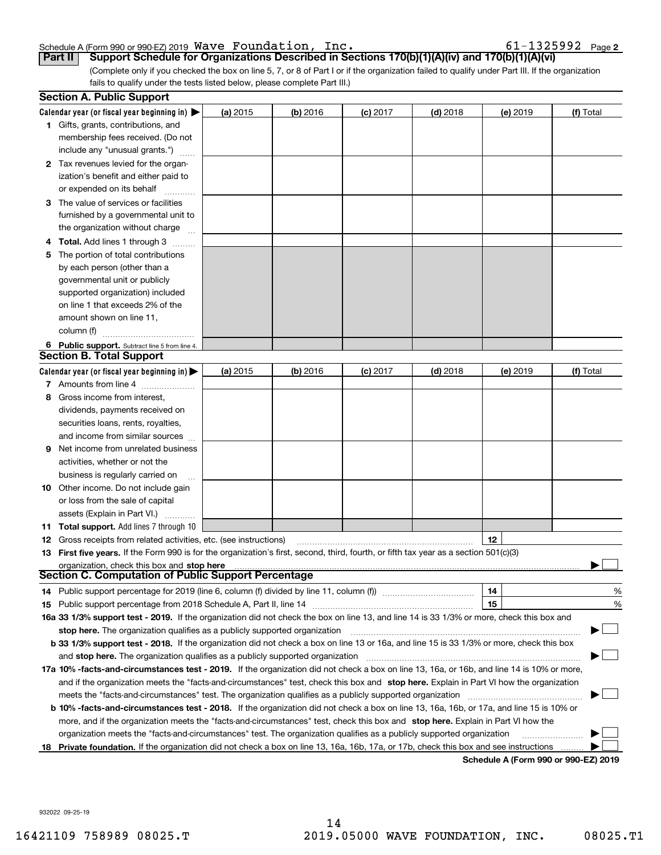#### Schedule A (Form 990 or 990-EZ) 2019 <code>Wave Foundation, Inc.</code>  $\blacksquare$ Wave Foundation, Inc.  $61-1325992$

**2**

(Complete only if you checked the box on line 5, 7, or 8 of Part I or if the organization failed to qualify under Part III. If the organization fails to qualify under the tests listed below, please complete Part III.) **Part II Support Schedule for Organizations Described in Sections 170(b)(1)(A)(iv) and 170(b)(1)(A)(vi)**

|    | <b>Section A. Public Support</b>                                                                                                               |            |            |            |            |          |                                      |
|----|------------------------------------------------------------------------------------------------------------------------------------------------|------------|------------|------------|------------|----------|--------------------------------------|
|    | Calendar year (or fiscal year beginning in) $\blacktriangleright$                                                                              | (a) 2015   | $(b)$ 2016 | $(c)$ 2017 | $(d)$ 2018 | (e) 2019 | (f) Total                            |
|    | 1 Gifts, grants, contributions, and                                                                                                            |            |            |            |            |          |                                      |
|    | membership fees received. (Do not                                                                                                              |            |            |            |            |          |                                      |
|    | include any "unusual grants.")                                                                                                                 |            |            |            |            |          |                                      |
|    | 2 Tax revenues levied for the organ-                                                                                                           |            |            |            |            |          |                                      |
|    | ization's benefit and either paid to                                                                                                           |            |            |            |            |          |                                      |
|    | or expended on its behalf                                                                                                                      |            |            |            |            |          |                                      |
|    | 3 The value of services or facilities                                                                                                          |            |            |            |            |          |                                      |
|    | furnished by a governmental unit to                                                                                                            |            |            |            |            |          |                                      |
|    | the organization without charge                                                                                                                |            |            |            |            |          |                                      |
|    | 4 Total. Add lines 1 through 3                                                                                                                 |            |            |            |            |          |                                      |
| 5. | The portion of total contributions                                                                                                             |            |            |            |            |          |                                      |
|    | by each person (other than a                                                                                                                   |            |            |            |            |          |                                      |
|    | governmental unit or publicly                                                                                                                  |            |            |            |            |          |                                      |
|    | supported organization) included                                                                                                               |            |            |            |            |          |                                      |
|    | on line 1 that exceeds 2% of the                                                                                                               |            |            |            |            |          |                                      |
|    | amount shown on line 11,                                                                                                                       |            |            |            |            |          |                                      |
|    | column (f)                                                                                                                                     |            |            |            |            |          |                                      |
|    | 6 Public support. Subtract line 5 from line 4.                                                                                                 |            |            |            |            |          |                                      |
|    | <b>Section B. Total Support</b>                                                                                                                |            |            |            |            |          |                                      |
|    | Calendar year (or fiscal year beginning in)                                                                                                    | (a) $2015$ | $(b)$ 2016 | $(c)$ 2017 | $(d)$ 2018 | (e) 2019 | (f) Total                            |
|    | 7 Amounts from line 4                                                                                                                          |            |            |            |            |          |                                      |
|    | 8 Gross income from interest,                                                                                                                  |            |            |            |            |          |                                      |
|    | dividends, payments received on                                                                                                                |            |            |            |            |          |                                      |
|    | securities loans, rents, royalties,                                                                                                            |            |            |            |            |          |                                      |
|    | and income from similar sources                                                                                                                |            |            |            |            |          |                                      |
| 9. | Net income from unrelated business                                                                                                             |            |            |            |            |          |                                      |
|    | activities, whether or not the                                                                                                                 |            |            |            |            |          |                                      |
|    | business is regularly carried on                                                                                                               |            |            |            |            |          |                                      |
|    | <b>10</b> Other income. Do not include gain                                                                                                    |            |            |            |            |          |                                      |
|    | or loss from the sale of capital                                                                                                               |            |            |            |            |          |                                      |
|    | assets (Explain in Part VI.)                                                                                                                   |            |            |            |            |          |                                      |
|    | 11 Total support. Add lines 7 through 10                                                                                                       |            |            |            |            |          |                                      |
|    | <b>12</b> Gross receipts from related activities, etc. (see instructions)                                                                      |            |            |            |            | 12       |                                      |
|    | 13 First five years. If the Form 990 is for the organization's first, second, third, fourth, or fifth tax year as a section 501(c)(3)          |            |            |            |            |          |                                      |
|    | organization, check this box and stop here<br>Section C. Computation of Public Support Percentage                                              |            |            |            |            |          |                                      |
|    |                                                                                                                                                |            |            |            |            |          |                                      |
|    | 14 Public support percentage for 2019 (line 6, column (f) divided by line 11, column (f) <i>mummeronom</i>                                     |            |            |            |            | 14       | %                                    |
|    |                                                                                                                                                |            |            |            |            | 15       | %                                    |
|    | 16a 33 1/3% support test - 2019. If the organization did not check the box on line 13, and line 14 is 33 1/3% or more, check this box and      |            |            |            |            |          |                                      |
|    | stop here. The organization qualifies as a publicly supported organization                                                                     |            |            |            |            |          | ▔▁▏                                  |
|    | b 33 1/3% support test - 2018. If the organization did not check a box on line 13 or 16a, and line 15 is 33 1/3% or more, check this box       |            |            |            |            |          |                                      |
|    | and stop here. The organization qualifies as a publicly supported organization                                                                 |            |            |            |            |          |                                      |
|    | 17a 10% -facts-and-circumstances test - 2019. If the organization did not check a box on line 13, 16a, or 16b, and line 14 is 10% or more,     |            |            |            |            |          |                                      |
|    | and if the organization meets the "facts-and-circumstances" test, check this box and stop here. Explain in Part VI how the organization        |            |            |            |            |          |                                      |
|    | meets the "facts-and-circumstances" test. The organization qualifies as a publicly supported organization                                      |            |            |            |            |          |                                      |
|    | <b>b 10% -facts-and-circumstances test - 2018.</b> If the organization did not check a box on line 13, 16a, 16b, or 17a, and line 15 is 10% or |            |            |            |            |          |                                      |
|    | more, and if the organization meets the "facts-and-circumstances" test, check this box and stop here. Explain in Part VI how the               |            |            |            |            |          |                                      |
|    | organization meets the "facts-and-circumstances" test. The organization qualifies as a publicly supported organization                         |            |            |            |            |          |                                      |
| 18 | Private foundation. If the organization did not check a box on line 13, 16a, 16b, 17a, or 17b, check this box and see instructions             |            |            |            |            |          | Schedule A (Form 990 or 990-F7) 2019 |

**Schedule A (Form 990 or 990-EZ) 2019**

932022 09-25-19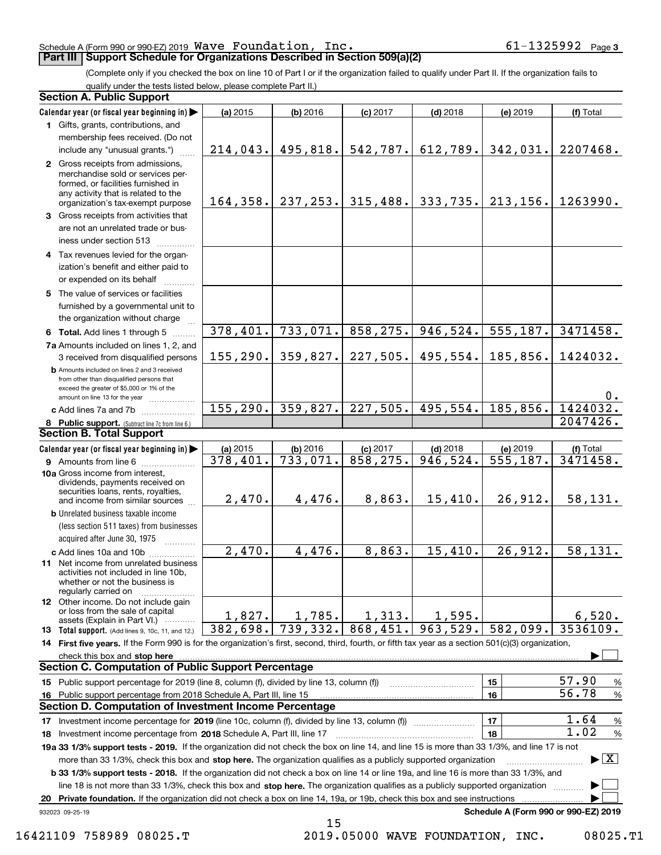#### Schedule A (Form 990 or 990-EZ) 2019 Page Wave Foundation, Inc. 61-1325992

## **Part III Support Schedule for Organizations Described in Section 509(a)(2)**

**3**

(Complete only if you checked the box on line 10 of Part I or if the organization failed to qualify under Part II. If the organization fails to qualify under the tests listed below, please complete Part II.)

|    | <b>Section A. Public Support</b>                                                                                                                                                                                                                            |                      |          |            |                                               |                                      |                                          |
|----|-------------------------------------------------------------------------------------------------------------------------------------------------------------------------------------------------------------------------------------------------------------|----------------------|----------|------------|-----------------------------------------------|--------------------------------------|------------------------------------------|
|    | Calendar year (or fiscal year beginning in)                                                                                                                                                                                                                 | (a) 2015             | (b) 2016 | $(c)$ 2017 | $(d)$ 2018                                    | (e) 2019                             | (f) Total                                |
|    | 1 Gifts, grants, contributions, and                                                                                                                                                                                                                         |                      |          |            |                                               |                                      |                                          |
|    | membership fees received. (Do not                                                                                                                                                                                                                           |                      |          |            |                                               |                                      |                                          |
|    | include any "unusual grants.")                                                                                                                                                                                                                              |                      |          |            | 214,043. 495,818. 542,787. 612,789.           | 342,031.                             | 2207468.                                 |
|    | 2 Gross receipts from admissions,<br>merchandise sold or services per-<br>formed, or facilities furnished in<br>any activity that is related to the<br>organization's tax-exempt purpose                                                                    |                      |          |            | 164, 358.   237, 253.   315, 488.   333, 735. | 213, 156.                            | 1263990.                                 |
|    | 3 Gross receipts from activities that<br>are not an unrelated trade or bus-<br>iness under section 513                                                                                                                                                      |                      |          |            |                                               |                                      |                                          |
|    | 4 Tax revenues levied for the organ-<br>ization's benefit and either paid to<br>or expended on its behalf                                                                                                                                                   |                      |          |            |                                               |                                      |                                          |
|    | 5 The value of services or facilities<br>furnished by a governmental unit to<br>the organization without charge                                                                                                                                             |                      |          |            |                                               |                                      |                                          |
|    | 6 Total. Add lines 1 through 5                                                                                                                                                                                                                              | 378,401.             | 733,071. | 858, 275.  | 946,524.                                      | 555, 187.                            | 3471458.                                 |
|    | 7a Amounts included on lines 1, 2, and                                                                                                                                                                                                                      |                      |          |            |                                               |                                      |                                          |
|    | 3 received from disqualified persons<br><b>b</b> Amounts included on lines 2 and 3 received<br>from other than disqualified persons that<br>exceed the greater of \$5,000 or 1% of the<br>amount on line 13 for the year                                    | 155, 290.            | 359,827. | 227,505.   | 495,554.                                      | 185,856.                             | 1424032.<br>0.                           |
|    | c Add lines 7a and 7b                                                                                                                                                                                                                                       | 155, 290.            | 359,827. | 227,505.   | 495,554.                                      | 185, 856.                            | 1424032.                                 |
|    | 8 Public support. (Subtract line 7c from line 6.)                                                                                                                                                                                                           |                      |          |            |                                               |                                      | 2047426.                                 |
|    | <b>Section B. Total Support</b>                                                                                                                                                                                                                             |                      |          |            |                                               |                                      |                                          |
|    | Calendar year (or fiscal year beginning in)                                                                                                                                                                                                                 | (a) 2015             | (b) 2016 | $(c)$ 2017 | $(d)$ 2018                                    | (e) 2019                             | (f) Total                                |
|    | 9 Amounts from line 6                                                                                                                                                                                                                                       | 378,401.             | 733,071. | 858, 275.  | 946, 524.                                     | $\overline{555,187}$ .               | 3471458.                                 |
|    | 10a Gross income from interest,<br>dividends, payments received on<br>securities loans, rents, royalties,<br>and income from similar sources                                                                                                                | 2,470.               | 4,476.   | 8,863.     | 15,410.                                       | 26,912.                              | 58, 131.                                 |
|    | <b>b</b> Unrelated business taxable income<br>(less section 511 taxes) from businesses<br>acquired after June 30, 1975                                                                                                                                      |                      |          |            |                                               |                                      |                                          |
|    | c Add lines 10a and 10b<br>11 Net income from unrelated business<br>activities not included in line 10b,<br>whether or not the business is<br>regularly carried on                                                                                          | $\overline{2,470}$ . | 4,476.   | 8,863.     | 15,410.                                       | 26,912.                              | 58, 131.                                 |
|    | <b>12</b> Other income. Do not include gain<br>or loss from the sale of capital<br>assets (Explain in Part VI.)                                                                                                                                             | 1,827.               | 1,785.   | 1,313.     | 1,595.                                        |                                      | 6,520.                                   |
|    | <b>13</b> Total support. (Add lines 9, 10c, 11, and 12.)                                                                                                                                                                                                    | 382,698.             | 739,332. | 868,451.   | 963,529.                                      | 582,099.                             | 3536109.                                 |
|    | 14 First five years. If the Form 990 is for the organization's first, second, third, fourth, or fifth tax year as a section 501(c)(3) organization,                                                                                                         |                      |          |            |                                               |                                      |                                          |
|    | check this box and <b>stop here</b> www.communication.communication.com/interaction.com/interaction.com/interaction.com                                                                                                                                     |                      |          |            |                                               |                                      |                                          |
|    | <b>Section C. Computation of Public Support Percentage</b>                                                                                                                                                                                                  |                      |          |            |                                               |                                      |                                          |
|    | 15 Public support percentage for 2019 (line 8, column (f), divided by line 13, column (f))                                                                                                                                                                  |                      |          |            |                                               | 15                                   | 57.90<br>%                               |
| 16 | Public support percentage from 2018 Schedule A, Part III, line 15                                                                                                                                                                                           |                      |          |            |                                               | 16                                   | 56.78<br>$\%$                            |
|    | <b>Section D. Computation of Investment Income Percentage</b>                                                                                                                                                                                               |                      |          |            |                                               |                                      |                                          |
|    | 17 Investment income percentage for 2019 (line 10c, column (f), divided by line 13, column (f))                                                                                                                                                             |                      |          |            |                                               | 17                                   | 1.64<br>$\%$                             |
|    | <b>18</b> Investment income percentage from <b>2018</b> Schedule A, Part III, line 17                                                                                                                                                                       |                      |          |            |                                               | 18                                   | 1.02<br>%                                |
|    | 19a 33 1/3% support tests - 2019. If the organization did not check the box on line 14, and line 15 is more than 33 1/3%, and line 17 is not                                                                                                                |                      |          |            |                                               |                                      |                                          |
|    | more than 33 1/3%, check this box and stop here. The organization qualifies as a publicly supported organization                                                                                                                                            |                      |          |            |                                               |                                      | $\blacktriangleright$ $\boxed{\text{X}}$ |
|    | b 33 1/3% support tests - 2018. If the organization did not check a box on line 14 or line 19a, and line 16 is more than 33 1/3%, and                                                                                                                       |                      |          |            |                                               |                                      |                                          |
|    | line 18 is not more than 33 1/3%, check this box and stop here. The organization qualifies as a publicly supported organization<br>Private foundation. If the organization did not check a box on line 14, 19a, or 19b, check this box and see instructions |                      |          |            |                                               |                                      |                                          |
| 20 | 932023 09-25-19                                                                                                                                                                                                                                             |                      |          |            |                                               | Schedule A (Form 990 or 990-EZ) 2019 |                                          |
|    |                                                                                                                                                                                                                                                             |                      |          |            |                                               |                                      |                                          |

16421109 758989 08025.T 2019.05000 WAVE FOUNDATION, INC. 08025.T1

15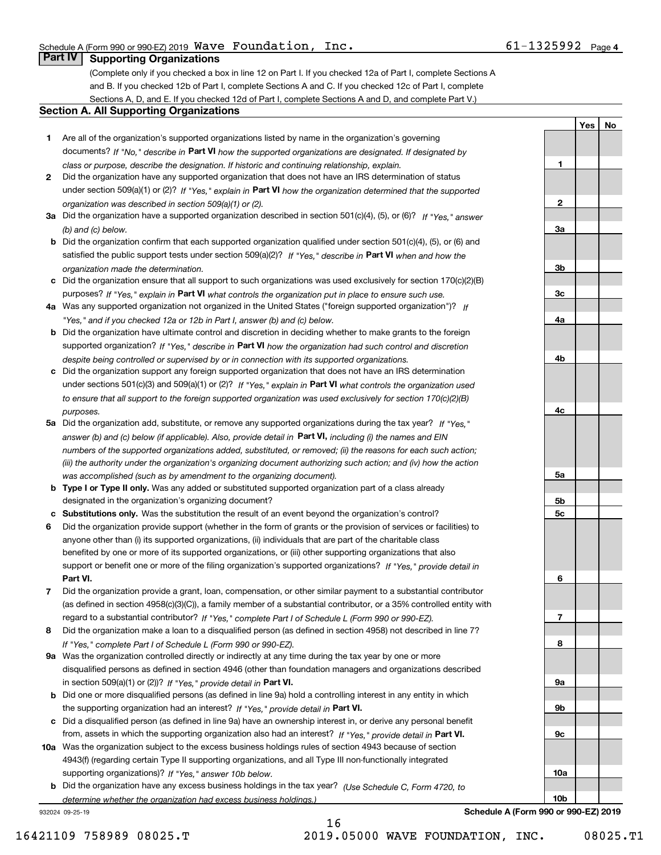**1**

**2**

**3a**

**3b**

**3c**

**4a**

**4b**

**4c**

**5a**

**5b5c**

**6**

**7**

**8**

**9a**

**9b**

**9c**

**10a**

**10b**

**YesNo**

## **Part IV Supporting Organizations**

(Complete only if you checked a box in line 12 on Part I. If you checked 12a of Part I, complete Sections A and B. If you checked 12b of Part I, complete Sections A and C. If you checked 12c of Part I, complete Sections A, D, and E. If you checked 12d of Part I, complete Sections A and D, and complete Part V.)

#### **Section A. All Supporting Organizations**

- **1** Are all of the organization's supported organizations listed by name in the organization's governing documents? If "No," describe in **Part VI** how the supported organizations are designated. If designated by *class or purpose, describe the designation. If historic and continuing relationship, explain.*
- **2** Did the organization have any supported organization that does not have an IRS determination of status under section 509(a)(1) or (2)? If "Yes," explain in Part VI how the organization determined that the supported *organization was described in section 509(a)(1) or (2).*
- **3a** Did the organization have a supported organization described in section 501(c)(4), (5), or (6)? If "Yes," answer *(b) and (c) below.*
- **b** Did the organization confirm that each supported organization qualified under section 501(c)(4), (5), or (6) and satisfied the public support tests under section 509(a)(2)? If "Yes," describe in **Part VI** when and how the *organization made the determination.*
- **c**Did the organization ensure that all support to such organizations was used exclusively for section 170(c)(2)(B) purposes? If "Yes," explain in **Part VI** what controls the organization put in place to ensure such use.
- **4a***If* Was any supported organization not organized in the United States ("foreign supported organization")? *"Yes," and if you checked 12a or 12b in Part I, answer (b) and (c) below.*
- **b** Did the organization have ultimate control and discretion in deciding whether to make grants to the foreign supported organization? If "Yes," describe in **Part VI** how the organization had such control and discretion *despite being controlled or supervised by or in connection with its supported organizations.*
- **c** Did the organization support any foreign supported organization that does not have an IRS determination under sections 501(c)(3) and 509(a)(1) or (2)? If "Yes," explain in **Part VI** what controls the organization used *to ensure that all support to the foreign supported organization was used exclusively for section 170(c)(2)(B) purposes.*
- **5a** Did the organization add, substitute, or remove any supported organizations during the tax year? If "Yes," answer (b) and (c) below (if applicable). Also, provide detail in **Part VI,** including (i) the names and EIN *numbers of the supported organizations added, substituted, or removed; (ii) the reasons for each such action; (iii) the authority under the organization's organizing document authorizing such action; and (iv) how the action was accomplished (such as by amendment to the organizing document).*
- **b** Type I or Type II only. Was any added or substituted supported organization part of a class already designated in the organization's organizing document?
- **cSubstitutions only.**  Was the substitution the result of an event beyond the organization's control?
- **6** Did the organization provide support (whether in the form of grants or the provision of services or facilities) to **Part VI.** *If "Yes," provide detail in* support or benefit one or more of the filing organization's supported organizations? anyone other than (i) its supported organizations, (ii) individuals that are part of the charitable class benefited by one or more of its supported organizations, or (iii) other supporting organizations that also
- **7**Did the organization provide a grant, loan, compensation, or other similar payment to a substantial contributor *If "Yes," complete Part I of Schedule L (Form 990 or 990-EZ).* regard to a substantial contributor? (as defined in section 4958(c)(3)(C)), a family member of a substantial contributor, or a 35% controlled entity with
- **8** Did the organization make a loan to a disqualified person (as defined in section 4958) not described in line 7? *If "Yes," complete Part I of Schedule L (Form 990 or 990-EZ).*
- **9a** Was the organization controlled directly or indirectly at any time during the tax year by one or more in section 509(a)(1) or (2))? If "Yes," *provide detail in* <code>Part VI.</code> disqualified persons as defined in section 4946 (other than foundation managers and organizations described
- **b** Did one or more disqualified persons (as defined in line 9a) hold a controlling interest in any entity in which the supporting organization had an interest? If "Yes," provide detail in P**art VI**.
- **c**Did a disqualified person (as defined in line 9a) have an ownership interest in, or derive any personal benefit from, assets in which the supporting organization also had an interest? If "Yes," provide detail in P**art VI.**
- **10a** Was the organization subject to the excess business holdings rules of section 4943 because of section supporting organizations)? If "Yes," answer 10b below. 4943(f) (regarding certain Type II supporting organizations, and all Type III non-functionally integrated
- **b** Did the organization have any excess business holdings in the tax year? (Use Schedule C, Form 4720, to *determine whether the organization had excess business holdings.)*

16

932024 09-25-19

**Schedule A (Form 990 or 990-EZ) 2019**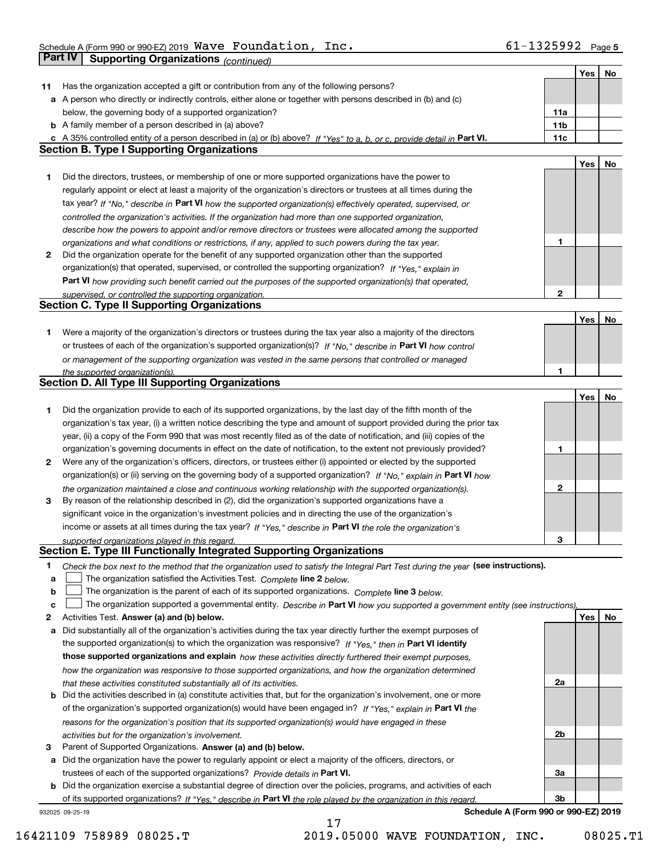Schedule A (Form 990 or 990-EZ) 2019 <code>Wave Foundation, Inc.</code>  $\blacksquare$ Wave Foundation, Inc.  $61-1325992$ 

|    | Part IV<br><b>Supporting Organizations (continued)</b>                                                                            |              |     |    |
|----|-----------------------------------------------------------------------------------------------------------------------------------|--------------|-----|----|
|    |                                                                                                                                   |              | Yes | No |
| 11 | Has the organization accepted a gift or contribution from any of the following persons?                                           |              |     |    |
|    | a A person who directly or indirectly controls, either alone or together with persons described in (b) and (c)                    |              |     |    |
|    | below, the governing body of a supported organization?                                                                            | 11a          |     |    |
|    | <b>b</b> A family member of a person described in (a) above?                                                                      | 11b          |     |    |
|    | c A 35% controlled entity of a person described in (a) or (b) above? If "Yes" to a, b, or c, provide detail in Part VI.           | 11c          |     |    |
|    | <b>Section B. Type I Supporting Organizations</b>                                                                                 |              |     |    |
|    |                                                                                                                                   |              | Yes | No |
| 1  | Did the directors, trustees, or membership of one or more supported organizations have the power to                               |              |     |    |
|    | regularly appoint or elect at least a majority of the organization's directors or trustees at all times during the                |              |     |    |
|    | tax year? If "No," describe in Part VI how the supported organization(s) effectively operated, supervised, or                     |              |     |    |
|    | controlled the organization's activities. If the organization had more than one supported organization,                           |              |     |    |
|    | describe how the powers to appoint and/or remove directors or trustees were allocated among the supported                         |              |     |    |
|    | organizations and what conditions or restrictions, if any, applied to such powers during the tax year.                            | 1            |     |    |
| 2  | Did the organization operate for the benefit of any supported organization other than the supported                               |              |     |    |
|    | organization(s) that operated, supervised, or controlled the supporting organization? If "Yes," explain in                        |              |     |    |
|    | Part VI how providing such benefit carried out the purposes of the supported organization(s) that operated,                       |              |     |    |
|    | supervised, or controlled the supporting organization.                                                                            | 2            |     |    |
|    | <b>Section C. Type II Supporting Organizations</b>                                                                                |              |     |    |
|    |                                                                                                                                   |              | Yes | No |
| 1  | Were a majority of the organization's directors or trustees during the tax year also a majority of the directors                  |              |     |    |
|    | or trustees of each of the organization's supported organization(s)? If "No," describe in Part VI how control                     |              |     |    |
|    | or management of the supporting organization was vested in the same persons that controlled or managed                            |              |     |    |
|    | the supported organization(s).                                                                                                    | 1            |     |    |
|    | <b>Section D. All Type III Supporting Organizations</b>                                                                           |              |     |    |
|    |                                                                                                                                   |              | Yes | No |
| 1  | Did the organization provide to each of its supported organizations, by the last day of the fifth month of the                    |              |     |    |
|    | organization's tax year, (i) a written notice describing the type and amount of support provided during the prior tax             |              |     |    |
|    | year, (ii) a copy of the Form 990 that was most recently filed as of the date of notification, and (iii) copies of the            |              |     |    |
|    | organization's governing documents in effect on the date of notification, to the extent not previously provided?                  | 1            |     |    |
| 2  | Were any of the organization's officers, directors, or trustees either (i) appointed or elected by the supported                  |              |     |    |
|    | organization(s) or (ii) serving on the governing body of a supported organization? If "No," explain in Part VI how                |              |     |    |
|    | the organization maintained a close and continuous working relationship with the supported organization(s).                       | $\mathbf{2}$ |     |    |
| 3  | By reason of the relationship described in (2), did the organization's supported organizations have a                             |              |     |    |
|    | significant voice in the organization's investment policies and in directing the use of the organization's                        |              |     |    |
|    | income or assets at all times during the tax year? If "Yes," describe in Part VI the role the organization's                      |              |     |    |
|    | supported organizations played in this regard.                                                                                    | 3            |     |    |
|    | Section E. Type III Functionally Integrated Supporting Organizations                                                              |              |     |    |
| 1  | Check the box next to the method that the organization used to satisfy the Integral Part Test during the year (see instructions). |              |     |    |
| a  | The organization satisfied the Activities Test. Complete line 2 below.                                                            |              |     |    |
| b  | The organization is the parent of each of its supported organizations. Complete line 3 below.                                     |              |     |    |
| C  | The organization supported a governmental entity. Describe in Part VI how you supported a government entity (see instructions),   |              |     |    |
| 2  | Activities Test. Answer (a) and (b) below.                                                                                        |              | Yes | No |
| a  | Did substantially all of the organization's activities during the tax year directly further the exempt purposes of                |              |     |    |
|    | the supported organization(s) to which the organization was responsive? If "Yes," then in Part VI identify                        |              |     |    |
|    | those supported organizations and explain how these activities directly furthered their exempt purposes,                          |              |     |    |
|    | how the organization was responsive to those supported organizations, and how the organization determined                         |              |     |    |
|    | that these activities constituted substantially all of its activities.                                                            | 2a           |     |    |
| b  | Did the activities described in (a) constitute activities that, but for the organization's involvement, one or more               |              |     |    |
|    | of the organization's supported organization(s) would have been engaged in? If "Yes," explain in Part VI the                      |              |     |    |
|    | reasons for the organization's position that its supported organization(s) would have engaged in these                            |              |     |    |
|    | activities but for the organization's involvement.                                                                                | 2b           |     |    |
| з  | Parent of Supported Organizations. Answer (a) and (b) below.                                                                      |              |     |    |
| а  | Did the organization have the power to regularly appoint or elect a majority of the officers, directors, or                       |              |     |    |
|    | trustees of each of the supported organizations? Provide details in Part VI.                                                      | 3a           |     |    |
|    | <b>b</b> Did the organization exercise a substantial degree of direction over the policies, programs, and activities of each      |              |     |    |
|    | of its supported organizations? If "Yes," describe in Part VI the role played by the organization in this regard                  | Зb           |     |    |
|    | Schedule A (Form 990 or 990-EZ) 2019<br>932025 09-25-19                                                                           |              |     |    |

**Schedule A (Form 990 or 990-EZ) 2019**

17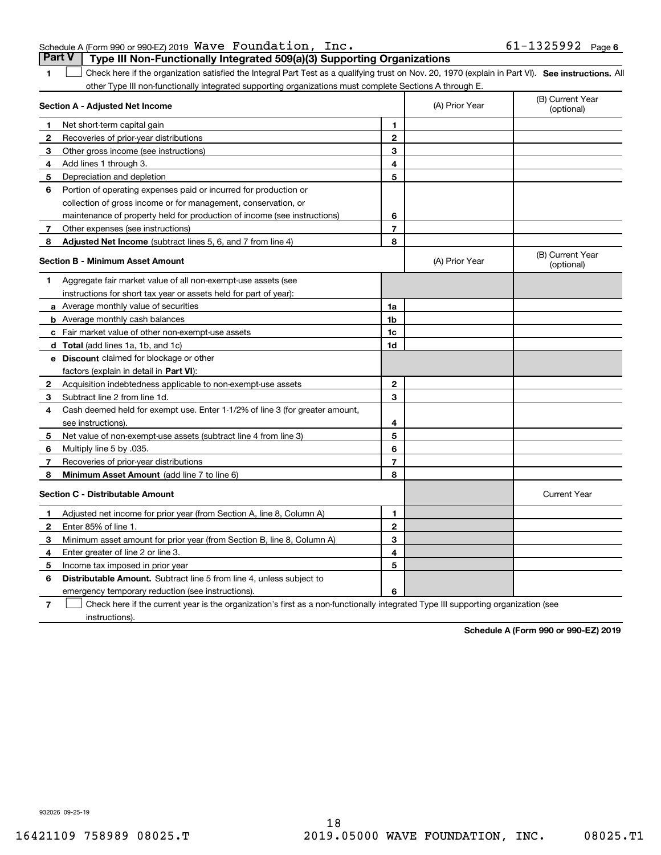#### Schedule A (Form 990 or 990-EZ) 2019 Page Wave Foundation, Inc. 61-1325992 **Part V Type III Non-Functionally Integrated 509(a)(3) Supporting Organizations**

1 Check here if the organization satisfied the Integral Part Test as a qualifying trust on Nov. 20, 1970 (explain in Part VI). See instructions. All other Type III non-functionally integrated supporting organizations must complete Sections A through E.

|              | Section A - Adjusted Net Income                                                                                                   |                | (A) Prior Year | (B) Current Year<br>(optional) |
|--------------|-----------------------------------------------------------------------------------------------------------------------------------|----------------|----------------|--------------------------------|
| 1            | Net short-term capital gain                                                                                                       | 1              |                |                                |
| 2            | Recoveries of prior-year distributions                                                                                            | $\overline{2}$ |                |                                |
| 3            | Other gross income (see instructions)                                                                                             | 3              |                |                                |
| 4            | Add lines 1 through 3.                                                                                                            | 4              |                |                                |
| 5            | Depreciation and depletion                                                                                                        | 5              |                |                                |
| 6            | Portion of operating expenses paid or incurred for production or                                                                  |                |                |                                |
|              | collection of gross income or for management, conservation, or                                                                    |                |                |                                |
|              | maintenance of property held for production of income (see instructions)                                                          | 6              |                |                                |
| 7            | Other expenses (see instructions)                                                                                                 | $\overline{7}$ |                |                                |
| 8            | Adjusted Net Income (subtract lines 5, 6, and 7 from line 4)                                                                      | 8              |                |                                |
|              | <b>Section B - Minimum Asset Amount</b>                                                                                           |                | (A) Prior Year | (B) Current Year<br>(optional) |
| 1            | Aggregate fair market value of all non-exempt-use assets (see                                                                     |                |                |                                |
|              | instructions for short tax year or assets held for part of year):                                                                 |                |                |                                |
|              | a Average monthly value of securities                                                                                             | 1a             |                |                                |
|              | <b>b</b> Average monthly cash balances                                                                                            | 1b             |                |                                |
|              | c Fair market value of other non-exempt-use assets                                                                                | 1c             |                |                                |
|              | d Total (add lines 1a, 1b, and 1c)                                                                                                | 1d             |                |                                |
|              | e Discount claimed for blockage or other                                                                                          |                |                |                                |
|              | factors (explain in detail in Part VI):                                                                                           |                |                |                                |
| $\mathbf{2}$ | Acquisition indebtedness applicable to non-exempt-use assets                                                                      | $\mathbf 2$    |                |                                |
| 3            | Subtract line 2 from line 1d.                                                                                                     | 3              |                |                                |
| 4            | Cash deemed held for exempt use. Enter 1-1/2% of line 3 (for greater amount,                                                      |                |                |                                |
|              | see instructions)                                                                                                                 | 4              |                |                                |
| 5            | Net value of non-exempt-use assets (subtract line 4 from line 3)                                                                  | 5              |                |                                |
| 6            | Multiply line 5 by .035.                                                                                                          | 6              |                |                                |
| 7            | Recoveries of prior-year distributions                                                                                            | $\overline{7}$ |                |                                |
| 8            | Minimum Asset Amount (add line 7 to line 6)                                                                                       | 8              |                |                                |
|              | <b>Section C - Distributable Amount</b>                                                                                           |                |                | <b>Current Year</b>            |
| 1            | Adjusted net income for prior year (from Section A, line 8, Column A)                                                             | 1              |                |                                |
| 2            | Enter 85% of line 1.                                                                                                              | $\overline{2}$ |                |                                |
| з            | Minimum asset amount for prior year (from Section B, line 8, Column A)                                                            | 3              |                |                                |
| 4            | Enter greater of line 2 or line 3.                                                                                                | 4              |                |                                |
| 5            | Income tax imposed in prior year                                                                                                  | 5              |                |                                |
| 6            | <b>Distributable Amount.</b> Subtract line 5 from line 4, unless subject to                                                       |                |                |                                |
|              | emergency temporary reduction (see instructions).                                                                                 | 6              |                |                                |
| 7            | Check here if the current year is the organization's first as a non-functionally integrated Type III supporting organization (see |                |                |                                |

instructions).

**1**

**Schedule A (Form 990 or 990-EZ) 2019**

932026 09-25-19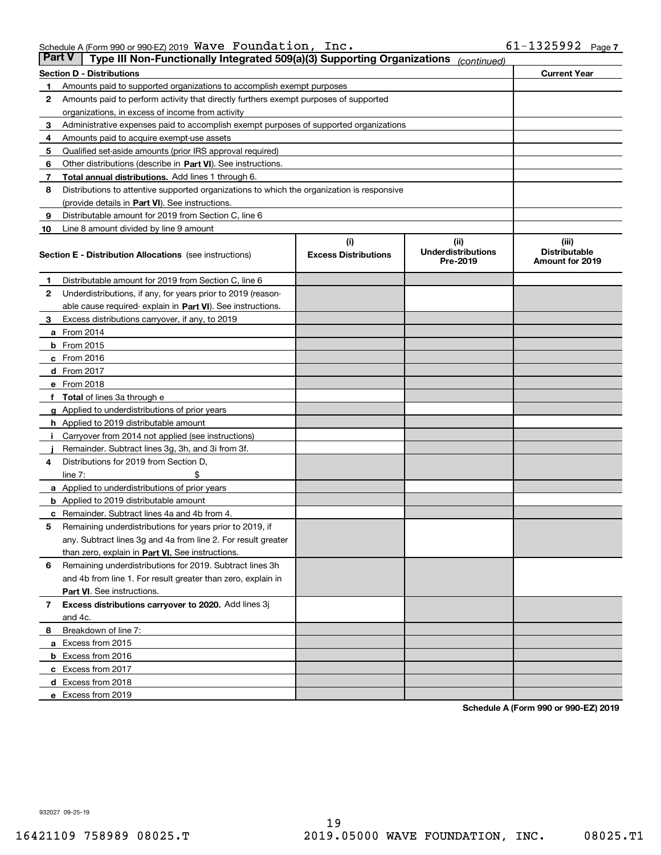| Part V | Type III Non-Functionally Integrated 509(a)(3) Supporting Organizations                    |                             | (continued)                           |                                         |
|--------|--------------------------------------------------------------------------------------------|-----------------------------|---------------------------------------|-----------------------------------------|
|        | <b>Section D - Distributions</b>                                                           |                             |                                       | <b>Current Year</b>                     |
| 1      | Amounts paid to supported organizations to accomplish exempt purposes                      |                             |                                       |                                         |
| 2      | Amounts paid to perform activity that directly furthers exempt purposes of supported       |                             |                                       |                                         |
|        | organizations, in excess of income from activity                                           |                             |                                       |                                         |
| з      | Administrative expenses paid to accomplish exempt purposes of supported organizations      |                             |                                       |                                         |
| 4      | Amounts paid to acquire exempt-use assets                                                  |                             |                                       |                                         |
| 5      | Qualified set-aside amounts (prior IRS approval required)                                  |                             |                                       |                                         |
| 6      | Other distributions (describe in Part VI). See instructions.                               |                             |                                       |                                         |
| 7      | <b>Total annual distributions.</b> Add lines 1 through 6.                                  |                             |                                       |                                         |
| 8      | Distributions to attentive supported organizations to which the organization is responsive |                             |                                       |                                         |
|        | (provide details in Part VI). See instructions.                                            |                             |                                       |                                         |
| 9      | Distributable amount for 2019 from Section C, line 6                                       |                             |                                       |                                         |
| 10     | Line 8 amount divided by line 9 amount                                                     |                             |                                       |                                         |
|        |                                                                                            | (i)                         | (iii)                                 | (iii)                                   |
|        | <b>Section E - Distribution Allocations</b> (see instructions)                             | <b>Excess Distributions</b> | <b>Underdistributions</b><br>Pre-2019 | <b>Distributable</b><br>Amount for 2019 |
| 1      | Distributable amount for 2019 from Section C, line 6                                       |                             |                                       |                                         |
| 2      | Underdistributions, if any, for years prior to 2019 (reason-                               |                             |                                       |                                         |
|        | able cause required- explain in Part VI). See instructions.                                |                             |                                       |                                         |
| з      | Excess distributions carryover, if any, to 2019                                            |                             |                                       |                                         |
|        | <b>a</b> From 2014                                                                         |                             |                                       |                                         |
|        | <b>b</b> From 2015                                                                         |                             |                                       |                                         |
|        | $c$ From 2016                                                                              |                             |                                       |                                         |
|        | d From 2017                                                                                |                             |                                       |                                         |
|        | e From 2018                                                                                |                             |                                       |                                         |
|        | Total of lines 3a through e                                                                |                             |                                       |                                         |
|        | <b>g</b> Applied to underdistributions of prior years                                      |                             |                                       |                                         |
|        | <b>h</b> Applied to 2019 distributable amount                                              |                             |                                       |                                         |
|        | Carryover from 2014 not applied (see instructions)                                         |                             |                                       |                                         |
|        | Remainder. Subtract lines 3g, 3h, and 3i from 3f.                                          |                             |                                       |                                         |
| 4      | Distributions for 2019 from Section D,                                                     |                             |                                       |                                         |
|        | line $7:$                                                                                  |                             |                                       |                                         |
|        | <b>a</b> Applied to underdistributions of prior years                                      |                             |                                       |                                         |
|        | <b>b</b> Applied to 2019 distributable amount                                              |                             |                                       |                                         |
| c      | Remainder. Subtract lines 4a and 4b from 4.                                                |                             |                                       |                                         |
| 5      | Remaining underdistributions for years prior to 2019, if                                   |                             |                                       |                                         |
|        | any. Subtract lines 3g and 4a from line 2. For result greater                              |                             |                                       |                                         |
|        | than zero, explain in Part VI. See instructions.                                           |                             |                                       |                                         |
| 6      | Remaining underdistributions for 2019. Subtract lines 3h                                   |                             |                                       |                                         |
|        | and 4b from line 1. For result greater than zero, explain in                               |                             |                                       |                                         |
|        | Part VI. See instructions.                                                                 |                             |                                       |                                         |
| 7      | Excess distributions carryover to 2020. Add lines 3j                                       |                             |                                       |                                         |
|        | and 4c.                                                                                    |                             |                                       |                                         |
| 8      | Breakdown of line 7:                                                                       |                             |                                       |                                         |
|        | a Excess from 2015                                                                         |                             |                                       |                                         |
|        | <b>b</b> Excess from 2016                                                                  |                             |                                       |                                         |
|        | c Excess from 2017                                                                         |                             |                                       |                                         |
|        | d Excess from 2018                                                                         |                             |                                       |                                         |
|        | e Excess from 2019                                                                         |                             |                                       |                                         |
|        |                                                                                            |                             |                                       |                                         |

**Schedule A (Form 990 or 990-EZ) 2019**

932027 09-25-19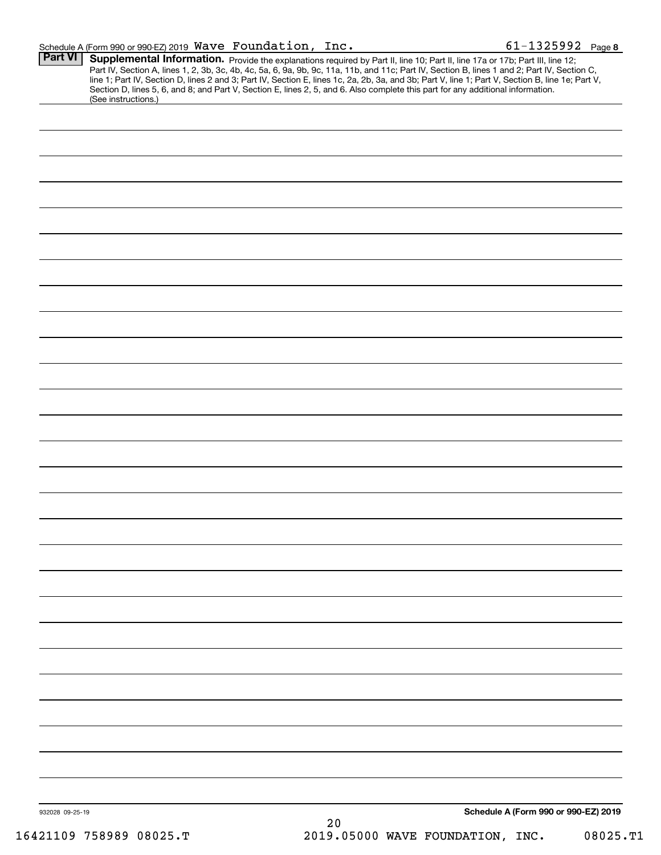|                 | Schedule A (Form 990 or 990-EZ) 2019 Wave Foundation, Inc.                                                                                                                                                                                                                              |    | 61-1325992 Page 8                                                                                                                                                                                                                                                                                |
|-----------------|-----------------------------------------------------------------------------------------------------------------------------------------------------------------------------------------------------------------------------------------------------------------------------------------|----|--------------------------------------------------------------------------------------------------------------------------------------------------------------------------------------------------------------------------------------------------------------------------------------------------|
| <b>Part VI</b>  | Supplemental Information. Provide the explanations required by Part II, line 10; Part II, line 17a or 17b; Part III, line 12;<br>Section D, lines 5, 6, and 8; and Part V, Section E, lines 2, 5, and 6. Also complete this part for any additional information.<br>(See instructions.) |    | Part IV, Section A, lines 1, 2, 3b, 3c, 4b, 4c, 5a, 6, 9a, 9b, 9c, 11a, 11b, and 11c; Part IV, Section B, lines 1 and 2; Part IV, Section C,<br>line 1; Part IV, Section D, lines 2 and 3; Part IV, Section E, lines 1c, 2a, 2b, 3a, and 3b; Part V, line 1; Part V, Section B, line 1e; Part V, |
|                 |                                                                                                                                                                                                                                                                                         |    |                                                                                                                                                                                                                                                                                                  |
|                 |                                                                                                                                                                                                                                                                                         |    |                                                                                                                                                                                                                                                                                                  |
|                 |                                                                                                                                                                                                                                                                                         |    |                                                                                                                                                                                                                                                                                                  |
|                 |                                                                                                                                                                                                                                                                                         |    |                                                                                                                                                                                                                                                                                                  |
|                 |                                                                                                                                                                                                                                                                                         |    |                                                                                                                                                                                                                                                                                                  |
|                 |                                                                                                                                                                                                                                                                                         |    |                                                                                                                                                                                                                                                                                                  |
|                 |                                                                                                                                                                                                                                                                                         |    |                                                                                                                                                                                                                                                                                                  |
|                 |                                                                                                                                                                                                                                                                                         |    |                                                                                                                                                                                                                                                                                                  |
|                 |                                                                                                                                                                                                                                                                                         |    |                                                                                                                                                                                                                                                                                                  |
|                 |                                                                                                                                                                                                                                                                                         |    |                                                                                                                                                                                                                                                                                                  |
|                 |                                                                                                                                                                                                                                                                                         |    |                                                                                                                                                                                                                                                                                                  |
|                 |                                                                                                                                                                                                                                                                                         |    |                                                                                                                                                                                                                                                                                                  |
|                 |                                                                                                                                                                                                                                                                                         |    |                                                                                                                                                                                                                                                                                                  |
|                 |                                                                                                                                                                                                                                                                                         |    |                                                                                                                                                                                                                                                                                                  |
|                 |                                                                                                                                                                                                                                                                                         |    |                                                                                                                                                                                                                                                                                                  |
|                 |                                                                                                                                                                                                                                                                                         |    |                                                                                                                                                                                                                                                                                                  |
|                 |                                                                                                                                                                                                                                                                                         |    |                                                                                                                                                                                                                                                                                                  |
|                 |                                                                                                                                                                                                                                                                                         |    |                                                                                                                                                                                                                                                                                                  |
|                 |                                                                                                                                                                                                                                                                                         |    |                                                                                                                                                                                                                                                                                                  |
|                 |                                                                                                                                                                                                                                                                                         |    |                                                                                                                                                                                                                                                                                                  |
|                 |                                                                                                                                                                                                                                                                                         |    |                                                                                                                                                                                                                                                                                                  |
|                 |                                                                                                                                                                                                                                                                                         |    |                                                                                                                                                                                                                                                                                                  |
|                 |                                                                                                                                                                                                                                                                                         |    |                                                                                                                                                                                                                                                                                                  |
|                 |                                                                                                                                                                                                                                                                                         |    |                                                                                                                                                                                                                                                                                                  |
|                 |                                                                                                                                                                                                                                                                                         |    |                                                                                                                                                                                                                                                                                                  |
|                 |                                                                                                                                                                                                                                                                                         |    |                                                                                                                                                                                                                                                                                                  |
|                 |                                                                                                                                                                                                                                                                                         |    |                                                                                                                                                                                                                                                                                                  |
| 932028 09-25-19 |                                                                                                                                                                                                                                                                                         | 20 | Schedule A (Form 990 or 990-EZ) 2019                                                                                                                                                                                                                                                             |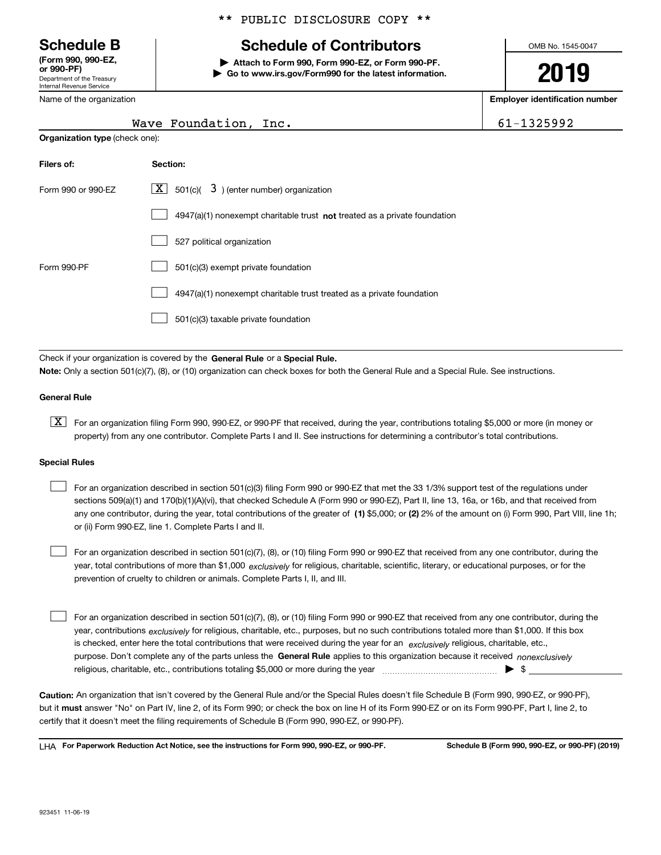Department of the Treasury Internal Revenue Service **(Form 990, 990-EZ, or 990-PF)**

\*\* PUBLIC DISCLOSURE COPY \*\*

## **Schedule B Schedule of Contributors**

**| Attach to Form 990, Form 990-EZ, or Form 990-PF. | Go to www.irs.gov/Form990 for the latest information.** OMB No. 1545-0047

**2019**

**Employer identification number**

| or 990-PF)                 |
|----------------------------|
| Department of the Treasury |
| Internal Revenue Service   |
| Name of the organization   |

**Organization type** (check one):

## Wave Foundation, Inc.  $\vert$  61-1325992

| Filers of:         | Section:                                                                           |
|--------------------|------------------------------------------------------------------------------------|
| Form 990 or 990-EZ | $\underline{\mathbf{X}}$ 501(c)(<br>$3$ ) (enter number) organization              |
|                    | $4947(a)(1)$ nonexempt charitable trust <b>not</b> treated as a private foundation |
|                    | 527 political organization                                                         |
| Form 990-PF        | 501(c)(3) exempt private foundation                                                |
|                    | 4947(a)(1) nonexempt charitable trust treated as a private foundation              |
|                    | 501(c)(3) taxable private foundation                                               |

Check if your organization is covered by the **General Rule** or a **Special Rule. Note:**  Only a section 501(c)(7), (8), or (10) organization can check boxes for both the General Rule and a Special Rule. See instructions.

#### **General Rule**

 $\boxed{\textbf{X}}$  For an organization filing Form 990, 990-EZ, or 990-PF that received, during the year, contributions totaling \$5,000 or more (in money or property) from any one contributor. Complete Parts I and II. See instructions for determining a contributor's total contributions.

#### **Special Rules**

any one contributor, during the year, total contributions of the greater of  $\,$  (1) \$5,000; or **(2)** 2% of the amount on (i) Form 990, Part VIII, line 1h; For an organization described in section 501(c)(3) filing Form 990 or 990-EZ that met the 33 1/3% support test of the regulations under sections 509(a)(1) and 170(b)(1)(A)(vi), that checked Schedule A (Form 990 or 990-EZ), Part II, line 13, 16a, or 16b, and that received from or (ii) Form 990-EZ, line 1. Complete Parts I and II.  $\mathcal{L}^{\text{max}}$ 

year, total contributions of more than \$1,000 *exclusively* for religious, charitable, scientific, literary, or educational purposes, or for the For an organization described in section 501(c)(7), (8), or (10) filing Form 990 or 990-EZ that received from any one contributor, during the prevention of cruelty to children or animals. Complete Parts I, II, and III.  $\mathcal{L}^{\text{max}}$ 

purpose. Don't complete any of the parts unless the **General Rule** applies to this organization because it received *nonexclusively* year, contributions <sub>exclusively</sub> for religious, charitable, etc., purposes, but no such contributions totaled more than \$1,000. If this box is checked, enter here the total contributions that were received during the year for an  $\;$ exclusively religious, charitable, etc., For an organization described in section 501(c)(7), (8), or (10) filing Form 990 or 990-EZ that received from any one contributor, during the religious, charitable, etc., contributions totaling \$5,000 or more during the year  $\Box$ — $\Box$  =  $\Box$  $\mathcal{L}^{\text{max}}$ 

**Caution:**  An organization that isn't covered by the General Rule and/or the Special Rules doesn't file Schedule B (Form 990, 990-EZ, or 990-PF),  **must** but it answer "No" on Part IV, line 2, of its Form 990; or check the box on line H of its Form 990-EZ or on its Form 990-PF, Part I, line 2, to certify that it doesn't meet the filing requirements of Schedule B (Form 990, 990-EZ, or 990-PF).

**For Paperwork Reduction Act Notice, see the instructions for Form 990, 990-EZ, or 990-PF. Schedule B (Form 990, 990-EZ, or 990-PF) (2019)** LHA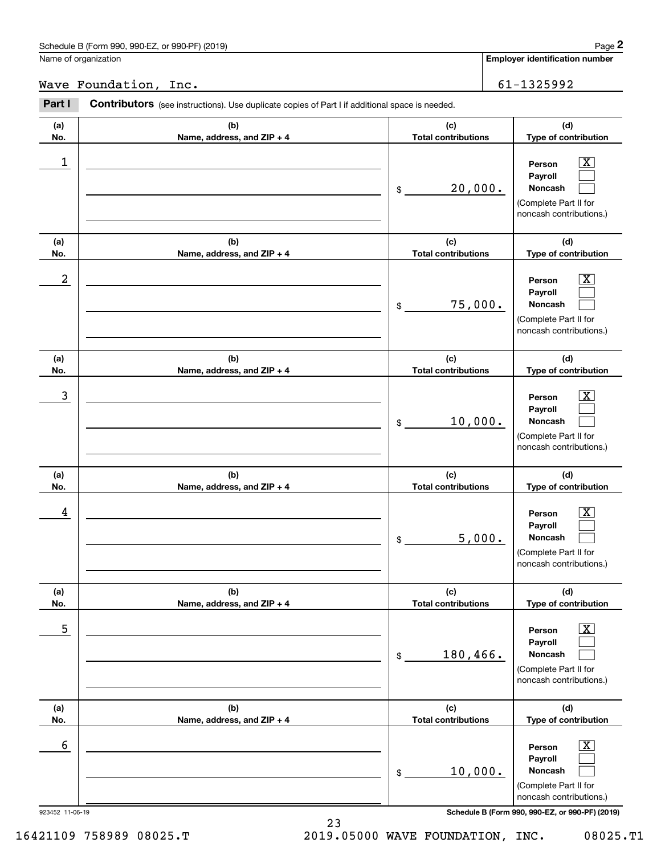**Employer identification number**

Wave Foundation, Inc. 61-1325992

#### **(a)No.(b)Name, address, and ZIP + 4 (c)Total contributions (d)Type of contribution PersonPayrollNoncash (a)No.(b)Name, address, and ZIP + 4 (c)Total contributions (d)Type of contribution PersonPayrollNoncash (a)No.(b)Name, address, and ZIP + 4 (c)Total contributions (d)Type of contribution PersonPayrollNoncash (a) No.(b) Name, address, and ZIP + 4 (c) Total contributions (d) Type of contribution PersonPayrollNoncash (a) No.(b) Name, address, and ZIP + 4 (c) Total contributions (d) Type of contribution PersonPayrollNoncash (a) No.(b)Name, address, and ZIP + 4 (c) Total contributions (d)Type of contribution PersonPayrollNoncash Contributors** (see instructions). Use duplicate copies of Part I if additional space is needed. \$(Complete Part II for noncash contributions.) \$(Complete Part II for noncash contributions.) \$(Complete Part II for noncash contributions.) \$(Complete Part II for noncash contributions.) \$(Complete Part II for noncash contributions.) \$(Complete Part II for Employer identification page 2<br> **2** alame of organization<br> **2Part I 2Part I Contributors** (see instructions). Use duplicate copies of Part I if additional space is needed.  $|X|$  $\mathcal{L}^{\text{max}}$  $\mathcal{L}^{\text{max}}$  $\boxed{\text{X}}$  $\mathcal{L}^{\text{max}}$  $\mathcal{L}^{\text{max}}$  $|X|$  $\mathcal{L}^{\text{max}}$  $\mathcal{L}^{\text{max}}$  $\boxed{\text{X}}$  $\mathcal{L}^{\text{max}}$  $\mathcal{L}^{\text{max}}$  $\boxed{\text{X}}$  $\mathcal{L}^{\text{max}}$  $\mathcal{L}^{\text{max}}$  $\boxed{\text{X}}$  $\mathcal{L}^{\text{max}}$  $\mathcal{L}^{\text{max}}$  $\begin{array}{c|c|c|c|c|c} 1 & \hspace{1.5cm} & \hspace{1.5cm} & \hspace{1.5cm} & \hspace{1.5cm} & \hspace{1.5cm} & \hspace{1.5cm} & \hspace{1.5cm} & \hspace{1.5cm} & \hspace{1.5cm} & \hspace{1.5cm} & \hspace{1.5cm} & \hspace{1.5cm} & \hspace{1.5cm} & \hspace{1.5cm} & \hspace{1.5cm} & \hspace{1.5cm} & \hspace{1.5cm} & \hspace{1.5cm} & \hspace{1.5cm} & \hspace{1.5cm} &$ 20,000.  $2$  | Person  $\overline{\text{X}}$ 75,000.  $\overline{3}$  | Person  $\overline{X}$ 10,000.  $4$  | Person  $\overline{\text{X}}$ 5,000.  $\sim$  5 | Person X 180,466.  $\sim$  6 | Person X 10,000.

### 923452 11-06-19 **Schedule B (Form 990, 990-EZ, or 990-PF) (2019)**

noncash contributions.)

16421109 758989 08025.T 2019.05000 WAVE FOUNDATION, INC. 08025.T1

23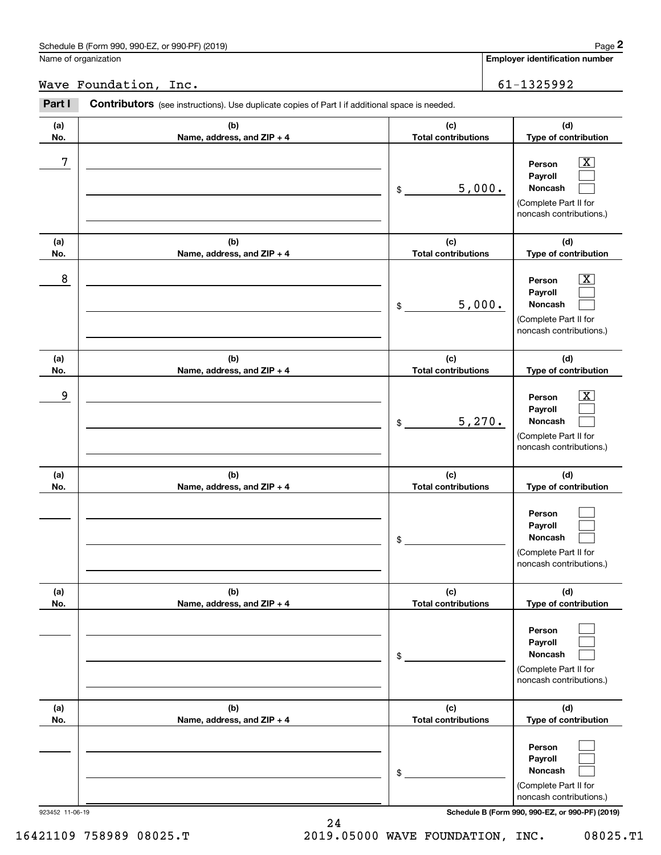#### Wave Foundation, Inc. 61-1325992

| Name of organization | Schedule B (Form 990, 990-EZ, or 990-PF) (2019)                                                |                                   | Page 2<br><b>Employer identification number</b>                                                                                     |
|----------------------|------------------------------------------------------------------------------------------------|-----------------------------------|-------------------------------------------------------------------------------------------------------------------------------------|
|                      |                                                                                                |                                   |                                                                                                                                     |
|                      | Wave Foundation, Inc.                                                                          |                                   | 61-1325992                                                                                                                          |
| Part I               | Contributors (see instructions). Use duplicate copies of Part I if additional space is needed. |                                   |                                                                                                                                     |
| (a)<br>No.           | (b)<br>Name, address, and ZIP + 4                                                              | (c)<br><b>Total contributions</b> | (d)<br>Type of contribution                                                                                                         |
| 7                    |                                                                                                | 5,000.<br>\$                      | $\overline{\mathbf{X}}$<br>Person<br>Payroll<br>Noncash<br>(Complete Part II for<br>noncash contributions.)                         |
| (a)<br>No.           | (b)<br>Name, address, and ZIP + 4                                                              | (c)<br><b>Total contributions</b> | (d)<br>Type of contribution                                                                                                         |
| 8                    |                                                                                                | 5,000.<br>\$                      | $\overline{\mathbf{X}}$<br>Person<br>Payroll<br>Noncash<br>(Complete Part II for<br>noncash contributions.)                         |
| (a)<br>No.           | (b)<br>Name, address, and ZIP + 4                                                              | (c)<br><b>Total contributions</b> | (d)<br>Type of contribution                                                                                                         |
| 9                    |                                                                                                | 5,270.<br>\$                      | $\overline{\text{X}}$<br>Person<br>Payroll<br>Noncash<br>(Complete Part II for<br>noncash contributions.)                           |
| (a)<br>No.           | (b)<br>Name, address, and ZIP + 4                                                              | (c)<br><b>Total contributions</b> | (d)<br>Type of contribution                                                                                                         |
|                      |                                                                                                | \$                                | Person<br>Payroll<br>Noncash<br>(Complete Part II for<br>noncash contributions.)                                                    |
| (a)<br>No.           | (b)<br>Name, address, and ZIP + 4                                                              | (c)<br><b>Total contributions</b> | (d)<br>Type of contribution                                                                                                         |
|                      |                                                                                                | \$                                | Person<br>Payroll<br>Noncash<br>(Complete Part II for<br>noncash contributions.)                                                    |
| (a)<br>No.           | (b)<br>Name, address, and ZIP + 4                                                              | (c)<br><b>Total contributions</b> | (d)<br>Type of contribution                                                                                                         |
| 923452 11-06-19      |                                                                                                | \$                                | Person<br>Payroll<br>Noncash<br>(Complete Part II for<br>noncash contributions.)<br>Schedule B (Form 990, 990-EZ, or 990-PF) (2019) |

16421109 758989 08025.T 2019.05000 WAVE FOUNDATION, INC. 08025.T1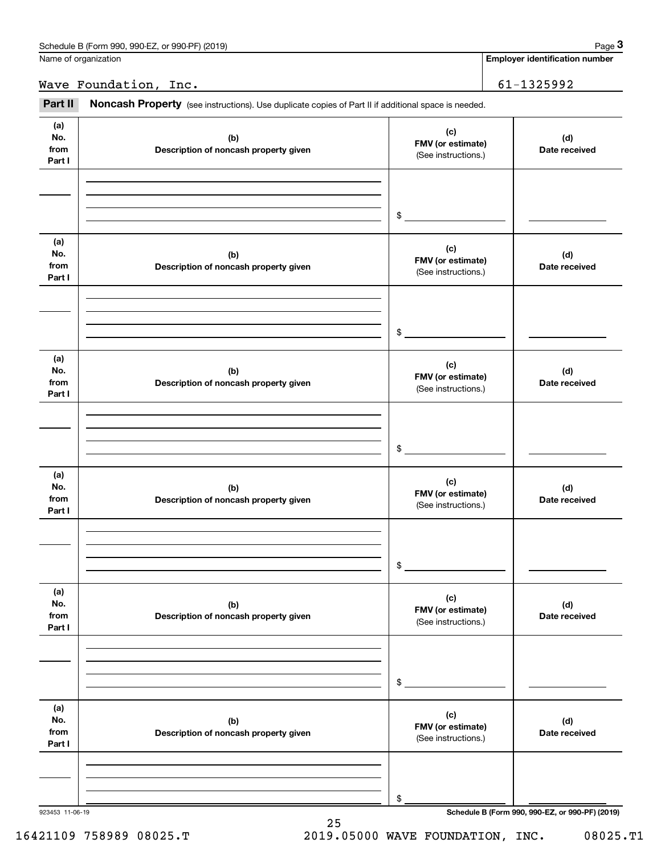**Employer identification number**

### Wave Foundation, Inc. 61-1325992

Fage 3 Employer identification pumber<br>
Jame of organization<br> **3Part II Noncash Property** (see instructions). Use duplicate copies of Part II if additional space is needed.

| (a)<br>No.<br>from<br>Part I | (b)<br>Description of noncash property given | (c)<br>FMV (or estimate)<br>(See instructions.) | (d)<br>Date received |
|------------------------------|----------------------------------------------|-------------------------------------------------|----------------------|
|                              |                                              | \$                                              |                      |
| (a)<br>No.<br>from<br>Part I | (b)<br>Description of noncash property given | (c)<br>FMV (or estimate)<br>(See instructions.) | (d)<br>Date received |
|                              |                                              | \$                                              |                      |
| (a)<br>No.<br>from<br>Part I | (b)<br>Description of noncash property given | (c)<br>FMV (or estimate)<br>(See instructions.) | (d)<br>Date received |
|                              |                                              | \$                                              |                      |
| (a)<br>No.<br>from<br>Part I | (b)<br>Description of noncash property given | (c)<br>FMV (or estimate)<br>(See instructions.) | (d)<br>Date received |
|                              |                                              | \$                                              |                      |
| (a)<br>No.<br>from<br>Part I | (b)<br>Description of noncash property given | (c)<br>FMV (or estimate)<br>(See instructions.) | (d)<br>Date received |
|                              |                                              | \$                                              |                      |
| (a)<br>No.<br>from<br>Part I | (b)<br>Description of noncash property given | (c)<br>FMV (or estimate)<br>(See instructions.) | (d)<br>Date received |
|                              |                                              | \$                                              |                      |

25

16421109 758989 08025.T 2019.05000 WAVE FOUNDATION, INC. 08025.T1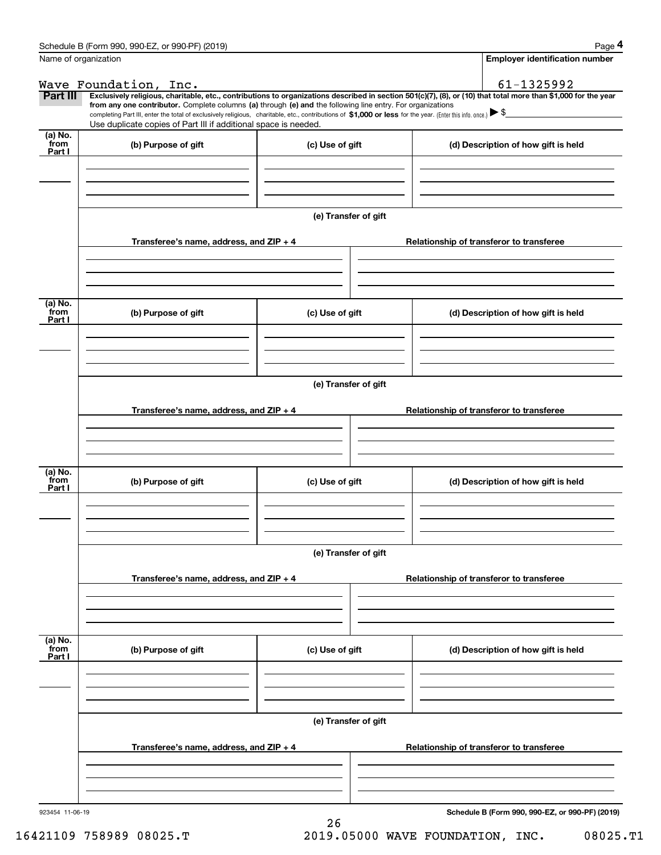|                           | Schedule B (Form 990, 990-EZ, or 990-PF) (2019)                                                                                                                                                                                                                                                 |                      | Page 4                                                                                                                                                         |  |  |  |  |
|---------------------------|-------------------------------------------------------------------------------------------------------------------------------------------------------------------------------------------------------------------------------------------------------------------------------------------------|----------------------|----------------------------------------------------------------------------------------------------------------------------------------------------------------|--|--|--|--|
|                           | Name of organization                                                                                                                                                                                                                                                                            |                      | <b>Employer identification number</b>                                                                                                                          |  |  |  |  |
|                           | Wave Foundation, Inc.                                                                                                                                                                                                                                                                           |                      | 61-1325992                                                                                                                                                     |  |  |  |  |
| Part III                  |                                                                                                                                                                                                                                                                                                 |                      | Exclusively religious, charitable, etc., contributions to organizations described in section 501(c)(7), (8), or (10) that total more than \$1,000 for the year |  |  |  |  |
|                           | from any one contributor. Complete columns (a) through (e) and the following line entry. For organizations<br>completing Part III, enter the total of exclusively religious, charitable, etc., contributions of \$1,000 or less for the year. (Enter this info. once.) $\blacktriangleright$ \$ |                      |                                                                                                                                                                |  |  |  |  |
|                           | Use duplicate copies of Part III if additional space is needed.                                                                                                                                                                                                                                 |                      |                                                                                                                                                                |  |  |  |  |
| (a) No.<br>from<br>Part I | (b) Purpose of gift                                                                                                                                                                                                                                                                             | (c) Use of gift      | (d) Description of how gift is held                                                                                                                            |  |  |  |  |
|                           |                                                                                                                                                                                                                                                                                                 |                      |                                                                                                                                                                |  |  |  |  |
|                           |                                                                                                                                                                                                                                                                                                 |                      |                                                                                                                                                                |  |  |  |  |
|                           |                                                                                                                                                                                                                                                                                                 | (e) Transfer of gift |                                                                                                                                                                |  |  |  |  |
|                           | Transferee's name, address, and ZIP + 4                                                                                                                                                                                                                                                         |                      | Relationship of transferor to transferee                                                                                                                       |  |  |  |  |
|                           |                                                                                                                                                                                                                                                                                                 |                      |                                                                                                                                                                |  |  |  |  |
| (a) No.<br>from<br>Part I | (b) Purpose of gift                                                                                                                                                                                                                                                                             | (c) Use of gift      | (d) Description of how gift is held                                                                                                                            |  |  |  |  |
|                           |                                                                                                                                                                                                                                                                                                 |                      |                                                                                                                                                                |  |  |  |  |
|                           |                                                                                                                                                                                                                                                                                                 |                      |                                                                                                                                                                |  |  |  |  |
|                           | (e) Transfer of gift                                                                                                                                                                                                                                                                            |                      |                                                                                                                                                                |  |  |  |  |
|                           | Transferee's name, address, and ZIP + 4                                                                                                                                                                                                                                                         |                      | Relationship of transferor to transferee                                                                                                                       |  |  |  |  |
|                           |                                                                                                                                                                                                                                                                                                 |                      |                                                                                                                                                                |  |  |  |  |
| (a) No.<br>from<br>Part I | (b) Purpose of gift                                                                                                                                                                                                                                                                             | (c) Use of gift      | (d) Description of how gift is held                                                                                                                            |  |  |  |  |
|                           |                                                                                                                                                                                                                                                                                                 |                      |                                                                                                                                                                |  |  |  |  |
|                           | (e) Transfer of gift                                                                                                                                                                                                                                                                            |                      |                                                                                                                                                                |  |  |  |  |
|                           | Transferee's name, address, and $ZIP + 4$                                                                                                                                                                                                                                                       |                      | Relationship of transferor to transferee                                                                                                                       |  |  |  |  |
|                           |                                                                                                                                                                                                                                                                                                 |                      |                                                                                                                                                                |  |  |  |  |
|                           |                                                                                                                                                                                                                                                                                                 |                      |                                                                                                                                                                |  |  |  |  |
| (a) No.<br>from<br>Part I | (b) Purpose of gift                                                                                                                                                                                                                                                                             | (c) Use of gift      | (d) Description of how gift is held                                                                                                                            |  |  |  |  |
|                           |                                                                                                                                                                                                                                                                                                 |                      |                                                                                                                                                                |  |  |  |  |
|                           |                                                                                                                                                                                                                                                                                                 |                      |                                                                                                                                                                |  |  |  |  |
|                           |                                                                                                                                                                                                                                                                                                 | (e) Transfer of gift |                                                                                                                                                                |  |  |  |  |
|                           | Transferee's name, address, and ZIP + 4                                                                                                                                                                                                                                                         |                      | Relationship of transferor to transferee                                                                                                                       |  |  |  |  |
|                           |                                                                                                                                                                                                                                                                                                 |                      |                                                                                                                                                                |  |  |  |  |
| 923454 11-06-19           |                                                                                                                                                                                                                                                                                                 |                      | Schedule B (Form 990, 990-EZ, or 990-PF) (2019)                                                                                                                |  |  |  |  |

26

**Schedule B (Form 990, 990-EZ, or 990-PF) (2019)**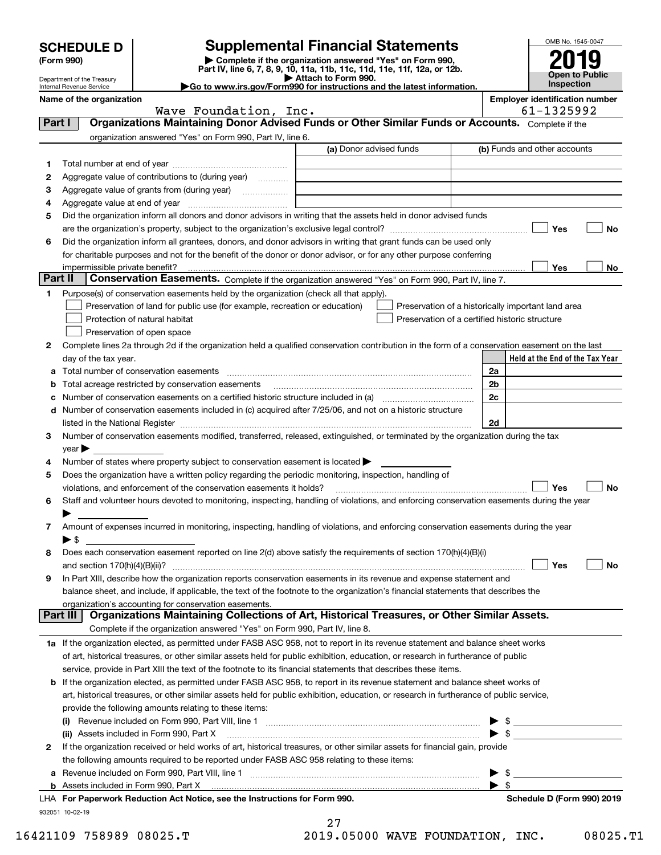|                                                                                                                                                                         |                                                                                                                                         |                                                                                                                                                                                                                               |                                                                                                                                                |                |                              | OMB No. 1545-0047                   |                                 |
|-------------------------------------------------------------------------------------------------------------------------------------------------------------------------|-----------------------------------------------------------------------------------------------------------------------------------------|-------------------------------------------------------------------------------------------------------------------------------------------------------------------------------------------------------------------------------|------------------------------------------------------------------------------------------------------------------------------------------------|----------------|------------------------------|-------------------------------------|---------------------------------|
|                                                                                                                                                                         | <b>Supplemental Financial Statements</b><br><b>SCHEDULE D</b><br>Complete if the organization answered "Yes" on Form 990,<br>(Form 990) |                                                                                                                                                                                                                               |                                                                                                                                                |                |                              |                                     |                                 |
|                                                                                                                                                                         |                                                                                                                                         |                                                                                                                                                                                                                               | Part IV, line 6, 7, 8, 9, 10, 11a, 11b, 11c, 11d, 11e, 11f, 12a, or 12b.                                                                       |                |                              |                                     |                                 |
|                                                                                                                                                                         | Department of the Treasury                                                                                                              |                                                                                                                                                                                                                               | Attach to Form 990.                                                                                                                            |                |                              | Open to Public<br><b>Inspection</b> |                                 |
| Go to www.irs.gov/Form990 for instructions and the latest information.<br>Internal Revenue Service<br>Name of the organization<br><b>Employer identification number</b> |                                                                                                                                         |                                                                                                                                                                                                                               |                                                                                                                                                |                |                              |                                     |                                 |
|                                                                                                                                                                         |                                                                                                                                         | Wave Foundation, Inc.                                                                                                                                                                                                         |                                                                                                                                                |                |                              | 61-1325992                          |                                 |
| Part I                                                                                                                                                                  |                                                                                                                                         |                                                                                                                                                                                                                               | Organizations Maintaining Donor Advised Funds or Other Similar Funds or Accounts. Complete if the                                              |                |                              |                                     |                                 |
|                                                                                                                                                                         |                                                                                                                                         | organization answered "Yes" on Form 990, Part IV, line 6.                                                                                                                                                                     |                                                                                                                                                |                |                              |                                     |                                 |
|                                                                                                                                                                         |                                                                                                                                         |                                                                                                                                                                                                                               | (a) Donor advised funds                                                                                                                        |                | (b) Funds and other accounts |                                     |                                 |
| $\mathbf{1}$                                                                                                                                                            |                                                                                                                                         |                                                                                                                                                                                                                               |                                                                                                                                                |                |                              |                                     |                                 |
| 2                                                                                                                                                                       |                                                                                                                                         | Aggregate value of contributions to (during year)                                                                                                                                                                             |                                                                                                                                                |                |                              |                                     |                                 |
| З                                                                                                                                                                       |                                                                                                                                         |                                                                                                                                                                                                                               |                                                                                                                                                |                |                              |                                     |                                 |
| 4                                                                                                                                                                       |                                                                                                                                         |                                                                                                                                                                                                                               |                                                                                                                                                |                |                              |                                     |                                 |
| 5                                                                                                                                                                       |                                                                                                                                         |                                                                                                                                                                                                                               | Did the organization inform all donors and donor advisors in writing that the assets held in donor advised funds                               |                |                              |                                     |                                 |
|                                                                                                                                                                         |                                                                                                                                         |                                                                                                                                                                                                                               |                                                                                                                                                |                |                              | Yes                                 | No                              |
| 6                                                                                                                                                                       |                                                                                                                                         |                                                                                                                                                                                                                               | Did the organization inform all grantees, donors, and donor advisors in writing that grant funds can be used only                              |                |                              |                                     |                                 |
|                                                                                                                                                                         |                                                                                                                                         |                                                                                                                                                                                                                               | for charitable purposes and not for the benefit of the donor or donor advisor, or for any other purpose conferring                             |                |                              |                                     |                                 |
| Part II                                                                                                                                                                 | impermissible private benefit?                                                                                                          |                                                                                                                                                                                                                               |                                                                                                                                                |                |                              | Yes                                 | No                              |
|                                                                                                                                                                         |                                                                                                                                         |                                                                                                                                                                                                                               | Conservation Easements. Complete if the organization answered "Yes" on Form 990, Part IV, line 7.                                              |                |                              |                                     |                                 |
| 1                                                                                                                                                                       |                                                                                                                                         | Purpose(s) of conservation easements held by the organization (check all that apply).                                                                                                                                         |                                                                                                                                                |                |                              |                                     |                                 |
|                                                                                                                                                                         |                                                                                                                                         | Preservation of land for public use (for example, recreation or education)                                                                                                                                                    | Preservation of a historically important land area                                                                                             |                |                              |                                     |                                 |
|                                                                                                                                                                         |                                                                                                                                         | Protection of natural habitat                                                                                                                                                                                                 | Preservation of a certified historic structure                                                                                                 |                |                              |                                     |                                 |
|                                                                                                                                                                         |                                                                                                                                         | Preservation of open space                                                                                                                                                                                                    |                                                                                                                                                |                |                              |                                     |                                 |
| 2                                                                                                                                                                       |                                                                                                                                         |                                                                                                                                                                                                                               | Complete lines 2a through 2d if the organization held a qualified conservation contribution in the form of a conservation easement on the last |                |                              |                                     |                                 |
|                                                                                                                                                                         | day of the tax year.                                                                                                                    |                                                                                                                                                                                                                               |                                                                                                                                                | 2a             |                              |                                     | Held at the End of the Tax Year |
| а                                                                                                                                                                       |                                                                                                                                         | Total number of conservation easements                                                                                                                                                                                        |                                                                                                                                                | 2 <sub>b</sub> |                              |                                     |                                 |
|                                                                                                                                                                         |                                                                                                                                         | Total acreage restricted by conservation easements                                                                                                                                                                            | Number of conservation easements on a certified historic structure included in (a) manufacture included in (a)                                 | 2c             |                              |                                     |                                 |
| d                                                                                                                                                                       |                                                                                                                                         |                                                                                                                                                                                                                               | Number of conservation easements included in (c) acquired after 7/25/06, and not on a historic structure                                       |                |                              |                                     |                                 |
|                                                                                                                                                                         |                                                                                                                                         |                                                                                                                                                                                                                               |                                                                                                                                                | 2d             |                              |                                     |                                 |
| 3                                                                                                                                                                       |                                                                                                                                         | listed in the National Register [111] Marshall Register [11] Marshall Register [11] Marshall Register [11] Marshall Register [11] Marshall Register [11] Marshall Register [11] Marshall Register [11] Marshall Register [11] | Number of conservation easements modified, transferred, released, extinguished, or terminated by the organization during the tax               |                |                              |                                     |                                 |
|                                                                                                                                                                         | $\vee$ ear $\blacktriangleright$                                                                                                        |                                                                                                                                                                                                                               |                                                                                                                                                |                |                              |                                     |                                 |
| 4                                                                                                                                                                       |                                                                                                                                         | Number of states where property subject to conservation easement is located $\blacktriangleright$                                                                                                                             |                                                                                                                                                |                |                              |                                     |                                 |
| 5                                                                                                                                                                       |                                                                                                                                         | Does the organization have a written policy regarding the periodic monitoring, inspection, handling of                                                                                                                        |                                                                                                                                                |                |                              |                                     |                                 |
|                                                                                                                                                                         |                                                                                                                                         | violations, and enforcement of the conservation easements it holds?                                                                                                                                                           |                                                                                                                                                |                |                              | Yes                                 | No                              |
| 6                                                                                                                                                                       |                                                                                                                                         |                                                                                                                                                                                                                               | Staff and volunteer hours devoted to monitoring, inspecting, handling of violations, and enforcing conservation easements during the year      |                |                              |                                     |                                 |
|                                                                                                                                                                         |                                                                                                                                         |                                                                                                                                                                                                                               |                                                                                                                                                |                |                              |                                     |                                 |
| 7                                                                                                                                                                       |                                                                                                                                         |                                                                                                                                                                                                                               | Amount of expenses incurred in monitoring, inspecting, handling of violations, and enforcing conservation easements during the year            |                |                              |                                     |                                 |
|                                                                                                                                                                         | $\blacktriangleright$ \$                                                                                                                |                                                                                                                                                                                                                               |                                                                                                                                                |                |                              |                                     |                                 |
| 8                                                                                                                                                                       |                                                                                                                                         |                                                                                                                                                                                                                               | Does each conservation easement reported on line 2(d) above satisfy the requirements of section 170(h)(4)(B)(i)                                |                |                              |                                     |                                 |
|                                                                                                                                                                         |                                                                                                                                         |                                                                                                                                                                                                                               |                                                                                                                                                |                |                              | Yes                                 | No                              |
| 9                                                                                                                                                                       |                                                                                                                                         |                                                                                                                                                                                                                               | In Part XIII, describe how the organization reports conservation easements in its revenue and expense statement and                            |                |                              |                                     |                                 |
|                                                                                                                                                                         |                                                                                                                                         |                                                                                                                                                                                                                               | balance sheet, and include, if applicable, the text of the footnote to the organization's financial statements that describes the              |                |                              |                                     |                                 |
|                                                                                                                                                                         |                                                                                                                                         | organization's accounting for conservation easements.                                                                                                                                                                         |                                                                                                                                                |                |                              |                                     |                                 |
|                                                                                                                                                                         | Part III                                                                                                                                |                                                                                                                                                                                                                               | Organizations Maintaining Collections of Art, Historical Treasures, or Other Similar Assets.                                                   |                |                              |                                     |                                 |
|                                                                                                                                                                         |                                                                                                                                         | Complete if the organization answered "Yes" on Form 990, Part IV, line 8.                                                                                                                                                     |                                                                                                                                                |                |                              |                                     |                                 |
|                                                                                                                                                                         |                                                                                                                                         |                                                                                                                                                                                                                               | 1a If the organization elected, as permitted under FASB ASC 958, not to report in its revenue statement and balance sheet works                |                |                              |                                     |                                 |
|                                                                                                                                                                         |                                                                                                                                         |                                                                                                                                                                                                                               | of art, historical treasures, or other similar assets held for public exhibition, education, or research in furtherance of public              |                |                              |                                     |                                 |
|                                                                                                                                                                         |                                                                                                                                         |                                                                                                                                                                                                                               | service, provide in Part XIII the text of the footnote to its financial statements that describes these items.                                 |                |                              |                                     |                                 |
| b                                                                                                                                                                       |                                                                                                                                         |                                                                                                                                                                                                                               | If the organization elected, as permitted under FASB ASC 958, to report in its revenue statement and balance sheet works of                    |                |                              |                                     |                                 |
|                                                                                                                                                                         |                                                                                                                                         |                                                                                                                                                                                                                               | art, historical treasures, or other similar assets held for public exhibition, education, or research in furtherance of public service,        |                |                              |                                     |                                 |
|                                                                                                                                                                         |                                                                                                                                         | provide the following amounts relating to these items:                                                                                                                                                                        |                                                                                                                                                |                |                              |                                     |                                 |
|                                                                                                                                                                         |                                                                                                                                         |                                                                                                                                                                                                                               |                                                                                                                                                |                |                              |                                     |                                 |
|                                                                                                                                                                         |                                                                                                                                         | (ii) Assets included in Form 990, Part X                                                                                                                                                                                      |                                                                                                                                                |                |                              |                                     |                                 |
| 2                                                                                                                                                                       |                                                                                                                                         |                                                                                                                                                                                                                               | If the organization received or held works of art, historical treasures, or other similar assets for financial gain, provide                   |                |                              |                                     |                                 |
|                                                                                                                                                                         |                                                                                                                                         | the following amounts required to be reported under FASB ASC 958 relating to these items:                                                                                                                                     |                                                                                                                                                |                |                              |                                     |                                 |
| а                                                                                                                                                                       |                                                                                                                                         | Revenue included on Form 990, Part VIII, line 1                                                                                                                                                                               |                                                                                                                                                | ▶ \$           |                              |                                     |                                 |

| <b>b</b> Assets included in Form 990, Part X |  |
|----------------------------------------------|--|

932051 10-02-19 **For Paperwork Reduction Act Notice, see the Instructions for Form 990. Schedule D (Form 990) 2019** LHA

| 16421109 758989 08025.T |  |  | 2019.05000 WAVE FOUNDATION, INC. | 08025.T1 |
|-------------------------|--|--|----------------------------------|----------|

 $\blacktriangleright$  \$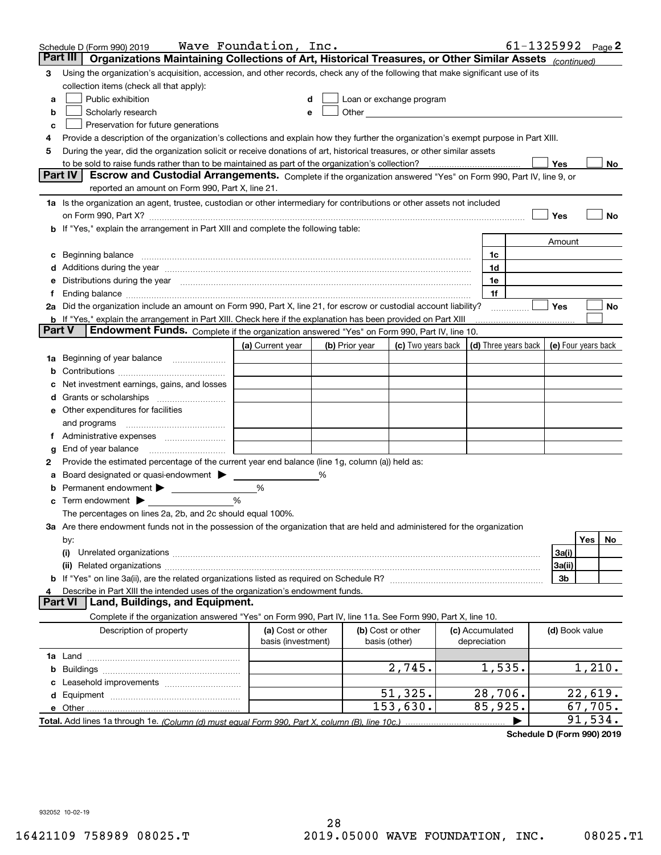|        | Schedule D (Form 990) 2019<br>Part III                                                                                                                                                                                         | Wave Foundation, Inc.                   |   |                |                                                                                                                                                                                                                               |                                 |                | $61 - 1325992$ Page 2 |
|--------|--------------------------------------------------------------------------------------------------------------------------------------------------------------------------------------------------------------------------------|-----------------------------------------|---|----------------|-------------------------------------------------------------------------------------------------------------------------------------------------------------------------------------------------------------------------------|---------------------------------|----------------|-----------------------|
|        | Organizations Maintaining Collections of Art, Historical Treasures, or Other Similar Assets (continued)                                                                                                                        |                                         |   |                |                                                                                                                                                                                                                               |                                 |                |                       |
| 3      | Using the organization's acquisition, accession, and other records, check any of the following that make significant use of its<br>collection items (check all that apply):                                                    |                                         |   |                |                                                                                                                                                                                                                               |                                 |                |                       |
| а      | Public exhibition                                                                                                                                                                                                              |                                         |   |                | Loan or exchange program                                                                                                                                                                                                      |                                 |                |                       |
| b      | Scholarly research                                                                                                                                                                                                             |                                         |   |                | Other and the contract of the contract of the contract of the contract of the contract of the contract of the contract of the contract of the contract of the contract of the contract of the contract of the contract of the |                                 |                |                       |
| с      | Preservation for future generations                                                                                                                                                                                            |                                         |   |                |                                                                                                                                                                                                                               |                                 |                |                       |
| 4      | Provide a description of the organization's collections and explain how they further the organization's exempt purpose in Part XIII.                                                                                           |                                         |   |                |                                                                                                                                                                                                                               |                                 |                |                       |
| 5      | During the year, did the organization solicit or receive donations of art, historical treasures, or other similar assets                                                                                                       |                                         |   |                |                                                                                                                                                                                                                               |                                 |                |                       |
|        | to be sold to raise funds rather than to be maintained as part of the organization's collection?                                                                                                                               |                                         |   |                |                                                                                                                                                                                                                               |                                 | Yes            | No                    |
|        | Escrow and Custodial Arrangements. Complete if the organization answered "Yes" on Form 990, Part IV, line 9, or<br><b>Part IV</b>                                                                                              |                                         |   |                |                                                                                                                                                                                                                               |                                 |                |                       |
|        | reported an amount on Form 990, Part X, line 21.                                                                                                                                                                               |                                         |   |                |                                                                                                                                                                                                                               |                                 |                |                       |
|        | 1a Is the organization an agent, trustee, custodian or other intermediary for contributions or other assets not included                                                                                                       |                                         |   |                |                                                                                                                                                                                                                               |                                 |                |                       |
|        | on Form 990, Part X? [11] matter continuum matter contract to the contract of the contract of the contract of the contract of the contract of the contract of the contract of the contract of the contract of the contract of  |                                         |   |                |                                                                                                                                                                                                                               |                                 | Yes            | No                    |
|        | b If "Yes," explain the arrangement in Part XIII and complete the following table:                                                                                                                                             |                                         |   |                |                                                                                                                                                                                                                               |                                 |                |                       |
|        |                                                                                                                                                                                                                                |                                         |   |                |                                                                                                                                                                                                                               |                                 | Amount         |                       |
| c      | Beginning balance <u>www.maren.communication.communication.communication.communication.com</u>                                                                                                                                 |                                         |   |                |                                                                                                                                                                                                                               | 1c                              |                |                       |
|        |                                                                                                                                                                                                                                |                                         |   |                |                                                                                                                                                                                                                               | 1d                              |                |                       |
|        | e Distributions during the year manufactured and an according to the distributions during the year manufactured and the state of the state of the state of the state of the state of the state of the state of the state of th |                                         |   |                |                                                                                                                                                                                                                               | 1e                              |                |                       |
|        |                                                                                                                                                                                                                                |                                         |   |                |                                                                                                                                                                                                                               | 1f                              |                |                       |
|        | 2a Did the organization include an amount on Form 990, Part X, line 21, for escrow or custodial account liability?                                                                                                             |                                         |   |                |                                                                                                                                                                                                                               |                                 | Yes            | No                    |
| Part V | <b>b</b> If "Yes," explain the arrangement in Part XIII. Check here if the explanation has been provided on Part XIII<br>Endowment Funds. Complete if the organization answered "Yes" on Form 990, Part IV, line 10.           |                                         |   |                |                                                                                                                                                                                                                               |                                 |                |                       |
|        |                                                                                                                                                                                                                                | (a) Current year                        |   | (b) Prior year | (c) Two years back   (d) Three years back   (e) Four years back                                                                                                                                                               |                                 |                |                       |
|        | 1a Beginning of year balance                                                                                                                                                                                                   |                                         |   |                |                                                                                                                                                                                                                               |                                 |                |                       |
| b      |                                                                                                                                                                                                                                |                                         |   |                |                                                                                                                                                                                                                               |                                 |                |                       |
|        | Net investment earnings, gains, and losses                                                                                                                                                                                     |                                         |   |                |                                                                                                                                                                                                                               |                                 |                |                       |
|        | d Grants or scholarships                                                                                                                                                                                                       |                                         |   |                |                                                                                                                                                                                                                               |                                 |                |                       |
|        | e Other expenditures for facilities                                                                                                                                                                                            |                                         |   |                |                                                                                                                                                                                                                               |                                 |                |                       |
|        | and programs                                                                                                                                                                                                                   |                                         |   |                |                                                                                                                                                                                                                               |                                 |                |                       |
|        |                                                                                                                                                                                                                                |                                         |   |                |                                                                                                                                                                                                                               |                                 |                |                       |
| g      |                                                                                                                                                                                                                                |                                         |   |                |                                                                                                                                                                                                                               |                                 |                |                       |
| 2      | Provide the estimated percentage of the current year end balance (line 1g, column (a)) held as:                                                                                                                                |                                         |   |                |                                                                                                                                                                                                                               |                                 |                |                       |
| а      | Board designated or quasi-endowment > _____                                                                                                                                                                                    |                                         | % |                |                                                                                                                                                                                                                               |                                 |                |                       |
| b      | Permanent endowment > 1                                                                                                                                                                                                        | %                                       |   |                |                                                                                                                                                                                                                               |                                 |                |                       |
|        | <b>c</b> Term endowment $\blacktriangleright$                                                                                                                                                                                  | %                                       |   |                |                                                                                                                                                                                                                               |                                 |                |                       |
|        | The percentages on lines 2a, 2b, and 2c should equal 100%.                                                                                                                                                                     |                                         |   |                |                                                                                                                                                                                                                               |                                 |                |                       |
|        | 3a Are there endowment funds not in the possession of the organization that are held and administered for the organization                                                                                                     |                                         |   |                |                                                                                                                                                                                                                               |                                 |                |                       |
|        | by:                                                                                                                                                                                                                            |                                         |   |                |                                                                                                                                                                                                                               |                                 |                | Yes<br>No             |
|        | (i)                                                                                                                                                                                                                            |                                         |   |                |                                                                                                                                                                                                                               |                                 | 3a(i)          |                       |
|        |                                                                                                                                                                                                                                |                                         |   |                |                                                                                                                                                                                                                               |                                 | 3a(ii)         |                       |
|        |                                                                                                                                                                                                                                |                                         |   |                |                                                                                                                                                                                                                               |                                 | 3b             |                       |
| 4      | Describe in Part XIII the intended uses of the organization's endowment funds.<br>Land, Buildings, and Equipment.<br><b>Part VI</b>                                                                                            |                                         |   |                |                                                                                                                                                                                                                               |                                 |                |                       |
|        | Complete if the organization answered "Yes" on Form 990, Part IV, line 11a. See Form 990, Part X, line 10.                                                                                                                     |                                         |   |                |                                                                                                                                                                                                                               |                                 |                |                       |
|        |                                                                                                                                                                                                                                |                                         |   |                |                                                                                                                                                                                                                               |                                 |                |                       |
|        | Description of property                                                                                                                                                                                                        | (a) Cost or other<br>basis (investment) |   |                | (b) Cost or other<br>basis (other)                                                                                                                                                                                            | (c) Accumulated<br>depreciation | (d) Book value |                       |
|        |                                                                                                                                                                                                                                |                                         |   |                |                                                                                                                                                                                                                               |                                 |                |                       |
|        |                                                                                                                                                                                                                                |                                         |   |                | 2,745.                                                                                                                                                                                                                        | 1,535.                          |                | 1,210.                |
| c      | Leasehold improvements                                                                                                                                                                                                         |                                         |   |                |                                                                                                                                                                                                                               |                                 |                |                       |
|        |                                                                                                                                                                                                                                |                                         |   |                | 51,325.                                                                                                                                                                                                                       | 28,706.                         |                | 22,619.               |
|        |                                                                                                                                                                                                                                |                                         |   |                | 153,630.                                                                                                                                                                                                                      | 85,925.                         |                | 67,705.               |
|        |                                                                                                                                                                                                                                |                                         |   |                |                                                                                                                                                                                                                               |                                 |                | 91,534.               |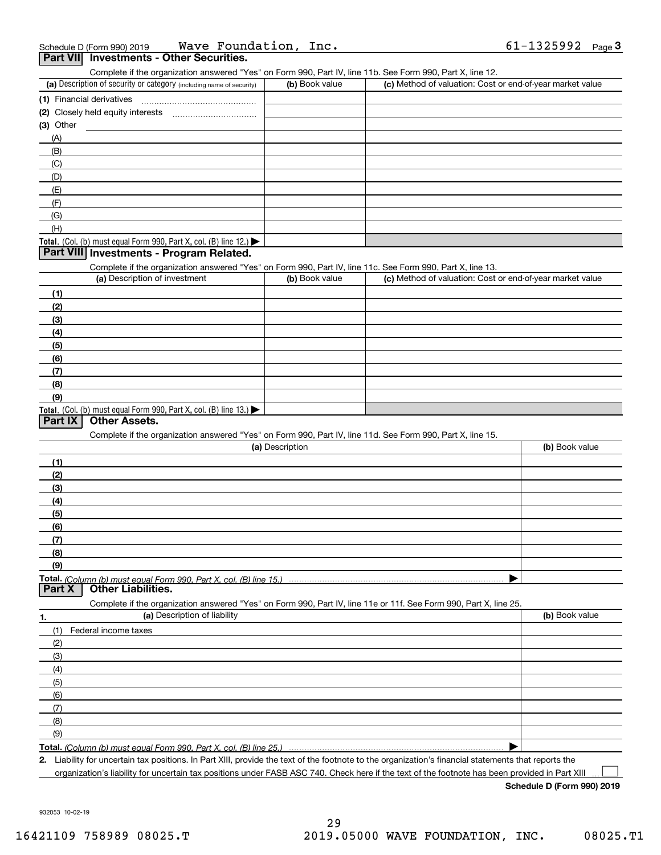| Schedule D (Form 990) 2019 |                                                 | Wave Foundation, Inc. | $61 - 1325992$ Page 3 |  |
|----------------------------|-------------------------------------------------|-----------------------|-----------------------|--|
|                            | <b>Part VII</b> Investments - Other Securities. |                       |                       |  |

Complete if the organization answered "Yes" on Form 990, Part IV, line 11b. See Form 990, Part X, line 12.

| (a) Description of security or category (including name of security)       | (b) Book value | (c) Method of valuation: Cost or end-of-year market value |
|----------------------------------------------------------------------------|----------------|-----------------------------------------------------------|
| (1) Financial derivatives                                                  |                |                                                           |
| (2) Closely held equity interests                                          |                |                                                           |
| $(3)$ Other                                                                |                |                                                           |
| (A)                                                                        |                |                                                           |
| (B)                                                                        |                |                                                           |
| (C)                                                                        |                |                                                           |
| (D)                                                                        |                |                                                           |
| (E)                                                                        |                |                                                           |
| (F)                                                                        |                |                                                           |
| (G)                                                                        |                |                                                           |
| (H)                                                                        |                |                                                           |
| <b>Total.</b> (Col. (b) must equal Form 990, Part X, col. (B) line $12$ .) |                |                                                           |

#### **Part VIII Investments - Program Related.**

Complete if the organization answered "Yes" on Form 990, Part IV, line 11c. See Form 990, Part X, line 13.

| (a) Description of investment                                    | (b) Book value | (c) Method of valuation: Cost or end-of-year market value |
|------------------------------------------------------------------|----------------|-----------------------------------------------------------|
| (1)                                                              |                |                                                           |
| (2)                                                              |                |                                                           |
| $\frac{1}{2}$                                                    |                |                                                           |
| (4)                                                              |                |                                                           |
| $\frac{1}{2}$                                                    |                |                                                           |
| (6)                                                              |                |                                                           |
| $\sqrt{(7)}$                                                     |                |                                                           |
| (8)                                                              |                |                                                           |
| (9)                                                              |                |                                                           |
| Total. (Col. (b) must equal Form 990, Part X, col. (B) line 13.) |                |                                                           |

#### **Part IX Other Assets.**

Complete if the organization answered "Yes" on Form 990, Part IV, line 11d. See Form 990, Part X, line 15.

| (a) Description                                                                                                   | (b) Book value |
|-------------------------------------------------------------------------------------------------------------------|----------------|
| (1)                                                                                                               |                |
| (2)                                                                                                               |                |
| (3)                                                                                                               |                |
| (4)                                                                                                               |                |
| (5)                                                                                                               |                |
| (6)                                                                                                               |                |
| (7)                                                                                                               |                |
| (8)                                                                                                               |                |
| (9)                                                                                                               |                |
|                                                                                                                   |                |
| <b>Other Liabilities.</b><br><b>Part X</b>                                                                        |                |
| Complete if the organization answered "Yes" on Form 990, Part IV, line 11e or 11f. See Form 990, Part X, line 25. |                |
| (a) Description of liability<br>1.                                                                                | (b) Book value |

|               | (a) Description of Ilability | (b) BOOK Value |
|---------------|------------------------------|----------------|
| (1)           | Federal income taxes         |                |
| (2)           |                              |                |
| $\frac{1}{2}$ |                              |                |
| (4)           |                              |                |
| (5)           |                              |                |
| (6)           |                              |                |
| (7)           |                              |                |
| (8)           |                              |                |
| (9)           |                              |                |
|               |                              |                |

*(Column (b) must equal Form 990, Part X, col. (B) line 25.)* 

**2.**Liability for uncertain tax positions. In Part XIII, provide the text of the footnote to the organization's financial statements that reports the organization's liability for uncertain tax positions under FASB ASC 740. Check here if the text of the footnote has been provided in Part XIII

**Schedule D (Form 990) 2019**

 $\mathcal{L}^{\text{max}}$ 

932053 10-02-19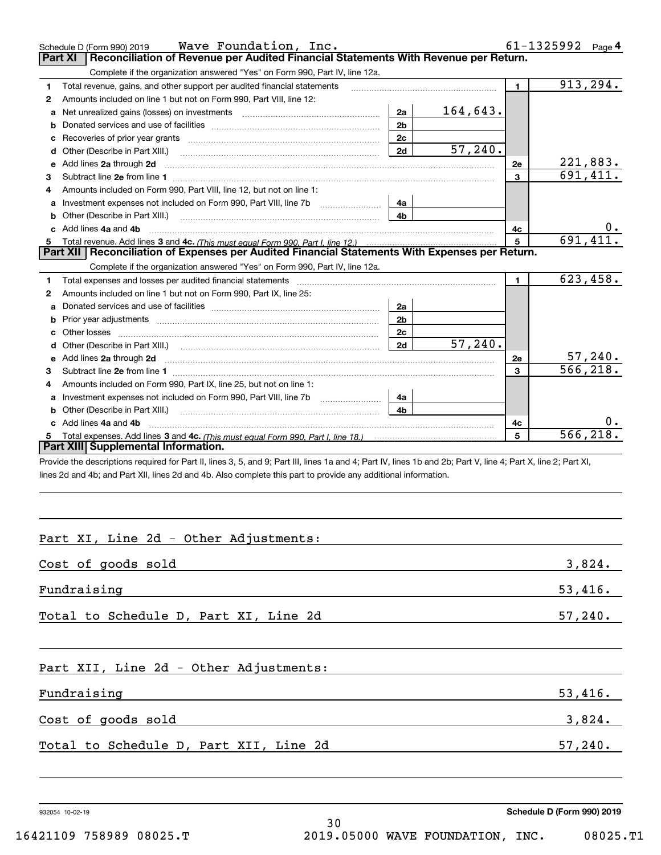|   | Wave Foundation, Inc.<br>Schedule D (Form 990) 2019                                                                                                                                                                                 |                |          |                | $61 - 1325992$ Page 4 |                         |
|---|-------------------------------------------------------------------------------------------------------------------------------------------------------------------------------------------------------------------------------------|----------------|----------|----------------|-----------------------|-------------------------|
|   | Reconciliation of Revenue per Audited Financial Statements With Revenue per Return.<br><b>Part XI</b>                                                                                                                               |                |          |                |                       |                         |
|   | Complete if the organization answered "Yes" on Form 990, Part IV, line 12a.                                                                                                                                                         |                |          |                |                       |                         |
| 1 | Total revenue, gains, and other support per audited financial statements                                                                                                                                                            |                |          | $\mathbf{1}$   |                       | 913, 294.               |
| 2 | Amounts included on line 1 but not on Form 990, Part VIII, line 12:                                                                                                                                                                 |                |          |                |                       |                         |
|   | a Net unrealized gains (losses) on investments [11] [12] Net unrealized gains (losses) on investments [11] [12]                                                                                                                     | 2a             | 164,643. |                |                       |                         |
| b |                                                                                                                                                                                                                                     | 2 <sub>b</sub> |          |                |                       |                         |
|   |                                                                                                                                                                                                                                     | 2c             |          |                |                       |                         |
|   | Other (Describe in Part XIII.) <b>2006</b> 2006 2010 2010 2010 2010 2011 2012 2013 2014 2015 2016 2017 2018 2019 2016 2016 2017 2018 2019 2016 2017 2018 2019 2016 2017 2018 2019 2018 2019 2016 2017 2018 2019 2019 2018 2019 2018 | 2d             | 57,240.  |                |                       |                         |
|   | e Add lines 2a through 2d                                                                                                                                                                                                           |                |          | 2e             |                       | 221,883.                |
| 3 |                                                                                                                                                                                                                                     |                |          | $\overline{3}$ |                       | 691,411.                |
| 4 | Amounts included on Form 990, Part VIII, line 12, but not on line 1:                                                                                                                                                                |                |          |                |                       |                         |
| a | Investment expenses not included on Form 990, Part VIII, line 7b [1000000000000000000000000000000000                                                                                                                                | 4a             |          |                |                       |                         |
| b |                                                                                                                                                                                                                                     | 4b             |          |                |                       |                         |
|   | Add lines 4a and 4b                                                                                                                                                                                                                 |                |          | 4с             |                       | 0.                      |
| 5 |                                                                                                                                                                                                                                     |                |          | 5              |                       | 691, 411.               |
|   | Part XII   Reconciliation of Expenses per Audited Financial Statements With Expenses per Return.                                                                                                                                    |                |          |                |                       |                         |
|   | Complete if the organization answered "Yes" on Form 990, Part IV, line 12a.                                                                                                                                                         |                |          |                |                       |                         |
| 1 | Total expenses and losses per audited financial statements                                                                                                                                                                          |                |          | $\blacksquare$ |                       | $\overline{623}$ , 458. |
| 2 | Amounts included on line 1 but not on Form 990. Part IX, line 25:                                                                                                                                                                   |                |          |                |                       |                         |
| a |                                                                                                                                                                                                                                     | 2a             |          |                |                       |                         |
| b |                                                                                                                                                                                                                                     | 2 <sub>b</sub> |          |                |                       |                         |
|   |                                                                                                                                                                                                                                     | 2c             |          |                |                       |                         |
| d |                                                                                                                                                                                                                                     | 2d             | 57,240.  |                |                       |                         |
|   |                                                                                                                                                                                                                                     |                |          | 2e             |                       | 57,240.                 |
| 3 |                                                                                                                                                                                                                                     |                |          | 3              |                       | 566, 218.               |
| 4 | Amounts included on Form 990, Part IX, line 25, but not on line 1:                                                                                                                                                                  |                |          |                |                       |                         |
| a |                                                                                                                                                                                                                                     | 4a             |          |                |                       |                         |
| b |                                                                                                                                                                                                                                     | 4 <sub>h</sub> |          |                |                       |                         |
|   | Add lines 4a and 4b                                                                                                                                                                                                                 |                |          | 4c             |                       | 0.                      |
| 5 |                                                                                                                                                                                                                                     |                |          | 5              |                       | 566, 218.               |
|   | Part XIII Supplemental Information.                                                                                                                                                                                                 |                |          |                |                       |                         |
|   | Provide the descriptions required for Part II, lines 3, 5, and 9; Part III, lines 1a and 4; Part IV, lines 1b and 2b; Part V, line 4; Part X, line 2; Part XI,                                                                      |                |          |                |                       |                         |

lines 2d and 4b; and Part XII, lines 2d and 4b. Also complete this part to provide any additional information.

| Part XI, Line 2d - Other Adjustments:  |         |
|----------------------------------------|---------|
| Cost of goods sold                     | 3,824.  |
| Fundraising                            | 53,416. |
| Total to Schedule D, Part XI, Line 2d  | 57,240. |
| Part XII, Line 2d - Other Adjustments: |         |
| Fundraising                            | 53,416. |
| Cost of goods sold                     | 3,824.  |
| Total to Schedule D, Part XII, Line 2d | 57,240. |
|                                        |         |

932054 10-02-19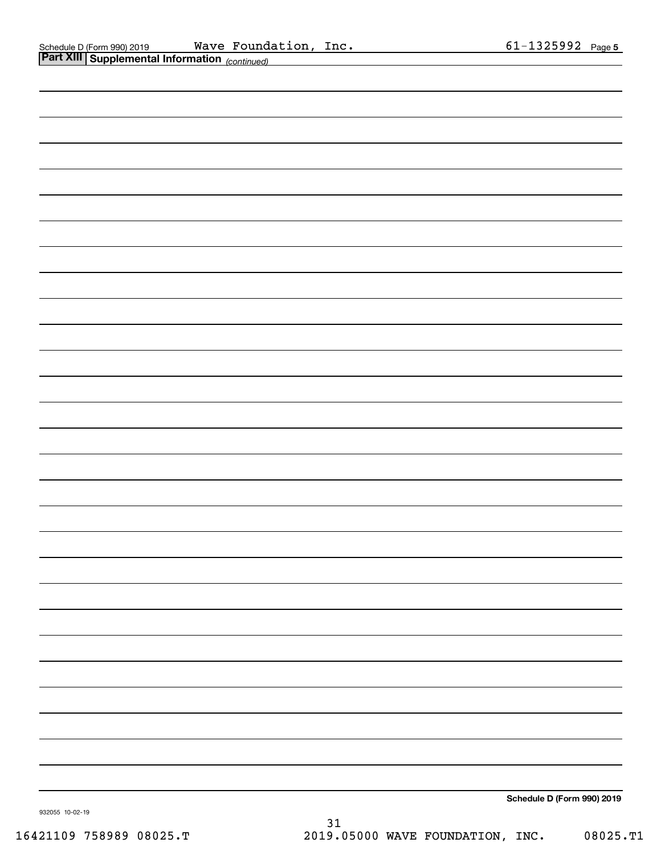| <b>Part XIII Supplemental Information</b> (continued) |                            |
|-------------------------------------------------------|----------------------------|
|                                                       |                            |
|                                                       |                            |
|                                                       |                            |
|                                                       |                            |
|                                                       |                            |
|                                                       |                            |
|                                                       |                            |
|                                                       |                            |
|                                                       |                            |
|                                                       |                            |
|                                                       |                            |
|                                                       |                            |
|                                                       |                            |
|                                                       |                            |
|                                                       |                            |
|                                                       |                            |
|                                                       |                            |
|                                                       |                            |
|                                                       |                            |
|                                                       |                            |
|                                                       |                            |
|                                                       |                            |
|                                                       |                            |
|                                                       |                            |
|                                                       |                            |
|                                                       |                            |
|                                                       |                            |
|                                                       |                            |
|                                                       |                            |
|                                                       | Schedule D (Form 990) 2019 |

932055 10-02-19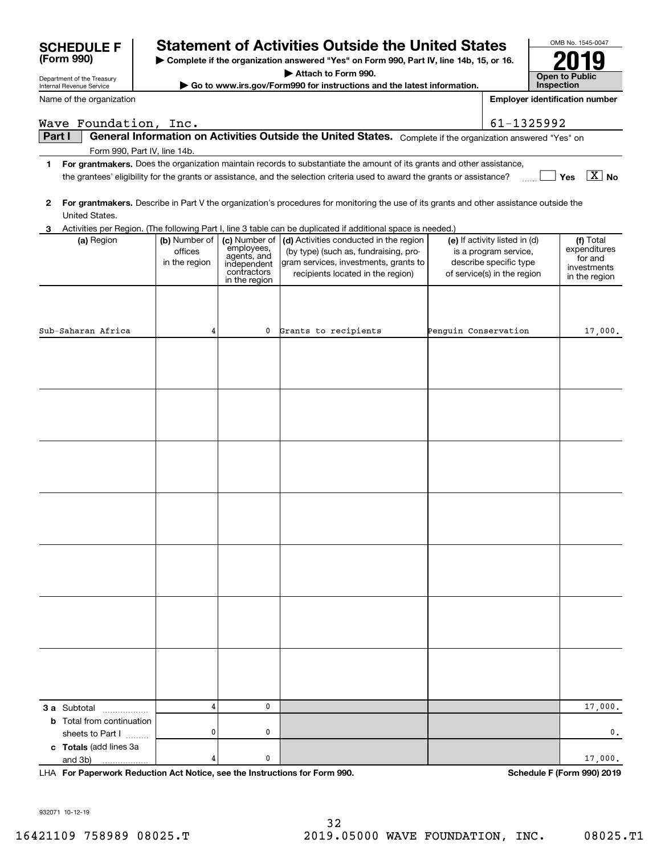| Wave Foundation, Inc.                                |               |                                             |                                                                                                                                         | 61-1325992                                            |                              |
|------------------------------------------------------|---------------|---------------------------------------------|-----------------------------------------------------------------------------------------------------------------------------------------|-------------------------------------------------------|------------------------------|
| Part I                                               |               |                                             | General Information on Activities Outside the United States. Complete if the organization answered "Yes" on                             |                                                       |                              |
| Form 990, Part IV, line 14b.                         |               |                                             |                                                                                                                                         |                                                       |                              |
|                                                      |               |                                             | 1 For grantmakers. Does the organization maintain records to substantiate the amount of its grants and other assistance,                |                                                       | $\boxed{\text{X}}$ No        |
|                                                      |               |                                             | the grantees' eligibility for the grants or assistance, and the selection criteria used to award the grants or assistance?              |                                                       | Yes                          |
| $\mathbf{2}$<br>United States.                       |               |                                             | For grantmakers. Describe in Part V the organization's procedures for monitoring the use of its grants and other assistance outside the |                                                       |                              |
|                                                      |               |                                             | 3 Activities per Region. (The following Part I, line 3 table can be duplicated if additional space is needed.)                          |                                                       |                              |
| (a) Region                                           | (b) Number of | (c) Number of                               | (d) Activities conducted in the region                                                                                                  | (e) If activity listed in (d)                         | (f) Total                    |
|                                                      | offices       | employees,<br>agents, and                   | (by type) (such as, fundraising, pro-                                                                                                   | is a program service,                                 | expenditures<br>for and      |
|                                                      | in the region | independent<br>contractors<br>in the region | gram services, investments, grants to<br>recipients located in the region)                                                              | describe specific type<br>of service(s) in the region | investments<br>in the region |
|                                                      |               |                                             |                                                                                                                                         |                                                       |                              |
|                                                      |               |                                             |                                                                                                                                         |                                                       |                              |
| Sub-Saharan Africa                                   | 4             | 0                                           | Grants to recipients                                                                                                                    | Penguin Conservation                                  | 17,000.                      |
|                                                      |               |                                             |                                                                                                                                         |                                                       |                              |
|                                                      |               |                                             |                                                                                                                                         |                                                       |                              |
|                                                      |               |                                             |                                                                                                                                         |                                                       |                              |
|                                                      |               |                                             |                                                                                                                                         |                                                       |                              |
|                                                      |               |                                             |                                                                                                                                         |                                                       |                              |
|                                                      |               |                                             |                                                                                                                                         |                                                       |                              |
|                                                      |               |                                             |                                                                                                                                         |                                                       |                              |
|                                                      |               |                                             |                                                                                                                                         |                                                       |                              |
|                                                      |               |                                             |                                                                                                                                         |                                                       |                              |
|                                                      |               |                                             |                                                                                                                                         |                                                       |                              |
|                                                      |               |                                             |                                                                                                                                         |                                                       |                              |
|                                                      |               |                                             |                                                                                                                                         |                                                       |                              |
|                                                      |               |                                             |                                                                                                                                         |                                                       |                              |
|                                                      |               |                                             |                                                                                                                                         |                                                       |                              |
|                                                      |               |                                             |                                                                                                                                         |                                                       |                              |
|                                                      |               |                                             |                                                                                                                                         |                                                       |                              |
|                                                      |               |                                             |                                                                                                                                         |                                                       |                              |
|                                                      |               |                                             |                                                                                                                                         |                                                       |                              |
|                                                      |               |                                             |                                                                                                                                         |                                                       |                              |
|                                                      |               |                                             |                                                                                                                                         |                                                       |                              |
|                                                      |               |                                             |                                                                                                                                         |                                                       |                              |
| 3 a Subtotal<br>.                                    | 4             | 0                                           |                                                                                                                                         |                                                       | 17,000.                      |
| <b>b</b> Total from continuation<br>sheets to Part I | 0             | 0                                           |                                                                                                                                         |                                                       | 0.                           |
| c Totals (add lines 3a                               |               |                                             |                                                                                                                                         |                                                       |                              |
| and 3b)                                              | 4             | 0                                           |                                                                                                                                         |                                                       | 17,000.                      |

**| Complete if the organization answered "Yes" on Form 990, Part IV, line 14b, 15, or 16. | Attach to Form 990. | Go to www.irs.gov/Form990 for instructions and the latest information.**

**SCHEDULE F Statement of Activities Outside the United States**

**For Paperwork Reduction Act Notice, see the Instructions for Form 990. Schedule F (Form 990) 2019** LHA

932071 10-12-19

Department of the Treasury Internal Revenue Service

**(Form 990)**

Name of the organization

OMB No. 1545-0047

**2019**

**Open to Public InspectionEmployer identification number**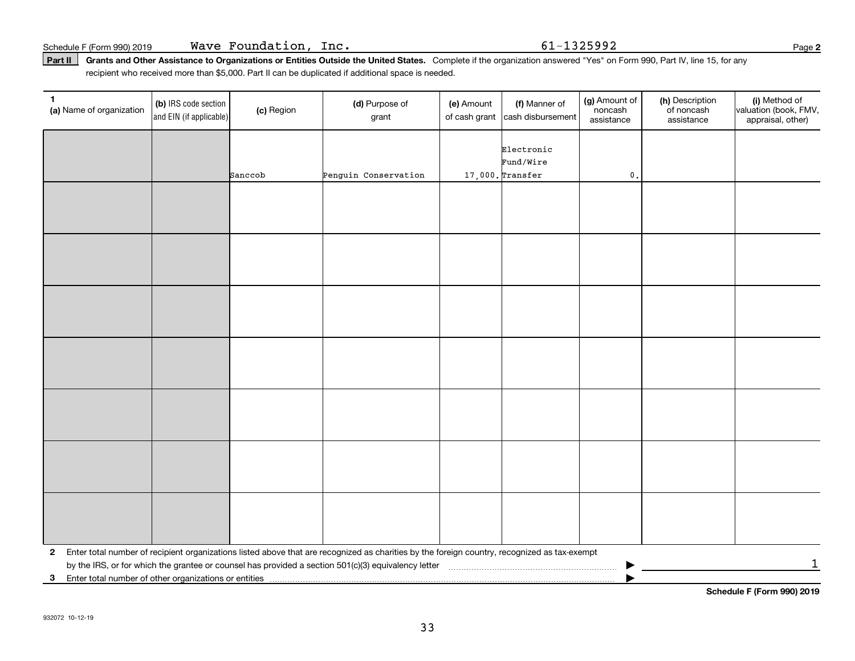Part II | Grants and Other Assistance to Organizations or Entities Outside the United States. Complete if the organization answered "Yes" on Form 990, Part IV, line 15, for any recipient who received more than \$5,000. Part II can be duplicated if additional space is needed.

| $\mathbf{1}$<br>(a) Name of organization                                                | (b) IRS code section<br>and EIN (if applicable) | (c) Region | (d) Purpose of<br>grant                                                                                                                      | (e) Amount<br>of cash grant | (f) Manner of<br>cash disbursement             | (g) Amount of<br>noncash<br>assistance | (h) Description<br>of noncash<br>assistance | (i) Method of<br>valuation (book, FMV,<br>appraisal, other) |
|-----------------------------------------------------------------------------------------|-------------------------------------------------|------------|----------------------------------------------------------------------------------------------------------------------------------------------|-----------------------------|------------------------------------------------|----------------------------------------|---------------------------------------------|-------------------------------------------------------------|
|                                                                                         |                                                 | Sanccob    | Penguin Conservation                                                                                                                         |                             | Electronic<br>Fund/Wire<br>$17,000$ . Transfer | $\mathbf{0}$ .                         |                                             |                                                             |
|                                                                                         |                                                 |            |                                                                                                                                              |                             |                                                |                                        |                                             |                                                             |
|                                                                                         |                                                 |            |                                                                                                                                              |                             |                                                |                                        |                                             |                                                             |
|                                                                                         |                                                 |            |                                                                                                                                              |                             |                                                |                                        |                                             |                                                             |
|                                                                                         |                                                 |            |                                                                                                                                              |                             |                                                |                                        |                                             |                                                             |
|                                                                                         |                                                 |            |                                                                                                                                              |                             |                                                |                                        |                                             |                                                             |
|                                                                                         |                                                 |            |                                                                                                                                              |                             |                                                |                                        |                                             |                                                             |
|                                                                                         |                                                 |            |                                                                                                                                              |                             |                                                |                                        |                                             |                                                             |
|                                                                                         |                                                 |            |                                                                                                                                              |                             |                                                |                                        |                                             |                                                             |
| $\mathbf{2}$<br>Enter total number of other organizations or entities<br>3 <sub>1</sub> |                                                 |            | Enter total number of recipient organizations listed above that are recognized as charities by the foreign country, recognized as tax-exempt |                             |                                                |                                        |                                             | $\mathbf 1$                                                 |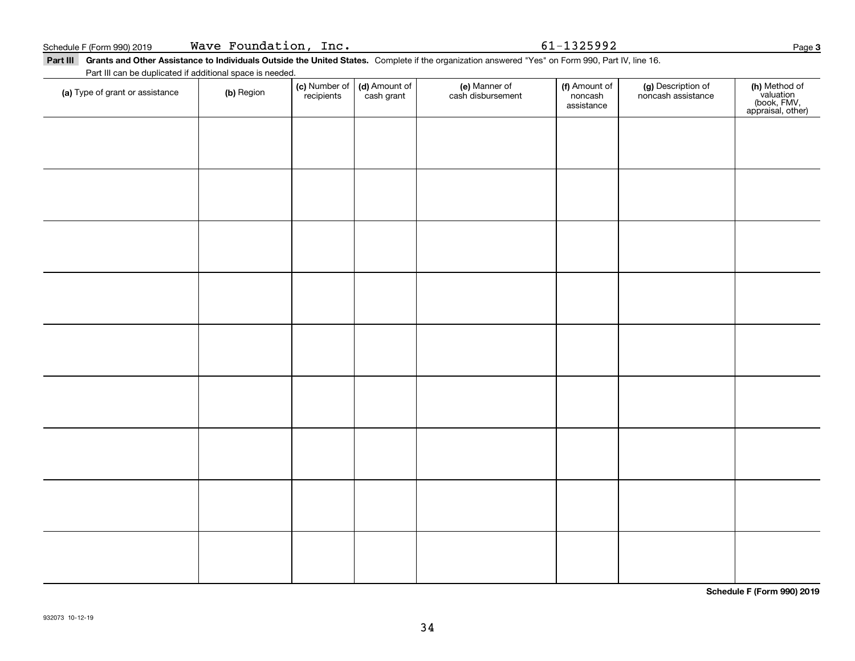Schedule F (Form 990) 2019 Page Wave Foundation, Inc. 61-1325992

Part III Grants and Other Assistance to Individuals Outside the United States. Complete if the organization answered "Yes" on Form 990, Part IV, line 16. Part III can be duplicated if additional space is needed.

| (a) Type of grant or assistance | (b) Region | (c) Number of<br>recipients | (d) Amount of | (e) Manner of<br>cash disbursement | (f) Amount of<br>noncash<br>assistance | (g) Description of<br>noncash assistance | (h) Method of<br>valuation<br>(book, FMV,<br>appraisal, other) |
|---------------------------------|------------|-----------------------------|---------------|------------------------------------|----------------------------------------|------------------------------------------|----------------------------------------------------------------|
|                                 |            |                             |               |                                    |                                        |                                          |                                                                |
|                                 |            |                             |               |                                    |                                        |                                          |                                                                |
|                                 |            |                             |               |                                    |                                        |                                          |                                                                |
|                                 |            |                             |               |                                    |                                        |                                          |                                                                |
|                                 |            |                             |               |                                    |                                        |                                          |                                                                |
|                                 |            |                             |               |                                    |                                        |                                          |                                                                |
|                                 |            |                             |               |                                    |                                        |                                          |                                                                |
|                                 |            |                             |               |                                    |                                        |                                          |                                                                |
|                                 |            |                             |               |                                    |                                        |                                          |                                                                |
|                                 |            |                             |               |                                    |                                        |                                          |                                                                |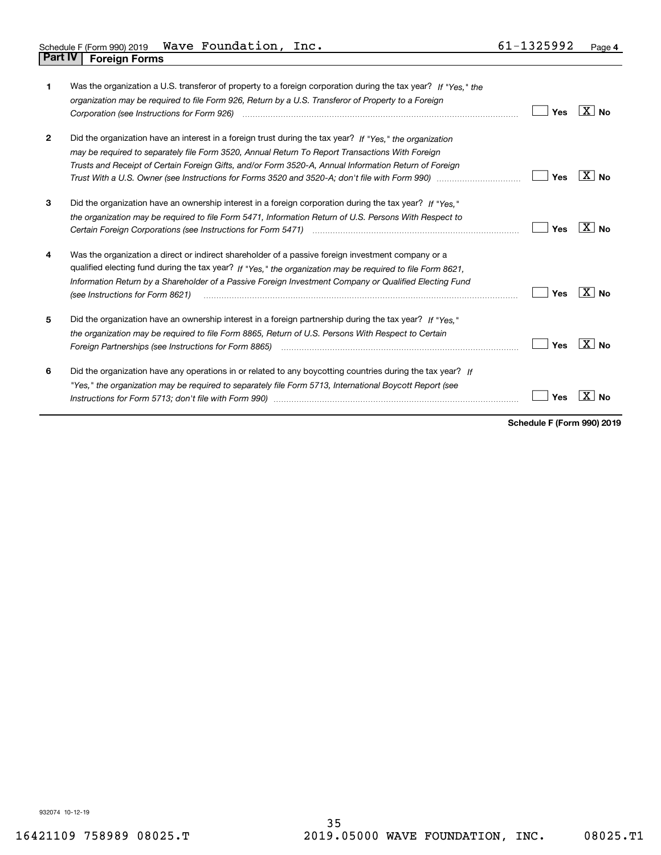| 1              | Was the organization a U.S. transferor of property to a foreign corporation during the tax year? If "Yes." the<br>organization may be required to file Form 926, Return by a U.S. Transferor of Property to a Foreign                                                                                                                                          | <b>Yes</b> | ∣X∣No          |
|----------------|----------------------------------------------------------------------------------------------------------------------------------------------------------------------------------------------------------------------------------------------------------------------------------------------------------------------------------------------------------------|------------|----------------|
| $\overline{2}$ | Did the organization have an interest in a foreign trust during the tax year? If "Yes," the organization<br>may be required to separately file Form 3520, Annual Return To Report Transactions With Foreign<br>Trusts and Receipt of Certain Foreign Gifts, and/or Form 3520-A, Annual Information Return of Foreign                                           | <b>Yes</b> | X∣No           |
| 3              | Did the organization have an ownership interest in a foreign corporation during the tax year? If "Yes,"<br>the organization may be required to file Form 5471, Information Return of U.S. Persons With Respect to                                                                                                                                              | Yes        | ∣X∣No          |
| 4              | Was the organization a direct or indirect shareholder of a passive foreign investment company or a<br>qualified electing fund during the tax year? If "Yes," the organization may be required to file Form 8621,<br>Information Return by a Shareholder of a Passive Foreign Investment Company or Qualified Electing Fund<br>(see Instructions for Form 8621) | Yes        | $X \mid N_{0}$ |
| 5              | Did the organization have an ownership interest in a foreign partnership during the tax year? If "Yes."<br>the organization may be required to file Form 8865, Return of U.S. Persons With Respect to Certain<br>Foreign Partnerships (see Instructions for Form 8865) manufactured contained and contained and resource the co                                | Yes        | $X $ No        |
| 6              | Did the organization have any operations in or related to any boycotting countries during the tax year? If<br>"Yes," the organization may be required to separately file Form 5713, International Boycott Report (see                                                                                                                                          | Yes        |                |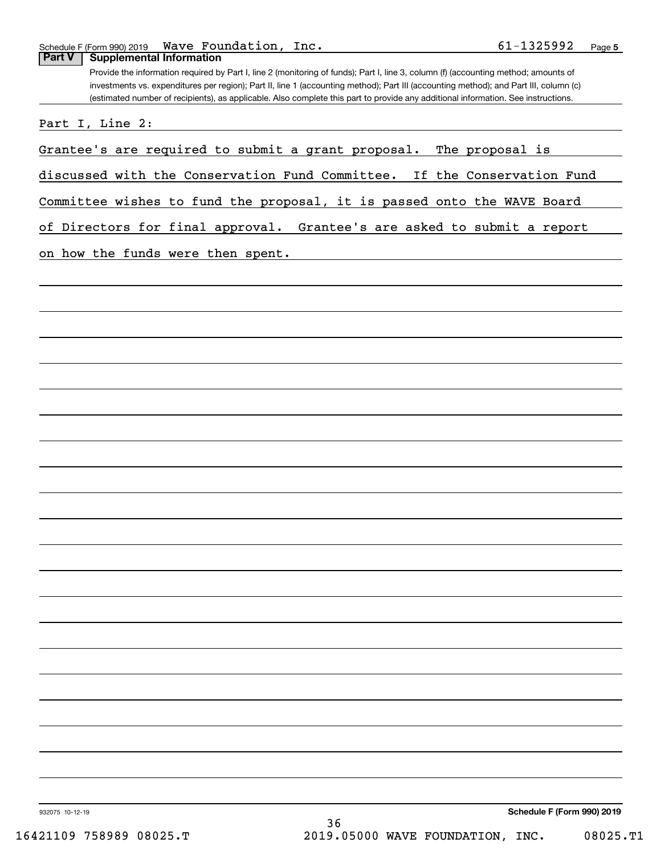|                                          |  | Schedule F (Form 990) 2019 $\;$ <code>Wave Foundation, Inc.</code> | 61-1325992 | Page |
|------------------------------------------|--|--------------------------------------------------------------------|------------|------|
| <b>Part V</b>   Supplemental Information |  |                                                                    |            |      |

Provide the information required by Part I, line 2 (monitoring of funds); Part I, line 3, column (f) (accounting method; amounts of investments vs. expenditures per region); Part II, line 1 (accounting method); Part III (accounting method); and Part III, column (c) (estimated number of recipients), as applicable. Also complete this part to provide any additional information. See instructions.

Part I, Line 2:

Grantee's are required to submit a grant proposal. The proposal is

discussed with the Conservation Fund Committee. If the Conservation Fund

Committee wishes to fund the proposal, it is passed onto the WAVE Board

of Directors for final approval. Grantee's are asked to submit a report

on how the funds were then spent.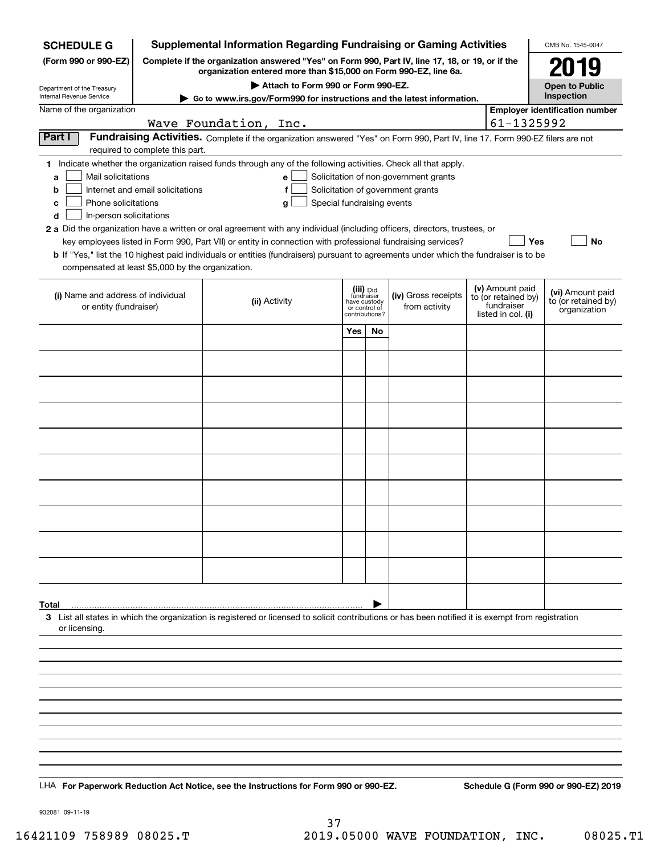| <b>SCHEDULE G</b>                                                                        | <b>Supplemental Information Regarding Fundraising or Gaming Activities</b><br>OMB No. 1545-0047                                                                     |                                                                                                                                                                                                                                                                                            |                                                                            |    |                                                                            |  |                                                                            |                                                         |
|------------------------------------------------------------------------------------------|---------------------------------------------------------------------------------------------------------------------------------------------------------------------|--------------------------------------------------------------------------------------------------------------------------------------------------------------------------------------------------------------------------------------------------------------------------------------------|----------------------------------------------------------------------------|----|----------------------------------------------------------------------------|--|----------------------------------------------------------------------------|---------------------------------------------------------|
| (Form 990 or 990-EZ)                                                                     | Complete if the organization answered "Yes" on Form 990, Part IV, line 17, 18, or 19, or if the<br>organization entered more than \$15,000 on Form 990-EZ, line 6a. |                                                                                                                                                                                                                                                                                            |                                                                            |    |                                                                            |  |                                                                            | 2019                                                    |
| Department of the Treasury                                                               |                                                                                                                                                                     | Attach to Form 990 or Form 990-EZ.                                                                                                                                                                                                                                                         |                                                                            |    |                                                                            |  |                                                                            | <b>Open to Public</b>                                   |
| Internal Revenue Service                                                                 |                                                                                                                                                                     | ▶ Go to www.irs.gov/Form990 for instructions and the latest information.                                                                                                                                                                                                                   |                                                                            |    |                                                                            |  |                                                                            | Inspection                                              |
| Name of the organization                                                                 |                                                                                                                                                                     | Wave Foundation, Inc.                                                                                                                                                                                                                                                                      |                                                                            |    |                                                                            |  | 61-1325992                                                                 | <b>Employer identification number</b>                   |
| Part I                                                                                   | required to complete this part.                                                                                                                                     | Fundraising Activities. Complete if the organization answered "Yes" on Form 990, Part IV, line 17. Form 990-EZ filers are not                                                                                                                                                              |                                                                            |    |                                                                            |  |                                                                            |                                                         |
| Mail solicitations<br>a<br>b<br>Phone solicitations<br>c<br>In-person solicitations<br>d | Internet and email solicitations                                                                                                                                    | 1 Indicate whether the organization raised funds through any of the following activities. Check all that apply.<br>e<br>f<br>Special fundraising events<br>g<br>2 a Did the organization have a written or oral agreement with any individual (including officers, directors, trustees, or |                                                                            |    | Solicitation of non-government grants<br>Solicitation of government grants |  |                                                                            |                                                         |
| compensated at least \$5,000 by the organization.                                        |                                                                                                                                                                     | key employees listed in Form 990, Part VII) or entity in connection with professional fundraising services?<br><b>b</b> If "Yes," list the 10 highest paid individuals or entities (fundraisers) pursuant to agreements under which the fundraiser is to be                                |                                                                            |    |                                                                            |  | Yes                                                                        | No                                                      |
| (i) Name and address of individual<br>or entity (fundraiser)                             |                                                                                                                                                                     | (ii) Activity                                                                                                                                                                                                                                                                              | (iii) Did<br>fundraiser<br>have custody<br>or control of<br>contributions? |    | (iv) Gross receipts<br>from activity                                       |  | (v) Amount paid<br>to (or retained by)<br>fundraiser<br>listed in col. (i) | (vi) Amount paid<br>to (or retained by)<br>organization |
|                                                                                          |                                                                                                                                                                     |                                                                                                                                                                                                                                                                                            | Yes                                                                        | No |                                                                            |  |                                                                            |                                                         |
|                                                                                          |                                                                                                                                                                     |                                                                                                                                                                                                                                                                                            |                                                                            |    |                                                                            |  |                                                                            |                                                         |
|                                                                                          |                                                                                                                                                                     |                                                                                                                                                                                                                                                                                            |                                                                            |    |                                                                            |  |                                                                            |                                                         |
|                                                                                          |                                                                                                                                                                     |                                                                                                                                                                                                                                                                                            |                                                                            |    |                                                                            |  |                                                                            |                                                         |
|                                                                                          |                                                                                                                                                                     |                                                                                                                                                                                                                                                                                            |                                                                            |    |                                                                            |  |                                                                            |                                                         |
|                                                                                          |                                                                                                                                                                     |                                                                                                                                                                                                                                                                                            |                                                                            |    |                                                                            |  |                                                                            |                                                         |
|                                                                                          |                                                                                                                                                                     |                                                                                                                                                                                                                                                                                            |                                                                            |    |                                                                            |  |                                                                            |                                                         |
|                                                                                          |                                                                                                                                                                     |                                                                                                                                                                                                                                                                                            |                                                                            |    |                                                                            |  |                                                                            |                                                         |
|                                                                                          |                                                                                                                                                                     |                                                                                                                                                                                                                                                                                            |                                                                            |    |                                                                            |  |                                                                            |                                                         |
|                                                                                          |                                                                                                                                                                     |                                                                                                                                                                                                                                                                                            |                                                                            |    |                                                                            |  |                                                                            |                                                         |
|                                                                                          |                                                                                                                                                                     |                                                                                                                                                                                                                                                                                            |                                                                            |    |                                                                            |  |                                                                            |                                                         |
| Total<br>or licensing.                                                                   |                                                                                                                                                                     | 3 List all states in which the organization is registered or licensed to solicit contributions or has been notified it is exempt from registration                                                                                                                                         |                                                                            |    |                                                                            |  |                                                                            |                                                         |
|                                                                                          |                                                                                                                                                                     |                                                                                                                                                                                                                                                                                            |                                                                            |    |                                                                            |  |                                                                            |                                                         |
|                                                                                          |                                                                                                                                                                     |                                                                                                                                                                                                                                                                                            |                                                                            |    |                                                                            |  |                                                                            |                                                         |
|                                                                                          |                                                                                                                                                                     |                                                                                                                                                                                                                                                                                            |                                                                            |    |                                                                            |  |                                                                            |                                                         |
|                                                                                          |                                                                                                                                                                     |                                                                                                                                                                                                                                                                                            |                                                                            |    |                                                                            |  |                                                                            |                                                         |
|                                                                                          |                                                                                                                                                                     |                                                                                                                                                                                                                                                                                            |                                                                            |    |                                                                            |  |                                                                            |                                                         |
|                                                                                          |                                                                                                                                                                     | LHA For Paperwork Reduction Act Notice, see the Instructions for Form 990 or 990-EZ.                                                                                                                                                                                                       |                                                                            |    |                                                                            |  |                                                                            | Schedule G (Form 990 or 990-EZ) 2019                    |
|                                                                                          |                                                                                                                                                                     |                                                                                                                                                                                                                                                                                            |                                                                            |    |                                                                            |  |                                                                            |                                                         |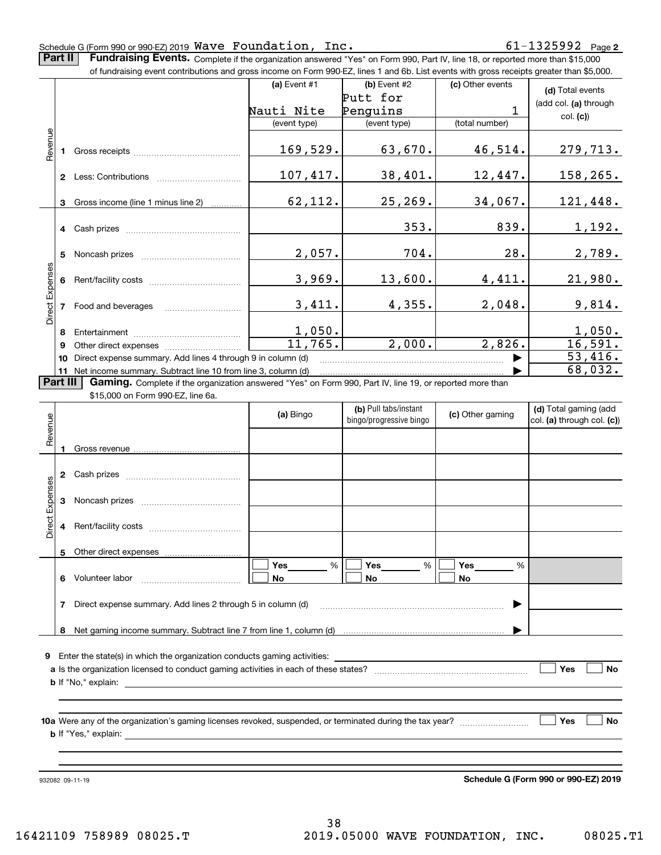#### Schedule G (Form 990 or 990-EZ) 2019 Page Wave Foundation, Inc. 61-1325992

**Part II** | Fundraising Events. Complete if the organization answered "Yes" on Form 990, Part IV, line 18, or reported more than \$15,000

|                 |    | of fundraising event contributions and gross income on Form 990-EZ, lines 1 and 6b. List events with gross receipts greater than \$5,000. |                |                                                  |                  |                                                     |
|-----------------|----|-------------------------------------------------------------------------------------------------------------------------------------------|----------------|--------------------------------------------------|------------------|-----------------------------------------------------|
|                 |    |                                                                                                                                           | (a) Event $#1$ | (b) Event #2                                     | (c) Other events | (d) Total events                                    |
|                 |    |                                                                                                                                           |                | Putt for                                         |                  | (add col. (a) through                               |
|                 |    |                                                                                                                                           | Nauti Nite     | Penguins                                         | 1                | col. (c)                                            |
|                 |    |                                                                                                                                           | (event type)   | (event type)                                     | (total number)   |                                                     |
| evenue          |    |                                                                                                                                           | 169,529.       | 63,670.                                          | <u>46,514.</u>   | <u>279,713.</u>                                     |
|                 |    |                                                                                                                                           | 107, 417.      | 38,401.                                          | <u>12,447.</u>   | 158,265.                                            |
|                 |    | 3 Gross income (line 1 minus line 2)                                                                                                      | 62, 112.       | 25, 269.                                         | 34,067.          | 121,448.                                            |
|                 |    |                                                                                                                                           |                | 353.                                             | 839.             | <u>1,192.</u>                                       |
|                 |    |                                                                                                                                           | 2,057.         | 704.                                             | 28.              | <u>2,789.</u>                                       |
|                 |    |                                                                                                                                           | 3,969.         | 13,600.                                          | <u>4,411.</u>    | <u>21,980.</u>                                      |
| Direct Expenses |    | 7 Food and beverages                                                                                                                      | 3,411.         | 4,355.                                           | 2,048.           | 9,814.                                              |
|                 | 8. |                                                                                                                                           | 1,050.         |                                                  |                  | $\frac{1,050}{16,591}$                              |
|                 | 9  |                                                                                                                                           | 11,765.        | 2,000.                                           | 2,826.           |                                                     |
|                 | 10 | Direct expense summary. Add lines 4 through 9 in column (d)                                                                               |                |                                                  |                  | 53,416.                                             |
|                 |    | 11 Net income summary. Subtract line 10 from line 3, column (d)                                                                           |                |                                                  |                  | 68,032.                                             |
| <b>Part III</b> |    | Gaming. Complete if the organization answered "Yes" on Form 990, Part IV, line 19, or reported more than                                  |                |                                                  |                  |                                                     |
|                 |    | \$15,000 on Form 990-EZ, line 6a.                                                                                                         | (a) Bingo      | (b) Pull tabs/instant<br>bingo/progressive bingo | (c) Other gaming | (d) Total gaming (add<br>col. (a) through col. (c)) |
| Revenue         |    |                                                                                                                                           |                |                                                  |                  |                                                     |
|                 |    |                                                                                                                                           |                |                                                  |                  |                                                     |
|                 |    |                                                                                                                                           |                |                                                  |                  |                                                     |
| Expenses        | 3  |                                                                                                                                           |                |                                                  |                  |                                                     |
| <b>Direct</b>   | 4  |                                                                                                                                           |                |                                                  |                  |                                                     |
|                 |    |                                                                                                                                           |                |                                                  |                  |                                                     |
|                 | 5  | Other direct expenses                                                                                                                     |                |                                                  |                  |                                                     |
|                 | 6. | Volunteer labor                                                                                                                           | %<br>Yes<br>No | %<br>Yes<br>No                                   | %<br>Yes<br>No   |                                                     |
|                 | 7  | Direct expense summary. Add lines 2 through 5 in column (d)                                                                               |                |                                                  |                  |                                                     |

**9**Enter the state(s) in which the organization conducts gaming activities:

**a** Is the organization licensed to conduct gaming activities in each of these states? \_\_\_\_\_\_\_\_\_\_\_\_\_\_\_\_\_\_\_\_\_\_\_\_\_\_\_\_\_\_\_ **b**If "No," explain: **Yes**

**10a** Were any of the organization's gaming licenses revoked, suspended, or terminated during the tax year? \_\_\_\_\_\_\_\_\_\_\_\_\_\_\_\_ **b** If "Yes," explain: **Yes No**

932082 09-11-19

**Schedule G (Form 990 or 990-EZ) 2019**

**No**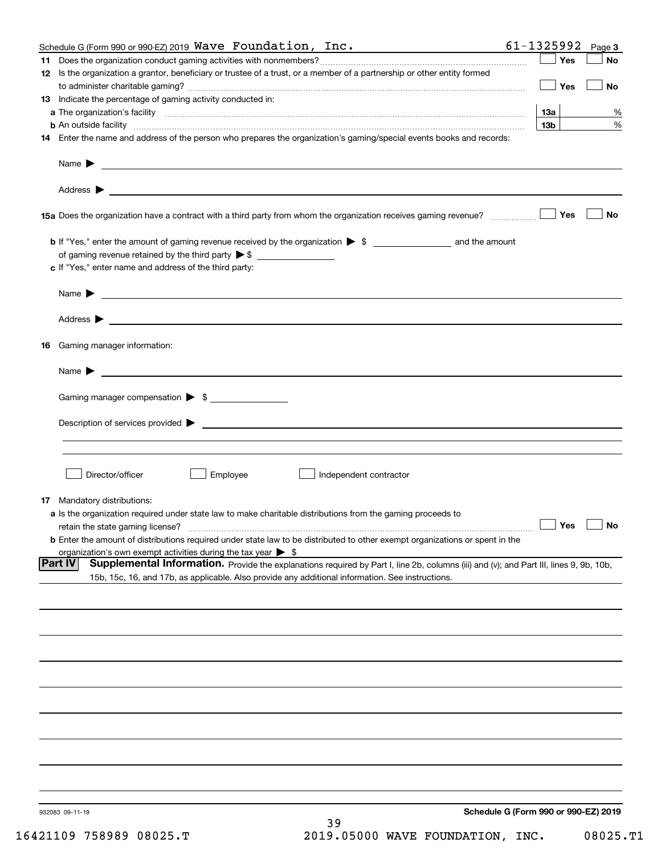|    | Schedule G (Form 990 or 990-EZ) 2019 Wave Foundation, Inc.                                                                                                                                                                                             | $61 - 1325992$ Page 3 |           |
|----|--------------------------------------------------------------------------------------------------------------------------------------------------------------------------------------------------------------------------------------------------------|-----------------------|-----------|
|    |                                                                                                                                                                                                                                                        | Yes                   | No        |
|    | 12 Is the organization a grantor, beneficiary or trustee of a trust, or a member of a partnership or other entity formed                                                                                                                               | Yes                   | No        |
|    | 13 Indicate the percentage of gaming activity conducted in:                                                                                                                                                                                            |                       |           |
|    |                                                                                                                                                                                                                                                        | 13а                   | %         |
|    | <b>b</b> An outside facility <i>www.communicality www.communicality.communicality www.communicality www.communicality.communicality www.communicality.com</i>                                                                                          | 13 <sub>b</sub>       | %         |
|    | 14 Enter the name and address of the person who prepares the organization's gaming/special events books and records:                                                                                                                                   |                       |           |
|    | Name $\triangleright$ $\square$                                                                                                                                                                                                                        |                       |           |
|    |                                                                                                                                                                                                                                                        |                       |           |
|    | 15a Does the organization have a contract with a third party from whom the organization receives gaming revenue?                                                                                                                                       | Yes                   | <b>No</b> |
|    |                                                                                                                                                                                                                                                        |                       |           |
|    |                                                                                                                                                                                                                                                        |                       |           |
|    | c If "Yes," enter name and address of the third party:                                                                                                                                                                                                 |                       |           |
|    |                                                                                                                                                                                                                                                        |                       |           |
|    |                                                                                                                                                                                                                                                        |                       |           |
| 16 | Gaming manager information:                                                                                                                                                                                                                            |                       |           |
|    |                                                                                                                                                                                                                                                        |                       |           |
|    | Name $\blacktriangleright$                                                                                                                                                                                                                             |                       |           |
|    | Gaming manager compensation > \$                                                                                                                                                                                                                       |                       |           |
|    | $Description of services provided$ $\triangleright$                                                                                                                                                                                                    |                       |           |
|    |                                                                                                                                                                                                                                                        |                       |           |
|    |                                                                                                                                                                                                                                                        |                       |           |
|    | Director/officer<br>Employee<br>Independent contractor                                                                                                                                                                                                 |                       |           |
|    | 17 Mandatory distributions:                                                                                                                                                                                                                            |                       |           |
|    | a Is the organization required under state law to make charitable distributions from the gaming proceeds to                                                                                                                                            | $\Box$ Yes            | $\Box$ No |
|    | retain the state gaming license?<br><b>b</b> Enter the amount of distributions required under state law to be distributed to other exempt organizations or spent in the                                                                                |                       |           |
|    | organization's own exempt activities during the tax year $\triangleright$ \$                                                                                                                                                                           |                       |           |
|    | Supplemental Information. Provide the explanations required by Part I, line 2b, columns (iii) and (v); and Part III, lines 9, 9b, 10b,<br> Part IV<br>15b, 15c, 16, and 17b, as applicable. Also provide any additional information. See instructions. |                       |           |
|    |                                                                                                                                                                                                                                                        |                       |           |
|    |                                                                                                                                                                                                                                                        |                       |           |
|    |                                                                                                                                                                                                                                                        |                       |           |
|    |                                                                                                                                                                                                                                                        |                       |           |
|    |                                                                                                                                                                                                                                                        |                       |           |
|    |                                                                                                                                                                                                                                                        |                       |           |
|    |                                                                                                                                                                                                                                                        |                       |           |
|    |                                                                                                                                                                                                                                                        |                       |           |
|    |                                                                                                                                                                                                                                                        |                       |           |
|    |                                                                                                                                                                                                                                                        |                       |           |
|    | Schedule G (Form 990 or 990-EZ) 2019<br>932083 09-11-19                                                                                                                                                                                                |                       |           |
|    | 39                                                                                                                                                                                                                                                     |                       |           |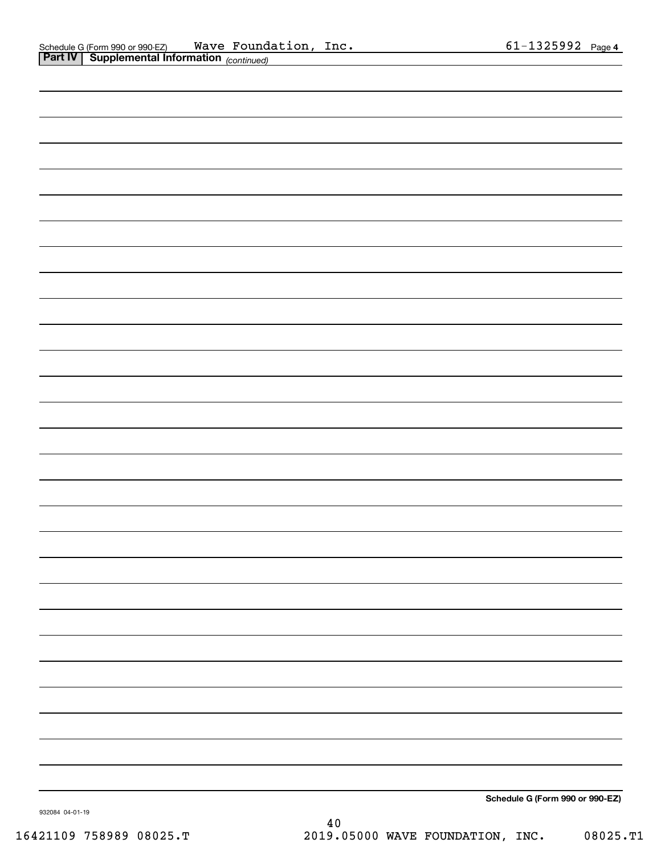| Schedule G (Form 990 or 990-EZ) |
|---------------------------------|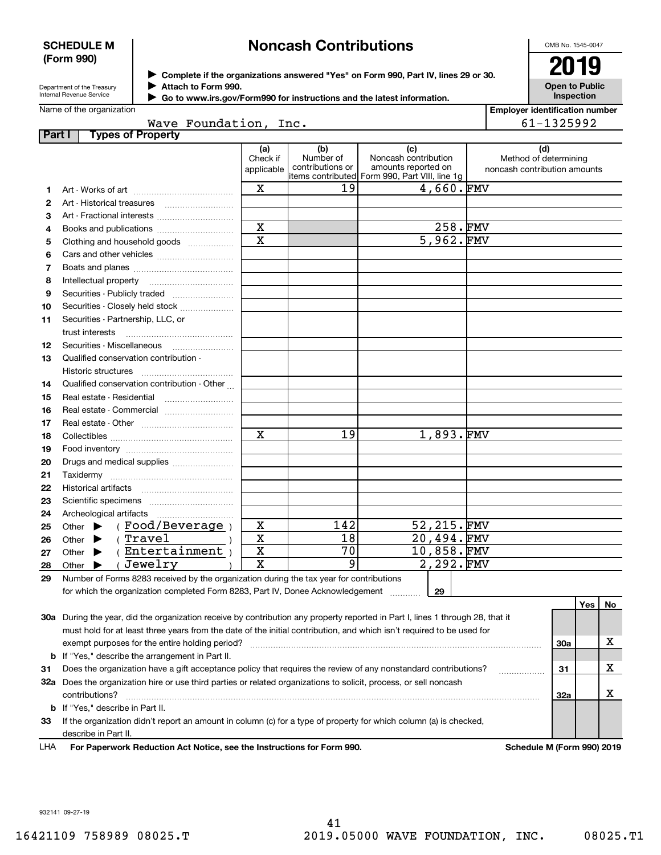#### **SCHEDULE M (Form 990)**

# **Noncash Contributions**

OMB No. 1545-0047

| Department of the Treasury      |  |
|---------------------------------|--|
| <b>Internal Revenue Service</b> |  |

**Complete if the organizations answered "Yes" on Form 990, Part IV, lines 29 or 30.** <sup>J</sup>**2019 Attach to Form 990.** J

**Open to Public Inspection**

| Name of the organization |  |
|--------------------------|--|

| .                                                                      |
|------------------------------------------------------------------------|
| Go to www.irs.gov/Form990 for instructions and the latest information. |

| <b>Employer identification number</b> |
|---------------------------------------|
| 61-1325992                            |

|  | Wave Foundation, Inc. |  |
|--|-----------------------|--|
|  |                       |  |

| Part I | <b>Types of Property</b>                                                                                                       |                         |                               |                                                 |                                                       |     |    |
|--------|--------------------------------------------------------------------------------------------------------------------------------|-------------------------|-------------------------------|-------------------------------------------------|-------------------------------------------------------|-----|----|
|        |                                                                                                                                | (a)                     | (b)                           | (c)                                             | (d)                                                   |     |    |
|        |                                                                                                                                | Check if<br>applicable  | Number of<br>contributions or | Noncash contribution<br>amounts reported on     | Method of determining<br>noncash contribution amounts |     |    |
|        |                                                                                                                                |                         |                               | items contributed  Form 990, Part VIII, line 1g |                                                       |     |    |
| 1      |                                                                                                                                | $\mathbf X$             | 19                            | 4,660.FMV                                       |                                                       |     |    |
| 2      | Art - Historical treasures                                                                                                     |                         |                               |                                                 |                                                       |     |    |
| 3      | Art - Fractional interests                                                                                                     |                         |                               |                                                 |                                                       |     |    |
| 4      | Books and publications                                                                                                         | X                       |                               | 258.FMV                                         |                                                       |     |    |
| 5      | Clothing and household goods                                                                                                   | X                       |                               | $5,962.$ FMV                                    |                                                       |     |    |
| 6      |                                                                                                                                |                         |                               |                                                 |                                                       |     |    |
| 7      |                                                                                                                                |                         |                               |                                                 |                                                       |     |    |
| 8      | Intellectual property                                                                                                          |                         |                               |                                                 |                                                       |     |    |
| 9      | Securities - Publicly traded                                                                                                   |                         |                               |                                                 |                                                       |     |    |
| 10     | Securities - Closely held stock                                                                                                |                         |                               |                                                 |                                                       |     |    |
| 11     | Securities - Partnership, LLC, or                                                                                              |                         |                               |                                                 |                                                       |     |    |
|        | trust interests                                                                                                                |                         |                               |                                                 |                                                       |     |    |
| 12     | Securities - Miscellaneous                                                                                                     |                         |                               |                                                 |                                                       |     |    |
| 13     | Qualified conservation contribution -                                                                                          |                         |                               |                                                 |                                                       |     |    |
|        | Historic structures                                                                                                            |                         |                               |                                                 |                                                       |     |    |
| 14     | Qualified conservation contribution - Other                                                                                    |                         |                               |                                                 |                                                       |     |    |
| 15     | Real estate - Residential                                                                                                      |                         |                               |                                                 |                                                       |     |    |
| 16     | Real estate - Commercial                                                                                                       |                         |                               |                                                 |                                                       |     |    |
| 17     |                                                                                                                                |                         |                               |                                                 |                                                       |     |    |
| 18     |                                                                                                                                | $\mathbf X$             | 19                            | 1,893.FMV                                       |                                                       |     |    |
| 19     |                                                                                                                                |                         |                               |                                                 |                                                       |     |    |
| 20     | Drugs and medical supplies                                                                                                     |                         |                               |                                                 |                                                       |     |    |
| 21     |                                                                                                                                |                         |                               |                                                 |                                                       |     |    |
| 22     |                                                                                                                                |                         |                               |                                                 |                                                       |     |    |
| 23     |                                                                                                                                |                         |                               |                                                 |                                                       |     |    |
| 24     |                                                                                                                                |                         |                               |                                                 |                                                       |     |    |
| 25     | (Food/Beverage)<br>Other $\blacktriangleright$                                                                                 | X                       | 142                           | 52,215.FMV                                      |                                                       |     |    |
| 26     | $($ Travel<br>Other $\blacktriangleright$                                                                                      | X                       | 18                            | 20,494.FMV                                      |                                                       |     |    |
| 27     | (Entertainment)<br>Other $\blacktriangleright$                                                                                 | $\overline{\mathbf{x}}$ | 70                            | 10,858.FMV                                      |                                                       |     |    |
| 28     | (Jewelry)<br>Other $\blacktriangleright$                                                                                       | $\overline{\text{x}}$   | 9                             | $2,292.$ FMV                                    |                                                       |     |    |
| 29     | Number of Forms 8283 received by the organization during the tax year for contributions                                        |                         |                               |                                                 |                                                       |     |    |
|        | for which the organization completed Form 8283, Part IV, Donee Acknowledgement                                                 |                         |                               | 29                                              |                                                       |     |    |
|        |                                                                                                                                |                         |                               |                                                 |                                                       | Yes | No |
|        | 30a During the year, did the organization receive by contribution any property reported in Part I, lines 1 through 28, that it |                         |                               |                                                 |                                                       |     |    |
|        | must hold for at least three years from the date of the initial contribution, and which isn't required to be used for          |                         |                               |                                                 |                                                       |     |    |
|        | exempt purposes for the entire holding period?                                                                                 |                         |                               |                                                 |                                                       | 30a | х  |
| b      | If "Yes," describe the arrangement in Part II.                                                                                 |                         |                               |                                                 |                                                       |     |    |
| 31     | Does the organization have a gift acceptance policy that requires the review of any nonstandard contributions?                 |                         |                               |                                                 |                                                       | 31  | х  |

**31**Does the organization have a gift acceptance policy that requires the review of any nonstandard contributions? ~~~~~~**32a** Does the organization hire or use third parties or related organizations to solicit, process, or sell noncash **33**If the organization didn't report an amount in column (c) for a type of property for which column (a) is checked, **31 32a b** If "Yes," describe in Part II.  $\ldots \ldots \ldots \ldots \ldots$ contributions? ~~~~~~~~~~~~~~~~~~~~~~~~~~~~~~~~~~~~~~~~~~~~~~~~~~~~~~

describe in Part II.

**For Paperwork Reduction Act Notice, see the Instructions for Form 990. Schedule M (Form 990) 2019** LHA

932141 09-27-19

X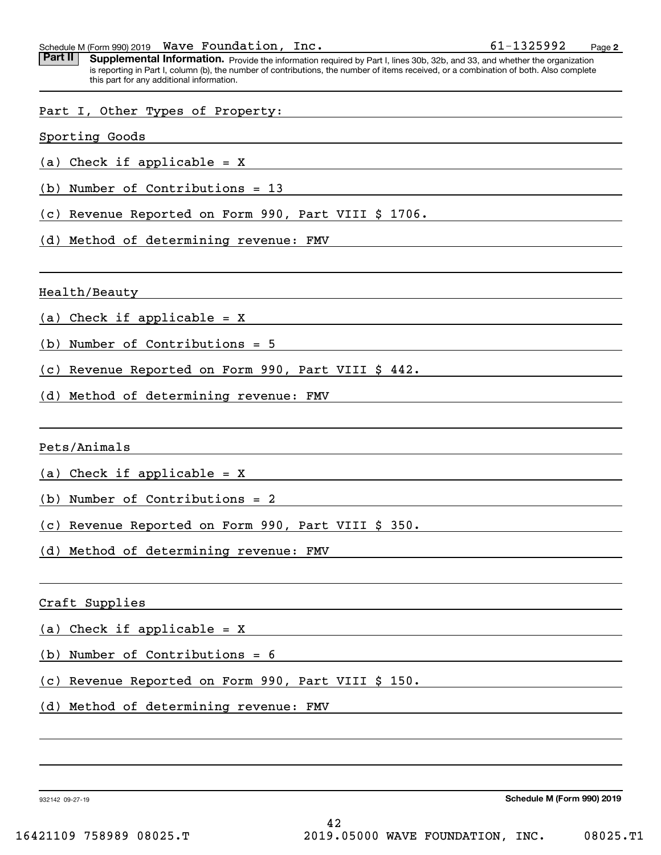Schedule M (Form 990) 2019 Page Wave Foundation, Inc. 61-1325992

Part II | Supplemental Information. Provide the information required by Part I, lines 30b, 32b, and 33, and whether the organization is reporting in Part I, column (b), the number of contributions, the number of items received, or a combination of both. Also complete this part for any additional information.

#### Part I, Other Types of Property:

Sporting Goods

(a) Check if applicable = X

(b) Number of Contributions = 13

(c) Revenue Reported on Form 990, Part VIII \$ 1706.

(d) Method of determining revenue: FMV

Health/Beauty

(a) Check if applicable = X

(b) Number of Contributions = 5

(c) Revenue Reported on Form 990, Part VIII \$ 442.

(d) Method of determining revenue: FMV

Pets/Animals

(a) Check if applicable = X

(b) Number of Contributions = 2

(c) Revenue Reported on Form 990, Part VIII \$ 350.

(d) Method of determining revenue: FMV

Craft Supplies

(a) Check if applicable = X

(b) Number of Contributions = 6

(c) Revenue Reported on Form 990, Part VIII \$ 150.

(d) Method of determining revenue: FMV

932142 09-27-19

**Schedule M (Form 990) 2019**

**2**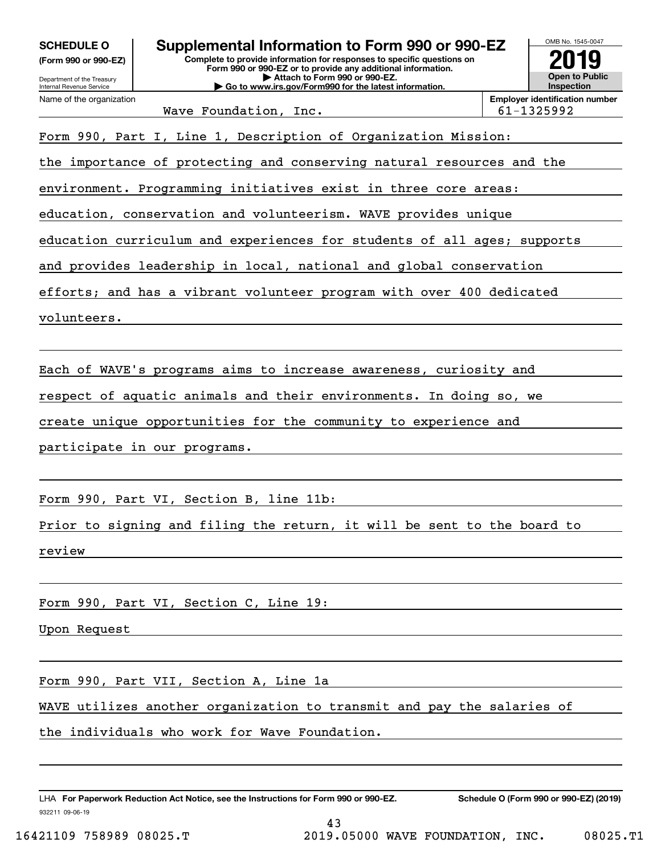| <b>SCHEDULE O</b>    |  |
|----------------------|--|
| (Form 990 or 990-EZ) |  |

Department of the Treasury Internal Revenue Service

Name of the organization

**Complete to provide information for responses to specific questions on Form 990 or 990-EZ or to provide any additional information. | Attach to Form 990 or 990-EZ. | Go to www.irs.gov/Form990 for the latest information. Supplemental Information to Form 990 or 990-EZ** 



Wave Foundation, Inc.  $\vert$  61-1325992

Form 990, Part I, Line 1, Description of Organization Mission:

the importance of protecting and conserving natural resources and the

environment. Programming initiatives exist in three core areas:

education, conservation and volunteerism. WAVE provides unique

education curriculum and experiences for students of all ages; supports

and provides leadership in local, national and global conservation

efforts; and has a vibrant volunteer program with over 400 dedicated

volunteers.

Each of WAVE's programs aims to increase awareness, curiosity and

respect of aquatic animals and their environments. In doing so, we

create unique opportunities for the community to experience and

participate in our programs.

Form 990, Part VI, Section B, line 11b:

Prior to signing and filing the return, it will be sent to the board to review

Form 990, Part VI, Section C, Line 19:

Upon Request

Form 990, Part VII, Section A, Line 1a

WAVE utilizes another organization to transmit and pay the salaries of

43

the individuals who work for Wave Foundation.

932211 09-06-19 LHA For Paperwork Reduction Act Notice, see the Instructions for Form 990 or 990-EZ. Schedule O (Form 990 or 990-EZ) (2019)